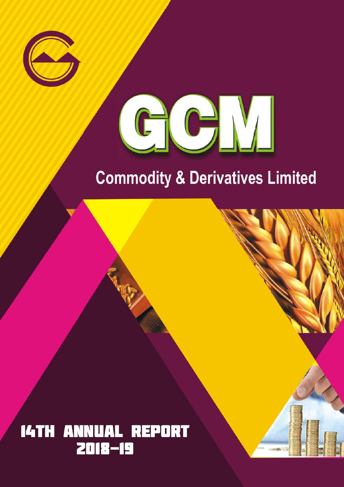



# **Commodity & Derivatives Limited**

# **I4TH ANNUAL REPORT** 2018-19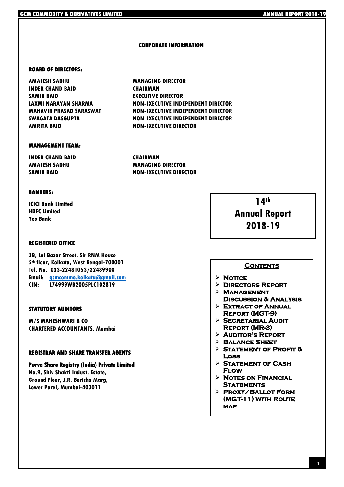#### **CORPORATE INFORMATION**

#### **BOARD OF DIRECTORS:**

**AMALESH SADHU MANAGING DIRECTOR INDER CHAND BAID CHAIRMAN SAMIR BAID EXECUTIVE DIRECTOR AMRITA BAID NON-EXECUTIVE DIRECTOR**

**LAXMI NARAYAN SHARMA NON-EXECUTIVE INDEPENDENT DIRECTOR MAHAVIR PRASAD SARASWAT NON-EXECUTIVE INDEPENDENT DIRECTOR SWAGATA DASGUPTA NON-EXECUTIVE INDEPENDENT DIRECTOR**

#### **MANAGEMENT TEAM:**

**INDER CHAND BAID CHAIRMAN**

**AMALESH SADHU MANAGING DIRECTOR SAMIR BAID NON-EXECUTIVE DIRECTOR**

#### **BANKERS:**

**ICICI Bank Limited HDFC Limited Yes Bank**

#### **REGISTERED OFFICE**

**3B, Lal Bazar Street, Sir RNM House 5th floor, Kolkata, West Bengal-700001 Tel. No. 033-22481053/22489908 Email: [gcmcommo.kolkata@gmail.com](mailto:gcmcommo.kolkata@gmail.com) CIN: L74999WB2005PLC102819**

#### **STATUTORY AUDITORS**

**M/S MAHESHWARI & CO CHARTERED ACCOUNTANTS, Mumbai**

#### **REGISTRAR AND SHARE TRANSFER AGENTS**

### **Purva Share Registry (India) Private Limited**

**No.9, Shiv Shakti Indust. Estate, Ground Floor, J.R. Boricha Marg, Lower Parel, Mumbai-400011**

**14th Annual Report 2018-19**

#### **CONTENTS**

- ➢ **Notice**
- ➢ **Directors Report**
- ➢ **Management Discussion & Analysis**
- ➢ **Extract of Annual Report (MGT-9)**
- ➢ **Secretarial Audit Report (MR-3)**
- ➢ **Auditor's Report**
- ➢ **Balance Sheet**
- ➢ **Statement of Profit & Loss**
- ➢ **Statement of Cash Flow**
- ➢ **Notes on Financial Statements**
- ➢ **Proxy/Ballot Form (MGT-11) with Route map**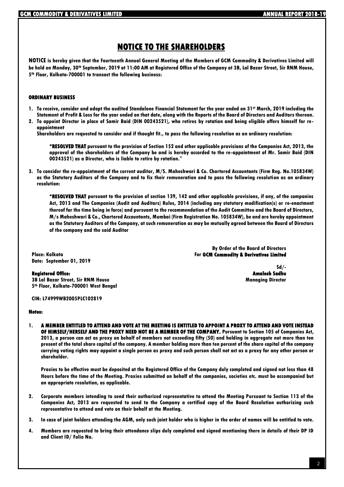# **NOTICE TO THE SHAREHOLDERS**

**NOTICE is hereby given that the Fourteenth Annual General Meeting of the Members of GCM Commodity & Derivatives Limited will be held on Monday, 30th September, 2019 at 11:00 AM at Registered Office of the Company at 3B, Lal Bazar Street, Sir RNM House, 5 th Floor, Kolkata-700001 to transact the following business:**

#### **ORDINARY BUSINESS**

- **1. To receive, consider and adopt the audited Standalone Financial Statement for the year ended on 31st March, 2019 including the Statement of Profit & Loss for the year ended on that date, along with the Reports of the Board of Directors and Auditors thereon.**
- **2. To appoint Director in place of Samir Baid (DIN 00243521), who retires by rotation and being eligible offers himself for reappointment**

**Shareholders are requested to consider and if thought fit., to pass the following resolution as an ordinary resolution:**

**"RESOLVED THAT pursuant to the provision of Section 152 and other applicable provisions of the Companies Act, 2013, the approval of the shareholders of the Company be and is hereby accorded to the re-appointment of Mr. Samir Baid (DIN 00243521) as a Director, who is liable to retire by rotation."**

**3. To consider the re-appointment of the current auditor, M/S. Maheshwari & Co. Chartered Accountants (Firm Reg. No.105834W) as the Statutory Auditors of the Company and to fix their remuneration and to pass the following resolution as an ordinary resolution:** 

**"RESOLVED THAT pursuant to the provision of section 139, 142 and other applicable provisions, if any, of the companies Act, 2013 and The Companies (Audit and Auditors) Rules, 2014 (including any statutory modification(s) or re-enactment thereof for the time being in force) and pursuant to the recommendation of the Audit Committee and the Board of Directors, M/s Maheshwari & Co., Chartered Accountants, Mumbai (Firm Registration No. 105834W), be and are hereby appointment as the Statutory Auditors of the Company, at such remuneration as may be mutually agreed between the Board of Directors of the company and the said Auditor** 

**Date: September 01, 2019**

**By Order of the Board of Directors Place: Kolkata For GCM Commodity & Derivatives Limited**

**Registered Office: Amalesh Sadhu 3B Lal Bazar Street, Sir RNM House Managing Director 5 th Floor, Kolkata-700001 West Bengal**

**Sd/-**

**CIN: L74999WB2005PLC102819**

#### **Notes:**

**1. A MEMBER ENTITLED TO ATTEND AND VOTE AT THE MEETING IS ENTITLED TO APPOINT A PROXY TO ATTEND AND VOTE INSTEAD OF HIMSELF/HERSELF AND THE PROXY NEED NOT BE A MEMBER OF THE COMPANY. Pursuant to Section 105 of Companies Act, 2013, a person can act as proxy on behalf of members not exceeding fifty (50) and holding in aggregate not more than ten present of the total share capital of the company. A member holding more than ten percent of the share capital of the company carrying voting rights may appoint a single person as proxy and such person shall not act as a proxy for any other person or shareholder.**

**Proxies to be effective must be deposited at the Registered Office of the Company duly completed and signed not less than 48 Hours before the time of the Meeting. Proxies submitted on behalf of the companies, societies etc. must be accompanied but an appropriate resolution, as applicable.**

- **2. Corporate members intending to send their authorized representative to attend the Meeting Pursuant to Section 113 of the Companies Act, 2013 are requested to send to the Company a certified copy of the Board Resolution authorizing such representative to attend and vote on their behalf at the Meeting.**
- **3. In case of joint holders attending the AGM, only such joint holder who is higher in the order of names will be entitled to vote.**
- **4. Members are requested to bring their attendance slips duly completed and signed mentioning there in details of their DP ID and Client ID/ Folio No.**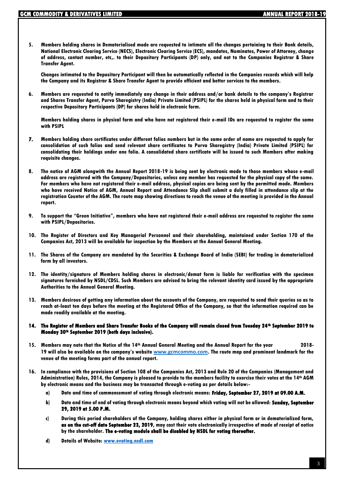**5. Members holding shares in Dematerialised mode are requested to intimate all the changes pertaining to their Bank details, National Electronic Clearing Service (NECS), Electronic Clearing Service (ECS), mandates, Nominates, Power of Attorney, change of address, contact number, etc,. to their Depository Participants (DP) only, and not to the Companies Registrar & Share Transfer Agent.**

**Changes intimated to the Depository Participant will then be automatically reflected in the Companies records which will help the Company and its Registrar & Share Transfer Agent to provide efficient and better services to the members.**

**6. Members are requested to notify immediately any change in their address and/or bank details to the company's Registrar and Shares Transfer Agent, Purva Sharegistry (India) Private Limited (PSIPL) for the shares held in physical form and to their respective Depository Participants (DP) for shares held in electronic form.** 

**Members holding shares in physical form and who have not registered their e-mail IDs are requested to register the same with PSIPL**

- **7. Members holding share certificates under different folios numbers but in the same order of name are requested to apply for consolidation of such folios and send relevant share certificates to Purva Sharegistry (India) Private Limited (PSIPL) for consolidating their holdings under one folio. A consolidated share certificate will be issued to such Members after making requisite changes.**
- **8. The notice of AGM alongwith the Annual Report 2018-19 is being sent by electronic mode to those members whose e-mail address are registered with the Company/Depositories, unless any member has requested for the physical copy of the same. For members who have not registered their e-mail address, physical copies are being sent by the permitted mode. Members who have received Notice of AGM, Annual Report and Attendance Slip shall submit a duly filled in attendance slip at the registration Counter of the AGM. The route map showing directions to reach the venue of the meeting is provided in the Annual report.**
- **9. To support the "Green Initiative", members who have not registered their e-mail address are requested to register the same with PSIPL/Depositories.**
- **10. The Register of Directors and Key Managerial Personnel and their shareholding, maintained under Section 170 of the Companies Act, 2013 will be available for inspection by the Members at the Annual General Meeting.**
- **11. The Shares of the Company are mandated by the Securities & Exchange Board of India (SEBI) for trading in dematerialized form by all investors.**
- **12. The identity/signature of Members holding shares in electronic/demat form is liable for verification with the specimen signatures furnished by NSDL/CDSL. Such Members are advised to bring the relevant identity card issued by the appropriate Authorities to the Annual General Meeting.**
- **13. Members desirous of getting any information about the accounts of the Company, are requested to send their queries so as to reach at-least ten days before the meeting at the Registered Office of the Company, so that the information required can be made readily available at the meeting.**

#### **14. The Register of Members and Share Transfer Books of the Company will remain closed from Tuesday 24th September 2019 to Monday 30th September 2019 (both days inclusive).**

- **15. Members may note that the Notice of the 14 th Annual General Meeting and the Annual Report for the year 2018- 19 will also be available on the company's website [www.gcmcommo.com](http://www.gcmcommo.com/). The route map and prominent landmark for the venue of the meeting forms part of the annual report.**
- **16. In compliance with the provisions of Section 108 of the Companies Act, 2013 and Rule 20 of the Companies (Management and Administration) Rules, 2014, the Company is pleased to provide to the members facility to exercise their votes at the 14 th AGM by electronic means and the business may be transacted through e-voting as per details below:**
	- **a) Date and time of commencement of voting through electronic means: Friday, September 27, 2019 at 09.00 A.M.**
	- **b) Date and time of end of voting through electronic means beyond which voting will not be allowed: Sunday, September 29, 2019 at 5.00 P.M.**
	- **c) During this period shareholders of the Company, holding shares either in physical form or in dematerialized form, as on the cut-off date September 23, 2019, may cast their vote electronically irrespective of mode of receipt of notice by the shareholder. The e-voting module shall be disabled by NSDL for voting thereafter.**
	- **d) Details of Website: [www.evoting.nsdl.com](http://www.evoting.nsdl.com/)**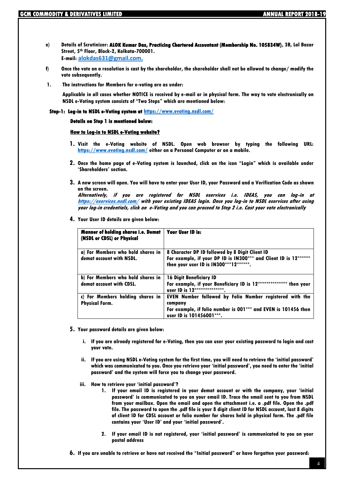- **e) Details of Scrutinizer: ALOK Kumar Das, Practicing Chartered Accountant (Membership No. 105834W), 3B, Lal Bazar Street, 5th Floor, Block-2, Kolkata-700001. E-mail: alokdas631@gmail.com.**
- **f) Once the vote on a resolution is cast by the shareholder, the shareholder shall not be allowed to change/ modify the vote subsequently.**
- **1. The instructions for Members for e-voting are as under:**

**Applicable in all cases whether NOTICE is received by e-mail or in physical form. The way to vote electronically on NSDL e-Voting system consists of "Two Steps" which are mentioned below:**

**Step-1: Log-in to NSDL e-Voting system at<https://www.evoting.nsdl.com/>**

#### **Details on Step 1 is mentioned below:**

#### **How to Log-in to NSDL e-Voting website?**

- **1. Visit the e-Voting website of NSDL. Open web browser by typing the following URL: <https://www.evoting.nsdl.com/> either on a Personal Computer or on a mobile.**
- **2. Once the home page of e-Voting system is launched, click on the icon "Login" which is available under 'Shareholders' section.**
- **3. A new screen will open. You will have to enter your User ID, your Password and a Verification Code as shown on the screen.**

**Alternatively, if you are registered for NSDL eservices i.e. IDEAS, you can log-in at <https://eservices.nsdl.com/> with your existing IDEAS login. Once you log-in to NSDL eservices after using your log-in credentials, click on e-Voting and you can proceed to Step 2 i.e. Cast your vote electronically**

**4. Your User ID details are given below:**

| <b>Manner of holding shares i.e. Demat</b><br>(NSDL or CDSL) or Physical | Your User ID is:                                                                                                                                                  |
|--------------------------------------------------------------------------|-------------------------------------------------------------------------------------------------------------------------------------------------------------------|
| a) For Members who hold shares in<br>demat account with NSDL.            | 8 Character DP ID followed by 8 Digit Client ID<br>For example, if your DP ID is IN300*** and Client ID is 12******<br>then your user ID is IN300***12******.     |
| b) For Members who hold shares in<br>demat account with CDSL.            | <b>16 Digit Beneficiary ID</b><br>For example, if your Beneficiary ID is 12************** then your<br>user ID is 12***************                               |
| c) For Members holding shares in<br><b>Physical Form.</b>                | EVEN Number followed by Folio Number registered with the<br>company<br>For example, if folio number is 001*** and EVEN is 101456 then<br>user ID is 101456001***. |

- **5. Your password details are given below:**
	- **i. If you are already registered for e-Voting, then you can user your existing password to login and cast your vote.**
	- **ii. If you are using NSDL e-Voting system for the first time, you will need to retrieve the 'initial password' which was communicated to you. Once you retrieve your 'initial password', you need to enter the 'initial password' and the system will force you to change your password.**
	- **iii. How to retrieve your 'initial password'?**
		- **1. If your email ID is registered in your demat account or with the company, your 'initial password' is communicated to you on your email ID. Trace the email sent to you from NSDL from your mailbox. Open the email and open the attachment i.e. a .pdf file. Open the .pdf file. The password to open the .pdf file is your 8 digit client ID for NSDL account, last 8 digits of client ID for CDSL account or folio number for shares held in physical form. The .pdf file contains your 'User ID' and your 'initial password'.**
		- **2. If your email ID is not registered, your 'initial password' is communicated to you on your postal address**
- **6. If you are unable to retrieve or have not received the "Initial password" or have forgotten your password:**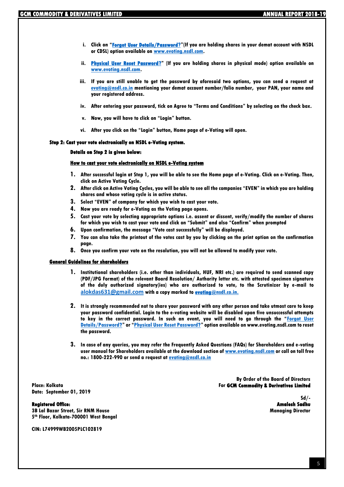- **i. Click on "[Forgot User Details/Password?](https://www.evoting.nsdl.com/eVotingWeb/commonhtmls/NewUser.jsp)"(If you are holding shares in your demat account with NSDL or CDSL) option available on [www.evoting.nsdl.com.](http://www.evoting.nsdl.com/)**
- **ii. [Physical User Reset Password?](https://www.evoting.nsdl.com/eVotingWeb/commonhtmls/PhysicalUser.jsp)" (If you are holding shares in physical mode) option available on [www.evoting.nsdl.com.](http://www.evoting.nsdl.com/)**
- **iii. If you are still unable to get the password by aforesaid two options, you can send a request at [evoting@nsdl.co.in](mailto:evoting@nsdl.co.in) mentioning your demat account number/folio number, your PAN, your name and your registered address.**
- **iv. After entering your password, tick on Agree to "Terms and Conditions" by selecting on the check box.**
- **v. Now, you will have to click on "Login" button.**
- **vi. After you click on the "Login" button, Home page of e-Voting will open.**

#### **Step 2: Cast your vote electronically on NSDL e-Voting system.**

#### **Details on Step 2 is given below:**

#### **How to cast your vote electronically on NSDL e-Voting system**

- **1. After successful login at Step 1, you will be able to see the Home page of e-Voting. Click on e-Voting. Then, click on Active Voting Cycle.**
- **2. After click on Active Voting Cycles, you will be able to see all the companies "EVEN" in which you are holding shares and whose voting cycle is in active status.**
- **3. Select "EVEN" of company for which you wish to cast your vote.**
- **4. Now you are ready for e-Voting as the Voting page opens.**
- **5. Cast your vote by selecting appropriate options i.e. assent or dissent, verify/modify the number of shares for which you wish to cast your vote and click on "Submit" and also "Confirm" when prompted**
- **6. Upon confirmation, the message "Vote cast successfully" will be displayed.**
- **7. You can also take the printout of the votes cast by you by clicking on the print option on the confirmation page.**
- **8. Once you confirm your vote on the resolution, you will not be allowed to modify your vote.**

#### **General Guidelines for shareholders**

- **1. Institutional shareholders (i.e. other than individuals, HUF, NRI etc.) are required to send scanned copy (PDF/JPG Format) of the relevant Board Resolution/ Authority letter etc. with attested specimen signature of the duly authorized signatory(ies) who are authorized to vote, to the Scrutinizer by e-mail to alokdas631@gmail.com with a copy marked to [evoting@nsdl.co.in.](mailto:evoting@nsdl.co.in)**
- **2. It is strongly recommended not to share your password with any other person and take utmost care to keep your password confidential. Login to the e-voting website will be disabled upon five unsuccessful attempts to key in the correct password. In such an event, you will need to go through the "[Forgot User](https://www.evoting.nsdl.com/eVotingWeb/commonhtmls/NewUser.jsp)  [Details/Password?](https://www.evoting.nsdl.com/eVotingWeb/commonhtmls/NewUser.jsp)" or "[Physical User Reset Password?](https://www.evoting.nsdl.com/eVotingWeb/commonhtmls/PhysicalUser.jsp)" option available on www.evoting.nsdl.com to reset the password.**
- **3. In case of any queries, you may refer the Frequently Asked Questions (FAQs) for Shareholders and e-voting user manual for Shareholders available at the download section of [www.evoting.nsdl.com](http://www.evoting.nsdl.com/) or call on toll free no.: 1800-222-990 or send a request at [evoting@nsdl.co.in](mailto:evoting@nsdl.co.in)**

**Date: September 01, 2019**

**By Order of the Board of Directors Place: Kolkata For GCM Commodity & Derivatives Limited**

**Registered Office: Amalesh Sadhu 3B Lal Bazar Street, Sir RNM House Managing Director 5 th Floor, Kolkata-700001 West Bengal**

**Sd/-**

**CIN: L74999WB2005PLC102819**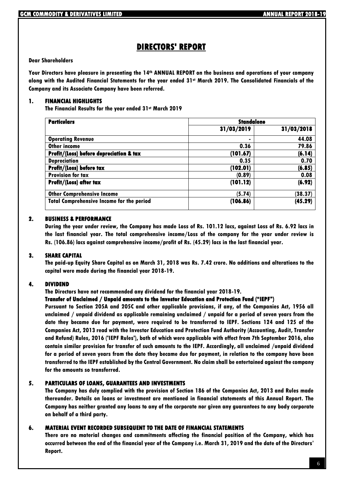# **DIRECTORS' REPORT**

**Dear Shareholders** 

**Your Directors have pleasure in presenting the 14th ANNUAL REPORT on the business and operations of your company along with the Audited Financial Statements for the year ended 31st March 2019. The Consolidated Financials of the Company and its Associate Company have been referred.**

#### **1. FINANCIAL HIGHLIGHTS**

**The Financial Results for the year ended 31st March 2019**

| <b>Particulars</b>                               | <b>Standalone</b> |            |
|--------------------------------------------------|-------------------|------------|
|                                                  | 31/03/2019        | 31/03/2018 |
| <b>Operating Revenue</b>                         | $\blacksquare$    | 44.08      |
| <b>Other income</b>                              | 0.36              | 79.86      |
| Profit/(Loss) before depreciation & tax          | (101.67)          | (6.14)     |
| <b>Depreciation</b>                              | 0.35              | 0.70       |
| Profit/(Loss) before tax                         | (102.01)          | (6.85)     |
| <b>Provision for tax</b>                         | (0.89)            | 0.08       |
| Profit/(Loss) after tax                          | (101.12)          | (6.92)     |
| <b>Other Comprehensive Income</b>                | (5.74)            | (38.37)    |
| <b>Total Comprehensive Income for the period</b> | (106.86)          | (45.29)    |

#### **2. BUSINESS & PERFORMANCE**

**During the year under review, the Company has made Loss of Rs. 101.12 lacs, against Loss of Rs. 6.92 lacs in the last financial year. The total comprehensive income/Loss of the company for the year under review is Rs. (106.86) lacs against comprehensive income/profit of Rs. (45.29) lacs in the last financial year.**

#### **3. SHARE CAPITAL**

**The paid-up Equity Share Capital as on March 31, 2018 was Rs. 7.42 crore. No additions and alterations to the capital were made during the financial year 2018-19.**

#### **4. DIVIDEND**

#### **The Directors have not recommended any dividend for the financial year 2018-19.**

#### **Transfer of Unclaimed / Unpaid amounts to the Investor Education and Protection Fund ("IEPF")**

**Pursuant to Section 205A and 205C and other applicable provisions, if any, of the Companies Act, 1956 all unclaimed / unpaid dividend as applicable remaining unclaimed / unpaid for a period of seven years from the date they became due for payment, were required to be transferred to IEPF. Sections 124 and 125 of the Companies Act, 2013 read with the Investor Education and Protection Fund Authority (Accounting, Audit, Transfer and Refund) Rules, 2016 ('IEPF Rules'), both of which were applicable with effect from 7th September 2016, also contain similar provision for transfer of such amounts to the IEPF. Accordingly, all unclaimed /unpaid dividend for a period of seven years from the date they became due for payment, in relation to the company have been transferred to the IEPF established by the Central Government. No claim shall be entertained against the company for the amounts so transferred.**

#### **5. PARTICULARS OF LOANS, GUARANTEES AND INVESTMENTS**

**The Company has duly complied with the provision of Section 186 of the Companies Act, 2013 and Rules made thereunder. Details on loans or investment are mentioned in financial statements of this Annual Report. The Company has neither granted any loans to any of the corporate nor given any guarantees to any body corporate on behalf of a third party.**

#### **6. MATERIAL EVENT RECORDED SUBSEQUENT TO THE DATE OF FINANCIAL STATEMENTS**

**There are no material changes and commitments affecting the financial position of the Company, which has occurred between the end of the financial year of the Company i.e. March 31, 2019 and the date of the Directors' Report.**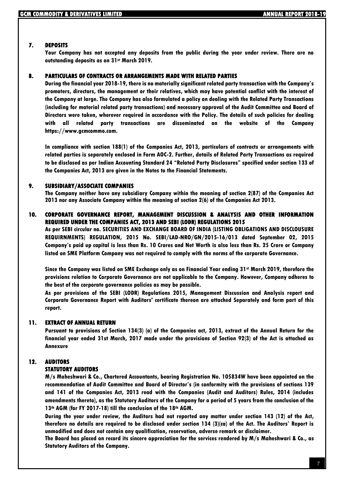#### **7. DEPOSITS**

**Your Company has not accepted any deposits from the public during the year under review. There are no outstanding deposits as on 31st March 2019.**

#### **8. PARTICULARS OF CONTRACTS OR ARRANGEMENTS MADE WITH RELATED PARTIES**

**During the financial year 2018-19, there is no materially significant related party transaction with the Company's promoters, directors, the management or their relatives, which may have potential conflict with the interest of the Company at large. The Company has also formulated a policy on dealing with the Related Party Transactions (including for material related party transactions) and necessary approval of the Audit Committee and Board of Directors were taken, wherever required in accordance with the Policy. The details of such policies for dealing with all related party transactions are disseminated on the website of the Company [https://www.gcmcommo.com.](https://www.gcmcommo.com/)**

**In compliance with section 188(1) of the Companies Act, 2013, particulars of contracts or arrangements with related parties is separately enclosed in Form AOC-2. Further, details of Related Party Transactions as required to be disclosed as per Indian Accounting Standard 24 "Related Party Disclosures" specified under section 133 of the Companies Act, 2013 are given in the Notes to the Financial Statements.**

#### **9. SUBSIDIARY/ASSOCIATE COMPANIES**

**The Company neither have any subsidiary Company within the meaning of section 2(87) of the Companies Act 2013 nor any Associate Company within the meaning of section 2(6) of the Companies Act 2013.**

#### **10. CORPORATE GOVERNANCE REPORT, MANAGEMENT DISCUSSION & ANALYSIS AND OTHER INFORMATION REQUIRED UNDER THE COMPANIES ACT, 2013 AND SEBI (LODR) REGULATIONS 2015**

**As per SEBI circular no. SECURITIES AND EXCHANGE BOARD OF INDIA (LISTING OBLIGATIONS AND DISCLOUSURE REQUIRNMENTS) REGULATION, 2015 No. SEBI/LAD-NRO/GN/2015-16/013 dated September 02, 2015 Company's paid up capital is less than Rs. 10 Crores and Net Worth is also less than Rs. 25 Crore or Company listed on SME Platform Company was not required to comply with the norms of the corporate Governance.** 

**Since the Company was listed on SME Exchange only as on Financial Year ending 31st March 2019, therefore the provisions relation to Corporate Governance are not applicable to the Company. However, Company adheres to the best of the corporate governance policies as may be possible.**

**As per provisions of the SEBI (LODR) Regulations 2015, Management Discussion and Analysis report and Corporate Governance Report with Auditors' certificate thereon are attached Separately and form part of this report.**

#### **11. EXTRACT OF ANNUAL RETURN**

**Pursuant to provisions of Section 134(3) (a) of the Companies act, 2013, extract of the Annual Return for the financial year ended 31st March, 2017 made under the provisions of Section 92(3) of the Act is attached as Annexure**

#### **12. AUDITORS**

#### **STATUTORY AUDITORS**

**M/s Maheshwari & Co., Chartered Accountants, bearing Registration No. 105834W have been appointed on the recommendation of Audit Committee and Board of Director's (in conformity with the provisions of sections 139 and 141 of the Companies Act, 2013 read with the Companies (Audit and Auditors) Rules, 2014 (includes amendments thereto), as the Statutory Auditors of the Company for a period of 5 years from the conclusion of the 13th AGM (for FY 2017-18) till the conclusion of the 18th AGM.**

**During the year under review, the Auditors had not reported any matter under section 143 (12) of the Act, therefore no details are required to be disclosed under section 134 (3)(ca) of the Act. The Auditors' Report is unmodified and does not contain any qualification, reservation, adverse remark or disclaimer.**

**The Board has placed on record its sincere appreciation for the services rendered by M/s Maheshwari & Co., as Statutory Auditors of the Company.**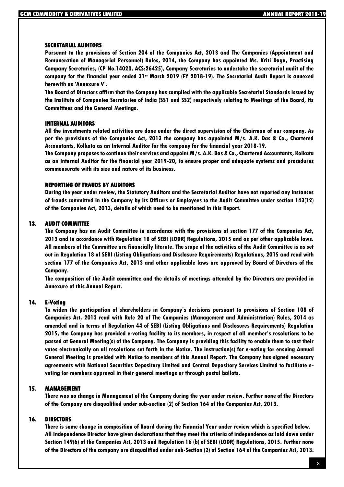#### **SECRETARIAL AUDITORS**

**Pursuant to the provisions of Section 204 of the Companies Act, 2013 and The Companies (Appointment and Remuneration of Managerial Personnel) Rules, 2014, the Company has appointed Ms. Kriti Daga, Practising Company Secretaries, (CP No.14023, ACS:26425), Company Secretaries to undertake the secretarial audit of the company for the financial year ended 31st March 2019 (FY 2018-19). The Secretarial Audit Report is annexed herewith as 'Annexure V'.**

**The Board of Directors affirm that the Company has complied with the applicable Secretarial Standards issued by the Institute of Companies Secretaries of India (SS1 and SS2) respectively relating to Meetings of the Board, its Committees and the General Meetings.**

#### **INTERNAL AUDITORS**

**All the investments related activities are done under the direct supervision of the Chairman of our company. As per the provisions of the Companies Act, 2013 the company has appointed M/s. A.K. Das & Co., Chartered Accountants, Kolkata as an Internal Auditor for the company for the financial year 2018-19.**

**The Company proposes to continue their services and appoint M/s. A.K. Das & Co., Chartered Accountants, Kolkata as an Internal Auditor for the financial year 2019-20, to ensure proper and adequate systems and procedures commensurate with its size and nature of its business.**

#### **REPORTING OF FRAUDS BY AUDITORS**

**During the year under review, the Statutory Auditors and the Secretarial Auditor have not reported any instances of frauds committed in the Company by its Officers or Employees to the Audit Committee under section 143(12) of the Companies Act, 2013, details of which need to be mentioned in this Report.**

#### **13. AUDIT COMMITTEE**

**The Company has an Audit Committee in accordance with the provisions of section 177 of the Companies Act, 2013 and in accordance with Regulation 18 of SEBI (LODR) Regulations, 2015 and as per other applicable laws. All members of the Committee are financially literate. The scope of the activities of the Audit Committee is as set out in Regulation 18 of SEBI (Listing Obligations and Disclosure Requirements) Regulations, 2015 and read with section 177 of the Companies Act, 2013 and other applicable laws are approved by Board of Directors of the Company.**

**The composition of the Audit committee and the details of meetings attended by the Directors are provided in Annexure of this Annual Report.** 

#### **14. E-Voting**

**To widen the participation of shareholders in Company's decisions pursuant to provisions of Section 108 of Companies Act, 2013 read with Rule 20 of The Companies (Management and Administration) Rules, 2014 as amended and in terms of Regulation 44 of SEBI (Listing Obligations and Disclosures Requirements) Regulation 2015, the Company has provided e-voting facility to its members, in respect of all member's resolutions to be passed at General Meeting(s) of the Company. The Company is providing this facility to enable them to cast their votes electronically on all resolutions set forth in the Notice. The instruction(s) for e-voting for ensuing Annual General Meeting is provided with Notice to members of this Annual Report. The Company has signed necessary agreements with National Securities Depository Limited and Central Depository Services Limited to facilitate evoting for members approval in their general meetings or through postal ballots.** 

#### **15. MANAGEMENT**

**There was no change in Management of the Company during the year under review. Further none of the Directors of the Company are disqualified under sub-section (2) of Section 164 of the Companies Act, 2013.**

#### **16. DIRECTORS**

**There is some change in composition of Board during the Financial Year under review which is specified below. All Independence Director have given declarations that they meet the criteria of independence as laid down under Section 149(6) of the Companies Act, 2013 and Regulation 16 (b) of SEBI (LODR) Regulations, 2015. Further none of the Directors of the company are disqualified under sub-Section (2) of Section 164 of the Companies Act, 2013.**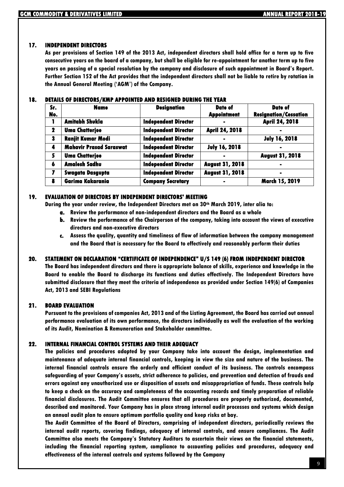#### **17. INDEPENDENT DIRECTORS**

**As per provisions of Section 149 of the 2013 Act, independent directors shall hold office for a term up to five consecutive years on the board of a company, but shall be eligible for re-appointment for another term up to five years on passing of a special resolution by the company and disclosure of such appointment in Board's Report. Further Section 152 of the Act provides that the independent directors shall not be liable to retire by rotation in the Annual General Meeting ('AGM') of the Company.**

### **18. DETAILS OF DIRECTORS/KMP APPOINTED AND RESIGNED DURING THE YEAR**

| Sr. | <b>Name</b>                    | <b>Designation</b>          | Date of                | Date of                      |
|-----|--------------------------------|-----------------------------|------------------------|------------------------------|
| No. |                                |                             | <b>Appointment</b>     | <b>Resignation/Cessation</b> |
|     | <b>Amitabh Shukla</b>          | <b>Independent Director</b> |                        | <b>April 24, 2018</b>        |
| 2   | <b>Uma Chatterjee</b>          | <b>Independent Director</b> | <b>April 24, 2018</b>  |                              |
| 3   | <b>Ranjit Kumar Modi</b>       | <b>Independent Director</b> |                        | <b>July 16, 2018</b>         |
| 4   | <b>Mahavir Prasad Saraswat</b> | <b>Independent Director</b> | <b>July 16, 2018</b>   | $\blacksquare$               |
| 5   | <b>Uma Chatterjee</b>          | <b>Independent Director</b> |                        | <b>August 31, 2018</b>       |
| 6   | <b>Amalesh Sadhu</b>           | <b>Independent Director</b> | <b>August 31, 2018</b> |                              |
|     | <b>Swagata Dasgupta</b>        | <b>Independent Director</b> | <b>August 31, 2018</b> | $\blacksquare$               |
| 8   | Garima Kakarania               | <b>Company Secretary</b>    |                        | March 15, 2019               |

### **19. EVALUATION OF DIRECTORS BY INDEPENDENT DIRECTORS' MEETING**

**During the year under review, the Independent Directors met on 30th March 2019, inter alia to:** 

- **a. Review the performance of non-independent directors and the Board as a whole**
- **b. Review the performance of the Chairperson of the company, taking into account the views of executive directors and non-executive directors**
- **c. Assess the quality, quantity and timeliness of flow of information between the company management and the Board that is necessary for the Board to effectively and reasonably perform their duties**

### **20. STATEMENT ON DECLARATION "CERTIFICATE OF INDEPENDENCE" U/S 149 (6) FROM INDEPENDENT DIRECTOR**

**The Board has independent directors and there is appropriate balance of skills, experience and knowledge in the Board to enable the Board to discharge its functions and duties effectively. The Independent Directors have submitted disclosure that they meet the criteria of independence as provided under Section 149(6) of Companies Act, 2013 and SEBI Regulations** 

### **21. BOARD EVALUATION**

**Pursuant to the provisions of companies Act, 2013 and of the Listing Agreement, the Board has carried out annual performance evaluation of its own performance, the directors individually as well the evaluation of the working of its Audit, Nomination & Remuneration and Stakeholder committee.**

### **22. INTERNAL FINANCIAL CONTROL SYSTEMS AND THEIR ADEQUACY**

**The policies and procedures adopted by your Company take into account the design, implementation and maintenance of adequate internal financial controls, keeping in view the size and nature of the business. The internal financial controls ensure the orderly and efficient conduct of its business. The controls encompass safeguarding of your Company's assets, strict adherence to policies, and prevention and detection of frauds and errors against any unauthorized use or disposition of assets and misappropriation of funds. These controls help to keep a check on the accuracy and completeness of the accounting records and timely preparation of reliable financial disclosures. The Audit Committee ensures that all procedures are properly authorized, documented, described and monitored. Your Company has in place strong internal audit processes and systems which design an annual audit plan to ensure optimum portfolio quality and keep risks at bay.**

**The Audit Committee of the Board of Directors, comprising of independent directors, periodically reviews the internal audit reports, covering findings, adequacy of internal controls, and ensure compliances. The Audit Committee also meets the Company's Statutory Auditors to ascertain their views on the financial statements, including the financial reporting system, compliance to accounting policies and procedures, adequacy and effectiveness of the internal controls and systems followed by the Company**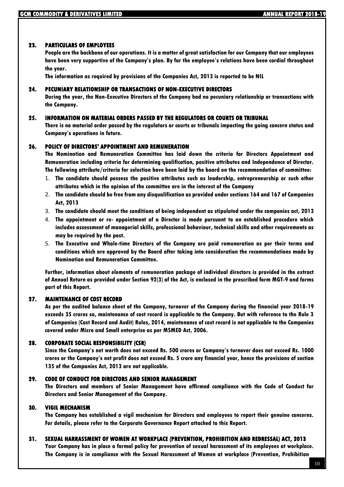#### **23. PARTICULARS OF EMPLOYEES**

**People are the backbone of our operations. It is a matter of great satisfaction for our Company that our employees have been very supportive of the Company's plan. By far the employee's relations have been cordial throughout the year.**

**The information as required by provisions of the Companies Act, 2013 is reported to be NIL**

#### **24. PECUNIARY RELATIONSHIP OR TRANSACTIONS OF NON-EXECUTIVE DIRECTORS**

**During the year, the Non-Executive Directors of the Company had no pecuniary relationship or transactions with the Company.**

#### **25. INFORMATION ON MATERIAL ORDERS PASSED BY THE REGULATORS OR COURTS OR TRIBUNAL**

**There is no material order passed by the regulators or courts or tribunals impacting the going concern status and Company's operations in future.** 

#### **26. POLICY OF DIRECTORS' APPOINTMENT AND REMUNERATION**

**The Nomination and Remuneration Committee has laid down the criteria for Directors Appointment and Remuneration including criteria for determining qualification, positive attributes and Independence of Director. The following attribute/criteria for selection have been laid by the board on the recommendation of committee:**

- 1. **The candidate should possess the positive attributes such as leadership, entrepreneurship or such other attributes which in the opinion of the committee are in the interest of the Company**
- 2. **The candidate should be free from any disqualification as provided under sections 164 and 167 of Companies Act, 2013**
- 3. **The candidate should meet the conditions of being independent as stipulated under the companies act, 2013**
- 4. **The appointment or re- appointment of a Director is made pursuant to an established procedure which includes assessment of managerial skills, professional behaviour, technical skills and other requirements as may be required by the post.**
- 5. **The Executive and Whole-time Directors of the Company are paid remuneration as per their terms and conditions which are approved by the Board after taking into consideration the recommendations made by Nomination and Remuneration Committee.**

**Further, information about elements of remuneration package of individual directors is provided in the extract of Annual Return as provided under Section 92(3) of the Act, is enclosed in the prescribed form MGT-9 and forms part of this Report.**

#### **27. MAINTENANCE OF COST RECORD**

**As per the audited balance sheet of the Company, turnover of the Company during the financial year 2018-19 exceeds 35 crores so, maintenance of cost record is applicable to the Company. But with reference to the Rule 3 of Companies (Cost Record and Audit) Rules, 2014, maintenance of cost record is not applicable to the Companies covered under Micro and Small enterprise as per MSMED Act, 2006.**

#### **28. CORPORATE SOCIAL RESPONSIBILITY (CSR)**

**Since the Company's net worth does not exceed Rs. 500 crores or Company's turnover does not exceed Rs. 1000 crores or the Company's net profit does not exceed Rs. 5 crore any financial year, hence the provisions of section 135 of the Companies Act, 2013 are not applicable.**

#### **29. CODE OF CONDUCT FOR DIRECTORS AND SENIOR MANAGEMENT**

**The Directors and members of Senior Management have affirmed compliance with the Code of Conduct for Directors and Senior Management of the Company.**

#### **30. VIGIL MECHANISM**

**The Company has established a vigil mechanism for Directors and employees to report their genuine concerns. For details, please refer to the Corporate Governance Report attached to this Report.**

#### **31. SEXUAL HARRASSMENT OF WOMEN AT WORKPLACE (PREVENTION, PROHIBITION AND REDRESSAL) ACT, 2013**

**Your Company has in place a formal policy for prevention of sexual harassment of its employees at workplace. The Company is in compliance with the Sexual Harassment of Women at workplace (Prevention, Prohibition**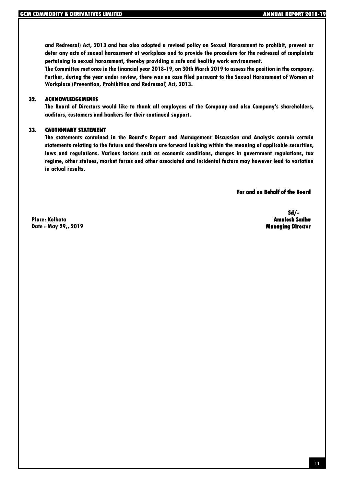**and Redressal) Act, 2013 and has also adopted a revised policy on Sexual Harassment to prohibit, prevent or deter any acts of sexual harassment at workplace and to provide the procedure for the redressal of complaints pertaining to sexual harassment, thereby providing a safe and healthy work environment.** 

**The Committee met once in the financial year 2018-19, on 30th March 2019 to assess the position in the company. Further, during the year under review, there was no case filed pursuant to the Sexual Harassment of Women at Workplace (Prevention, Prohibition and Redressal) Act, 2013.**

#### **32. ACKNOWLEDGEMENTS**

**The Board of Directors would like to thank all employees of the Company and also Company's shareholders, auditors, customers and bankers for their continued support.**

#### **33. CAUTIONARY STATEMENT**

**The statements contained in the Board's Report and Management Discussion and Analysis contain certain statements relating to the future and therefore are forward looking within the meaning of applicable securities, laws and regulations. Various factors such as economic conditions, changes in government regulations, tax regime, other statues, market forces and other associated and incidental factors may however lead to variation in actual results.**

**For and on Behalf of the Board** 

**Place: Kolkata Date : May 29,, 2019**

**Sd/- Amalesh Sadhu Managing Director**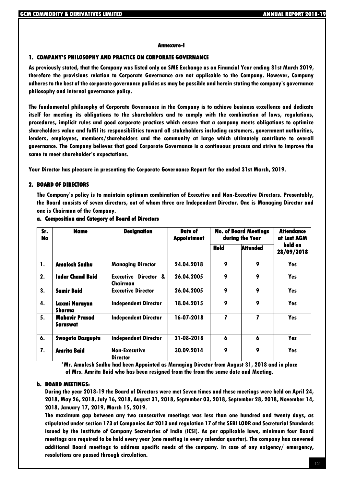#### **Annexure-I**

#### **1. COMPANY'S PHILOSOPHY AND PRACTICE ON CORPORATE GOVERNANCE**

**As previously stated, that the Company was listed only on SME Exchange as on Financial Year ending 31st March 2019, therefore the provisions relation to Corporate Governance are not applicable to the Company. However, Company adheres to the best of the corporate governance policies as may be possible and herein stating the company's governance philosophy and internal governance policy.**

**The fundamental philosophy of Corporate Governance in the Company is to achieve business excellence and dedicate itself for meeting its obligations to the shareholders and to comply with the combination of laws, regulations, procedures, implicit rules and good corporate practices which ensure that a company meets obligations to optimize shareholders value and fulfil its responsibilities toward all stakeholders including customers, government authorities, lenders, employees, members/shareholders and the community at large which ultimately contribute to overall governance. The Company believes that good Corporate Governance is a continuous process and strive to improve the same to meet shareholder's expectations.**

**Your Director has pleasure in presenting the Corporate Governance Report for the ended 31st March, 2019.**

#### **2. BOARD OF DIRECTORS**

**The Company's policy is to maintain optimum combination of Executive and Non-Executive Directors. Presentably, the Board consists of seven directors, out of whom three are Independent Director. One is Managing Director and one is Chairman of the Company.**

| Sr.<br>No        | <b>Name</b>                       | <b>Designation</b>                          | Date of<br><b>Appointment</b> |             | <b>No. of Board Meetings</b><br>during the Year | <b>Attendance</b><br>at Last AGM |
|------------------|-----------------------------------|---------------------------------------------|-------------------------------|-------------|-------------------------------------------------|----------------------------------|
|                  |                                   |                                             |                               | <b>Held</b> | <b>Attended</b>                                 | held on<br>28/09/2018            |
| 1.               | <b>Amalesh Sadhu</b>              | <b>Managing Director</b>                    | 24.04.2018                    | 9           | 9                                               | Yes                              |
| 2.               | <b>Inder Chand Baid</b>           | <b>Executive Director &amp;</b><br>Chairman | 26.04.2005                    | 9           | 9                                               | Yes                              |
| 3.               | <b>Samir Baid</b>                 | <b>Executive Director</b>                   | 26.04.2005                    | 9           | 9                                               | Yes                              |
| 4.               | Laxmi Narayan<br>Sharma           | <b>Independent Director</b>                 | 18.04.2015                    | 9           | 9                                               | Yes                              |
| 5.               | <b>Mahavir Prasad</b><br>Saraswat | <b>Independent Director</b>                 | 16-07-2018                    | 7           | 7                                               | Yes                              |
| 6.               | Swagata Dasgupta                  | <b>Independent Director</b>                 | 31-08-2018                    | 6           | 6                                               | Yes                              |
| $\overline{7}$ . | <b>Amrita Baid</b>                | <b>Non-Executive</b><br><b>Director</b>     | 30.09.2014                    | 9           | 9                                               | Yes                              |

#### **a. Composition and Category of Board of Directors**

**\*Mr. Amalesh Sadhu had been Appointed as Managing Director from August 31, 2018 and in place of Mrs. Amrita Baid who has been resigned from the from the same date and Meeting.** 

#### **b. BOARD MEETINGS:**

**During the year 2018-19 the Board of Directors were met Seven times and these meetings were held on April 24, 2018, May 26, 2018, July 16, 2018, August 31, 2018, September 03, 2018, September 28, 2018, November 14, 2018, January 17, 2019, March 15, 2019.**

**The maximum gap between any two consecutive meetings was less than one hundred and twenty days, as stipulated under section 173 of Companies Act 2013 and regulation 17 of the SEBI LODR and Secretarial Standards issued by the Institute of Company Secretaries of India (ICSI). As per applicable laws, minimum four Board meetings are required to be held every year (one meeting in every calendar quarter). The company has convened additional Board meetings to address specific needs of the company. In case of any exigency/ emergency, resolutions are passed through circulation.**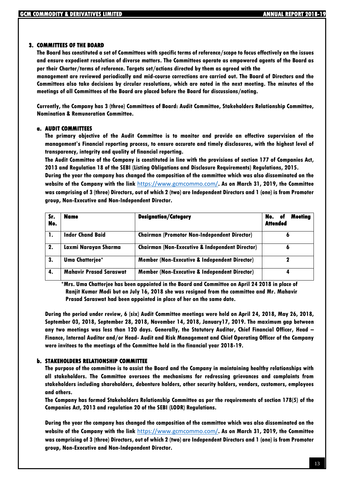#### **3. COMMITTEES OF THE BOARD**

**The Board has constituted a set of Committees with specific terms of reference/scope to focus effectively on the issues and ensure expedient resolution of diverse matters. The Committees operate as empowered agents of the Board as per their Charter/terms of reference. Targets set/actions directed by them as agreed with the**

**management are reviewed periodically and mid-course corrections are carried out. The Board of Directors and the Committees also take decisions by circular resolutions, which are noted in the next meeting. The minutes of the meetings of all Committees of the Board are placed before the Board for discussions/noting.**

**Currently, the Company has 3 (three) Committees of Board: Audit Committee, Stakeholders Relationship Committee, Nomination & Remuneration Committee.**

#### **a. AUDIT COMMITTEES**

**The primary objective of the Audit Committee is to monitor and provide an effective supervision of the management's Financial reporting process, to ensure accurate and timely disclosures, with the highest level of transparency, integrity and quality of financial reporting.**

**The Audit Committee of the Company is constituted in line with the provisions of section 177 of Companies Act, 2013 and Regulation 18 of the SEBI (Listing Obligations and Disclosure Requirements) Regulations, 2015.**

**During the year the company has changed the composition of the committee which was also disseminated on the website of the Company with the link** <https://www.gcmcommo.com/>**. As on March 31, 2019, the Committee was comprising of 3 (three) Directors, out of which 2 (two) are Independent Directors and 1 (one) is from Promoter group, Non-Executive and Non-Independent Director.**

| Sr.<br>No. | <b>Name</b>                    | <b>Designation/Category</b>                                | <b>Meeting</b><br>No.<br>of<br><b>Attended</b> |
|------------|--------------------------------|------------------------------------------------------------|------------------------------------------------|
| п.         | <b>Inder Chand Baid</b>        | <b>Chairman (Promotor Non-Independent Director)</b>        |                                                |
| 2.         | Laxmi Narayan Sharma           | <b>Chairman (Non-Executive &amp; Independent Director)</b> |                                                |
| 3.         | <b>Uma Chatterjee*</b>         | <b>Member (Non-Executive &amp; Independent Director)</b>   |                                                |
| 4.         | <b>Mahavir Prasad Saraswat</b> | <b>Member (Non-Executive &amp; Independent Director)</b>   |                                                |

**\*Mrs. Uma Chatterjee has been appointed in the Board and Committee on April 24 2018 in place of Ranjit Kumar Modi but on July 16, 2018 she was resigned from the committee and Mr. Mahavir Prasad Saraswat had been appointed in place of her on the same date.**

**During the period under review, 6 (six) Audit Committee meetings were held on April 24, 2018, May 26, 2018, September 03, 2018, September 28, 2018, November 14, 2018, January17, 2019. The maximum gap between any two meetings was less than 120 days. Generally, the Statutory Auditor, Chief Financial Officer, Head – Finance, Internal Auditor and/or Head- Audit and Risk Management and Chief Operating Officer of the Company were invitees to the meetings of the Committee held in the financial year 2018-19.**

#### **b. STAKEHOLDERS RELATIONSHIP COMMITTEE**

**The purpose of the committee is to assist the Board and the Company in maintaining healthy relationships with all stakeholders. The Committee oversees the mechanisms for redressing grievances and complaints from stakeholders including shareholders, debenture holders, other security holders, vendors, customers, employees and others.**

**The Company has formed Stakeholders Relationship Committee as per the requirements of section 178(5) of the Companies Act, 2013 and regulation 20 of the SEBI (LODR) Regulations.**

**During the year the company has changed the composition of the committee which was also disseminated on the website of the Company with the link** <https://www.gcmcommo.com/>**. As on March 31, 2019, the Committee was comprising of 3 (three) Directors, out of which 2 (two) are Independent Directors and 1 (one) is from Promoter group, Non-Executive and Non-Independent Director.**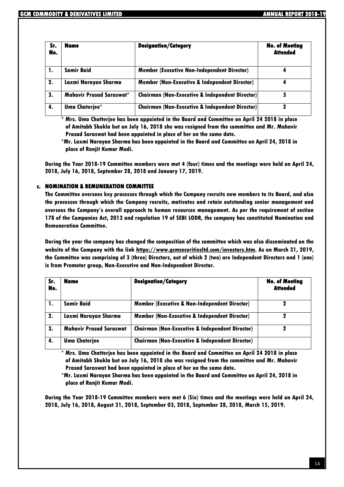| Sr.<br>No. | <b>Name</b>                     | <b>Designation/Category</b>                                | <b>No. of Meeting</b><br><b>Attended</b> |
|------------|---------------------------------|------------------------------------------------------------|------------------------------------------|
|            | <b>Samir Baid</b>               | <b>Member (Executive Non-Independent Director)</b>         |                                          |
| 2.         | Laxmi Narayan Sharma            | <b>Member (Non-Executive &amp; Independent Director)</b>   |                                          |
| 3.         | <b>Mahavir Prasad Saraswat*</b> | <b>Chairman (Non-Executive &amp; Independent Director)</b> |                                          |
| 4.         | <b>Uma Chaterjee*</b>           | Chairman (Non-Executive & Independent Director)            | 7                                        |

**\* Mrs. Uma Chatterjee has been appointed in the Board and Committee on April 24 2018 in place of Amitabh Shukla but on July 16, 2018 she was resigned from the committee and Mr. Mahavir Prasad Saraswat had been appointed in place of her on the same date.**

**\*Mr. Laxmi Narayan Sharma has been appointed in the Board and Committee on April 24, 2018 in place of Ranjit Kumar Modi.**

**During the Year 2018-19 Committee members were met 4 (four) times and the meetings were held on April 24, 2018, July 16, 2018, September 28, 2018 and January 17, 2019.** 

#### **c. NOMINATION & REMUNERATION COMMITTEE**

**The Committee oversees key processes through which the Company recruits new members to its Board, and also the processes through which the Company recruits, motivates and retain outstanding senior management and oversees the Company's overall approach to human resources management. As per the requirement of section 178 of the Companies Act, 2013 and regulation 19 of SEBI LODR, the company has constituted Nomination and Remuneration Committee.**

**During the year the company has changed the composition of the committee which was also disseminated on the website of the Company with the link [https://www.gcmsecuritiesltd.com/investors.htm.](https://www.gcmsecuritiesltd.com/investors.htm) As on March 31, 2019, the Committee was comprising of 3 (three) Directors, out of which 2 (two) are Independent Directors and 1 (one) is from Promoter group, Non-Executive and Non-Independent Director.**

| Sr.<br>No. | <b>Name</b>                    | <b>Designation/Category</b>                                | <b>No. of Meeting</b><br><b>Attended</b> |
|------------|--------------------------------|------------------------------------------------------------|------------------------------------------|
|            | <b>Samir Baid</b>              | <b>Member (Executive &amp; Non-Independent Director)</b>   |                                          |
| 2.         | Laxmi Narayan Sharma           | <b>Member (Non-Executive &amp; Independent Director)</b>   |                                          |
| 3.         | <b>Mahavir Prasad Saraswat</b> | <b>Chairman (Non-Executive &amp; Independent Director)</b> | 7                                        |
| 4.         | <b>Uma Chaterjee</b>           | <b>Chairman (Non-Executive &amp; Independent Director)</b> |                                          |

**\* Mrs. Uma Chatterjee has been appointed in the Board and Committee on April 24 2018 in place of Amitabh Shukla but on July 16, 2018 she was resigned from the committee and Mr. Mahavir Prasad Saraswat had been appointed in place of her on the same date.**

**\*Mr. Laxmi Narayan Sharma has been appointed in the Board and Committee on April 24, 2018 in place of Ranjit Kumar Modi.**

**During the Year 2018-19 Committee members were met 6 (Six) times and the meetings were held on April 24, 2018, July 16, 2018, August 31, 2018, September 03, 2018, September 28, 2018, March 15, 2019.**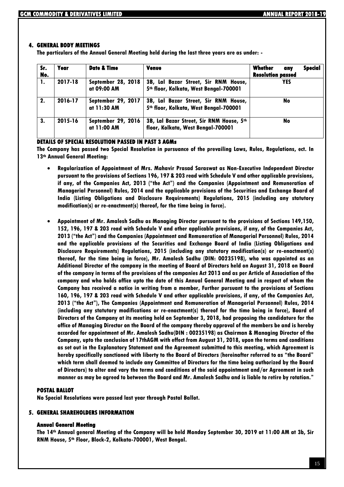#### **4. GENERAL BODY MEETINGS**

**The particulars of the Annual General Meeting held during the last three years are as under: -**

| Sr.<br>No. | <b>Year</b> | <b>Date &amp; Time</b>                   | <b>Venue</b>                                                                               | <b>Whether</b><br>anv<br><b>Resolution passed</b> | <b>Special</b> |
|------------|-------------|------------------------------------------|--------------------------------------------------------------------------------------------|---------------------------------------------------|----------------|
|            |             |                                          |                                                                                            |                                                   |                |
| 1.         | 2017-18     | September 28, 2018<br>at 09:00 AM        | 3B, Lal Bazar Street, Sir RNM House,<br>5 <sup>th</sup> floor, Kolkata, West Bengal-700001 | YES                                               |                |
| 2.         | 2016-17     | September 29, 2017<br>at 11:30 AM        | 3B, Lal Bazar Street, Sir RNM House,<br>5 <sup>th</sup> floor, Kolkata, West Bengal-700001 | No                                                |                |
| 3.         | 2015-16     | <b>September 29, 2016</b><br>at 11:00 AM | 3B, Lal Bazar Street, Sir RNM House, 5th<br>floor, Kolkata, West Bengal-700001             | No                                                |                |

#### **DETAILS OF SPECIAL RESOLUTION PASSED IN PAST 3 AGMs**

**The Company has passed two Special Resolution in pursuance of the prevailing Laws, Rules, Regulations, ect. In 13th Annual General Meeting:**

- **Regularization of Appointment of Mrs. Mahavir Prasad Saraswat as Non-Executive Independent Director pursuant to the provisions of Sections 196, 197 & 203 read with Schedule V and other applicable provisions, if any, of the Companies Act, 2013 ("the Act") and the Companies (Appointment and Remuneration of Managerial Personnel) Rules, 2014 and the applicable provisions of the Securities and Exchange Board of India (Listing Obligations and Disclosure Requirements) Regulations, 2015 (including any statutory modification(s) or re-enactment(s) thereof, for the time being in force).**
- **Appointment of Mr. Amalesh Sadhu as Managing Director pursuant to the provisions of Sections 149,150, 152, 196, 197 & 203 read with Schedule V and other applicable provisions, if any, of the Companies Act, 2013 ("the Act") and the Companies (Appointment and Remuneration of Managerial Personnel) Rules, 2014 and the applicable provisions of the Securities and Exchange Board of India (Listing Obligations and Disclosure Requirements) Regulations, 2015 (including any statutory modification(s) or re-enactment(s) thereof, for the time being in force), Mr. Amalesh Sadhu (DIN: 00235198), who was appointed as an Additional Director of the company in the meeting of Board of Directors held on August 31, 2018 on Board of the company in terms of the provisions of the companies Act 2013 and as per Article of Association of the company and who holds office upto the date of this Annual General Meeting and in respect of whom the Company has received a notice in writing from a member, Further pursuant to the provisions of Sections 160, 196, 197 & 203 read with Schedule V and other applicable provisions, if any, of the Companies Act, 2013 ("the Act"), The Companies (Appointment and Remuneration of Managerial Personnel) Rules, 2014 (including any statutory modifications or re-enactment(s) thereof for the time being in force), Board of Directors of the Company at its meeting held on September 3, 2018, had proposing the candidature for the office of Managing Director on the Board of the company thereby approval of the members be and is hereby accorded for appointment of Mr. Amalesh Sadhu(DIN : 00235198) as Chairman & Managing Director of the Company, upto the conclusion of 17thAGM with effect from August 31, 2018, upon the terms and conditions as set out in the Explanatory Statement and the Agreement submitted to this meeting, which Agreement is hereby specifically sanctioned with liberty to the Board of Directors (hereinafter referred to as "the Board" which term shall deemed to include any Committee of Directors for the time being authorized by the Board of Directors) to alter and vary the terms and conditions of the said appointment and/or Agreement in such manner as may be agreed to between the Board and Mr. Amalesh Sadhu and is liable to retire by rotation."**

#### **POSTAL BALLOT**

**No Special Resolutions were passed last year through Postal Ballot.**

#### **5. GENERAL SHAREHOLDERS INFORMATION**

#### **Annual General Meeting**

**The 14th Annual general Meeting of the Company will be held Monday September 30, 2019 at 11:00 AM at 3b, Sir RNM House, 5th Floor, Block-2, Kolkata-700001, West Bengal.**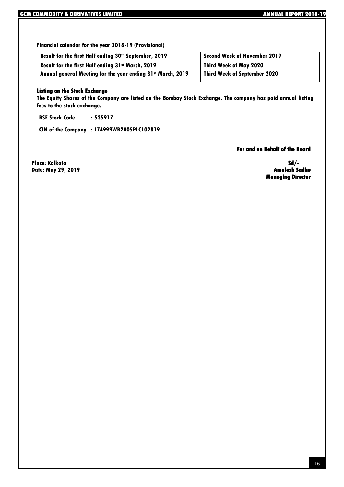**Financial calendar for the year 2018-19 (Provisional)**

| Result for the first Half ending 30th September, 2019       | <b>Second Week of November 2019</b> |
|-------------------------------------------------------------|-------------------------------------|
| Result for the first Half ending 31st March, 2019           | Third Week of May 2020              |
| Annual general Meeting for the year ending 31st March, 2019 | <b>Third Week of September 2020</b> |

#### **Listing on the Stock Exchange**

**The Equity Shares of the Company are listed on the Bombay Stock Exchange. The company has paid annual listing fees to the stock exchange.**

**BSE Stock Code : 535917**

**CIN of the Company : L74999WB2005PLC102819**

**For and on Behalf of the Board** 

**Place: Kolkata Date: May 29, 2019**

**Sd/- Amalesh Sadhu Managing Director**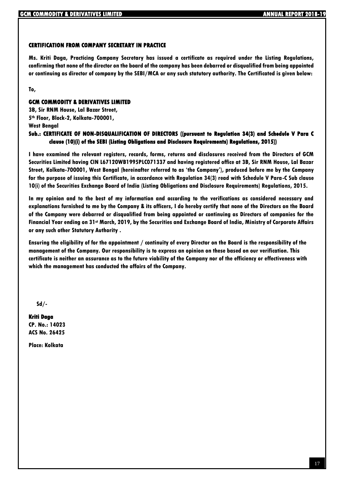#### **CERTIFICATION FROM COMPANY SECRETARY IN PRACTICE**

**Ms. Kriti Daga, Practicing Company Secretary has issued a certificate as required under the Listing Regulations, confirming that none of the director on the board of the company has been debarred or disqualified from being appointed or continuing as director of company by the SEBI/MCA or any such statutory authority. The Certificated is given below:**

**To,**

#### **GCM COMMODITY & DERIVATIVES LIMITED**

**3B, Sir RNM House, Lal Bazar Street, 5th Floor, Block-2, Kolkata-700001,** 

#### **West Bengal**

#### **Sub.: CERTIFICATE OF NON-DISQUALIFICATION OF DIRECTORS ((pursuant to Regulation 34(3) and Schedule V Para C clause (10)(i) of the SEBI (Listing Obligations and Disclosure Requirements) Regulations, 2015))**

**I have examined the relevant registers, records, forms, returns and disclosures received from the Directors of GCM Securities Limited having CIN L67120WB1995PLC071337 and having registered office at 3B, Sir RNM House, Lal Bazar Street, Kolkata-700001, West Bengal (hereinafter referred to as 'the Company'), produced before me by the Company for the purpose of issuing this Certificate, in accordance with Regulation 34(3) read with Schedule V Para-C Sub clause 10(i) of the Securities Exchange Board of India (Listing Obligations and Disclosure Requirements) Regulations, 2015.** 

**In my opinion and to the best of my information and according to the verifications as considered necessary and explanations furnished to me by the Company & its officers, I do hereby certify that none of the Directors on the Board of the Company were debarred or disqualified from being appointed or continuing as Directors of companies for the Financial Year ending on 31st March, 2019, by the Securities and Exchange Board of India, Ministry of Corporate Affairs or any such other Statutory Authority .**

**Ensuring the eligibility of for the appointment / continuity of every Director on the Board is the responsibility of the management of the Company. Our responsibility is to express an opinion on these based on our verification. This certificate is neither an assurance as to the future viability of the Company nor of the efficiency or effectiveness with which the management has conducted the affairs of the Company.**

 **Sd/-**

**Kriti Daga CP. No.: 14023 ACS No. 26425**

**Place: Kolkata**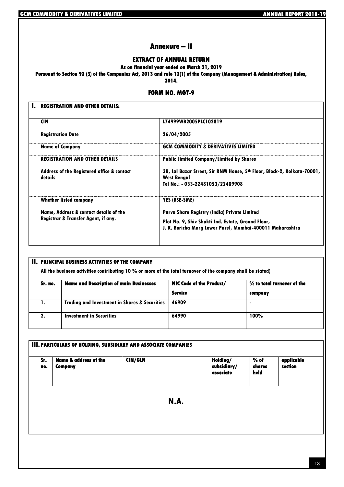#### **Annexure – II**

### **EXTRACT OF ANNUAL RETURN**

**As on financial year ended on March 31, 2019** 

**Pursuant to Section 92 (3) of the Companies Act, 2013 and rule 12(1) of the Company (Management & Administration) Rules,** 

**2014.** 

#### **FORM NO. MGT-9**

| <b>REGISTRATION AND OTHER DETAILS:</b>                                        |                                                                                                                                                                 |  |
|-------------------------------------------------------------------------------|-----------------------------------------------------------------------------------------------------------------------------------------------------------------|--|
| <b>CIN</b>                                                                    | L74999WB2005PLC102819                                                                                                                                           |  |
| <b>Registration Date</b>                                                      | 26/04/2005                                                                                                                                                      |  |
| <b>Name of Company</b>                                                        | <b>GCM COMMODITY &amp; DERIVATIVES LIMITED</b>                                                                                                                  |  |
| <b>REGISTRATION AND OTHER DETAILS</b>                                         | <b>Public Limited Company/Limited by Shares</b>                                                                                                                 |  |
| <b>Address of the Registered office &amp; contact</b><br>details              | 3B, Lal Bazar Street, Sir RNM House, 5th Floor, Block-2, Kolkata-70001,<br><b>West Bengal</b><br>Tel No.: - 033-22481053/22489908                               |  |
| <b>Whether listed company</b>                                                 | YES (BSE-SME)                                                                                                                                                   |  |
| Name, Address & contact details of the<br>Registrar & Transfer Agent, if any. | Purva Share Registry (India) Private Limited<br>Plot No. 9, Shiv Shakti Ind. Estate, Ground Floor,<br>J. R. Boricha Marg Lower Parel, Mumbai-400011 Maharashtra |  |

|                                                                                                             | <b>II. PRINCIPAL BUSINESS ACTIVITIES OF THE COMPANY</b>  |                          |                            |  |  |
|-------------------------------------------------------------------------------------------------------------|----------------------------------------------------------|--------------------------|----------------------------|--|--|
| All the business activities contributing 10 % or more of the total turnover of the company shall be stated) |                                                          |                          |                            |  |  |
| Sr. no.                                                                                                     | <b>Name and Description of main Businesses</b>           | NIC Code of the Product/ | % to total turnover of the |  |  |
|                                                                                                             |                                                          | <b>Service</b>           | company                    |  |  |
|                                                                                                             | <b>Trading and Investment in Shares &amp; Securities</b> | 46909                    |                            |  |  |
| 2.                                                                                                          | <b>Investment in Securities</b>                          | 64990                    | 100%                       |  |  |

| Sr.<br>no. | <b>Name &amp; address of the</b><br><b>Company</b> | CIN/GLN     | Holding/<br>subsidiary/<br>associate | $%$ of<br>shares<br>held | applicable<br>section |
|------------|----------------------------------------------------|-------------|--------------------------------------|--------------------------|-----------------------|
|            |                                                    | <b>N.A.</b> |                                      |                          |                       |
|            |                                                    |             |                                      |                          |                       |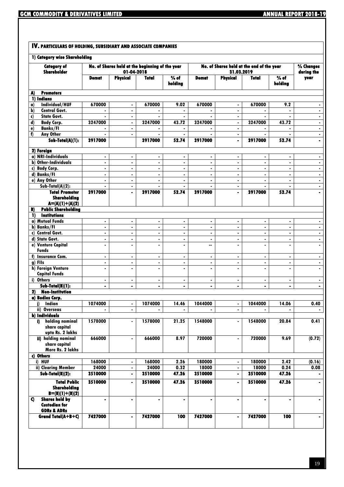#### **GCM COMMODITY & DERIVATIVES LIMITED ANNUAL REPORT 2018-19**

| 1) Category wise Shareholding                                                 |                                  |                                                               |                                  |                     |                                  |                                  |                                           |                                  |                                  |
|-------------------------------------------------------------------------------|----------------------------------|---------------------------------------------------------------|----------------------------------|---------------------|----------------------------------|----------------------------------|-------------------------------------------|----------------------------------|----------------------------------|
| <b>Category of</b><br>Shareholder                                             |                                  | No. of Shares held at the beginning of the year<br>01-04-2018 |                                  |                     |                                  | 31.03.2019                       | No. of Shares held at the end of the year |                                  | % Changes<br>during the          |
|                                                                               | <b>Demat</b>                     | <b>Physical</b>                                               | <b>Total</b>                     | % of<br>holding     | Demat                            | <b>Physical</b>                  | <b>Total</b>                              | % of<br>holding                  | year                             |
| <b>Promoters</b><br>A)                                                        |                                  |                                                               |                                  |                     |                                  |                                  |                                           |                                  |                                  |
| <b>Indians</b><br>Ð                                                           |                                  |                                                               |                                  |                     |                                  |                                  |                                           |                                  |                                  |
| Individual/HUF<br>$\alpha$                                                    | 670000                           | $\blacksquare$                                                | 670000                           | 9.02                | 670000                           | $\blacksquare$                   | 670000                                    | 9.2                              |                                  |
| <b>Central Govt.</b><br>b)<br><b>State Govt.</b><br>c)                        | $\blacksquare$                   | $\blacksquare$<br>$\blacksquare$                              | $\blacksquare$<br>ä,             | ٠                   | $\blacksquare$<br>$\blacksquare$ | $\blacksquare$<br>$\blacksquare$ | $\blacksquare$                            | $\blacksquare$                   | ٠<br>÷.                          |
| d)<br><b>Body Corp.</b>                                                       | 3247000                          | $\blacksquare$                                                | 3247000                          | 43.72               | 3247000                          | $\blacksquare$                   | 3247000                                   | 43.72                            | $\blacksquare$                   |
| <b>Banks/FI</b><br>$\mathbf{e})$                                              |                                  | $\blacksquare$                                                |                                  |                     |                                  | $\blacksquare$                   |                                           |                                  | $\blacksquare$                   |
| f)<br><b>Any Other</b>                                                        |                                  | $\blacksquare$                                                |                                  |                     |                                  | $\blacksquare$                   |                                           |                                  | ٠                                |
| Sub-Total(A)(1):                                                              | 3917000                          |                                                               | 3917000                          | 52.74               | 3917000                          | $\blacksquare$                   | 3917000                                   | 52.74                            |                                  |
| 2) Foreign                                                                    |                                  |                                                               |                                  |                     |                                  |                                  |                                           |                                  |                                  |
| a) NRI-Individuals                                                            | $\blacksquare$                   | $\blacksquare$                                                | $\blacksquare$                   | $\blacksquare$      | $\blacksquare$                   | $\blacksquare$                   | $\blacksquare$                            | $\blacksquare$                   |                                  |
| b) Other-Individuals                                                          | $\blacksquare$                   | $\blacksquare$                                                | $\blacksquare$                   | $\blacksquare$      | ٠                                | $\blacksquare$                   | $\blacksquare$                            | $\blacksquare$                   | $\blacksquare$                   |
| c) Body Corp.                                                                 | $\blacksquare$                   | $\blacksquare$                                                | $\blacksquare$                   | $\blacksquare$      | $\blacksquare$                   | $\blacksquare$                   | $\blacksquare$                            |                                  | $\blacksquare$                   |
| d) Banks/FI<br>e) Any Other                                                   | $\blacksquare$                   | ٠                                                             | $\blacksquare$                   | $\blacksquare$      | $\blacksquare$                   | $\blacksquare$                   | $\blacksquare$                            |                                  | $\blacksquare$                   |
| Sub-Total(A)(2):                                                              | $\blacksquare$                   | ٠<br>۰                                                        | $\blacksquare$                   | ٠<br>٠              | $\blacksquare$                   | $\blacksquare$<br>٠              | $\blacksquare$                            | $\blacksquare$                   | $\blacksquare$<br>$\blacksquare$ |
| <b>Total Promoter</b><br>Shareholdina                                         | 3917000                          | $\blacksquare$                                                | 3917000                          | 52.74               | 3917000                          |                                  | 3917000                                   | 52.74                            |                                  |
| $A=(A)(1)+(A)(2)$                                                             |                                  |                                                               |                                  |                     |                                  |                                  |                                           |                                  |                                  |
| <b>Public Shareholding</b><br>B)                                              |                                  |                                                               |                                  |                     |                                  |                                  |                                           |                                  |                                  |
| <b>Institutions</b><br>Ð                                                      |                                  |                                                               |                                  |                     |                                  |                                  |                                           |                                  |                                  |
| a) Mutual Funds                                                               | $\blacksquare$                   | $\blacksquare$                                                | $\blacksquare$                   | $\blacksquare$      | $\blacksquare$                   | $\blacksquare$                   | $\blacksquare$                            | ٠                                | ٠                                |
| b) Banks/FI<br>c) Central Govt.                                               | $\blacksquare$                   | ٠                                                             | $\blacksquare$                   | $\blacksquare$      | $\blacksquare$                   | $\blacksquare$                   | $\blacksquare$                            | $\blacksquare$                   | $\blacksquare$<br>$\blacksquare$ |
| d) State Govt.                                                                | $\blacksquare$<br>$\blacksquare$ | ٠<br>٠                                                        | $\blacksquare$<br>$\blacksquare$ | $\blacksquare$<br>٠ | $\blacksquare$<br>٠              | $\blacksquare$<br>$\blacksquare$ | $\blacksquare$<br>$\blacksquare$          | $\blacksquare$<br>$\blacksquare$ | ٠                                |
| e) Venture Capital<br><b>Funds</b>                                            | $\blacksquare$                   | $\blacksquare$                                                | $\blacksquare$                   | ÷                   |                                  | $\blacksquare$                   | $\blacksquare$                            |                                  |                                  |
| <b>Insurance Com.</b><br>f                                                    | $\blacksquare$                   | ٠                                                             | $\blacksquare$                   | ٠                   | ٠                                | ٠                                | $\blacksquare$                            | ٠                                | ٠                                |
| $g)$ FIIs                                                                     | $\blacksquare$                   | ٠                                                             |                                  | ٠                   | ٠                                | $\blacksquare$                   | $\blacksquare$                            | ٠                                |                                  |
| h) Foreign Venture<br><b>Capital Funds</b>                                    |                                  | ٠                                                             |                                  | $\blacksquare$      | $\blacksquare$                   |                                  |                                           | $\blacksquare$                   |                                  |
| i) Others                                                                     | $\blacksquare$                   | ٠                                                             | ۰                                | ٠                   | ٠                                | $\blacksquare$                   | $\blacksquare$                            | ٠                                |                                  |
| $Sub-Total(B)(1):$                                                            | $\blacksquare$                   | $\blacksquare$                                                | ۰                                | $\blacksquare$      | $\blacksquare$                   | $\blacksquare$                   | $\blacksquare$                            | ٠                                |                                  |
| 2)<br><b>Non-Institution</b>                                                  |                                  |                                                               |                                  |                     |                                  |                                  |                                           |                                  |                                  |
| a) Bodies Corp.                                                               |                                  |                                                               |                                  |                     |                                  |                                  |                                           |                                  |                                  |
| Indian                                                                        | 1074000                          | $\blacksquare$                                                | 1074000                          | 14.46               | 1044000                          | $\blacksquare$                   | 1044000                                   | 14.06                            | 0.40                             |
| ii) Overseas<br>b) Individuals                                                |                                  | ٠                                                             |                                  |                     |                                  |                                  |                                           |                                  |                                  |
| holding nominal<br>i)<br>share capital                                        | 1578000                          | $\blacksquare$                                                | 1578000                          | 21.25               | 1548000                          | $\blacksquare$                   | 1548000                                   | 20.84                            | 0.41                             |
| upto Rs. 2 lakhs                                                              |                                  |                                                               |                                  |                     |                                  |                                  |                                           |                                  |                                  |
| ii) holding nominal<br>share capital<br>More Rs. 2 lakhs                      | 666000                           | $\blacksquare$                                                | 666000                           | 8.97                | 720000                           |                                  | 720000                                    | 9.69                             | (0.72)                           |
| c) Others                                                                     |                                  |                                                               |                                  |                     |                                  |                                  |                                           |                                  |                                  |
| $i)$ HUF                                                                      | 168000                           | $\blacksquare$                                                | 168000                           | 2.26                | 180000                           | $\blacksquare$                   | 180000                                    | 2.42                             | (0.16)                           |
| ii) Clearing Member                                                           | 24000                            | $\blacksquare$                                                | 24000                            | 0.32                | 18000                            | $\blacksquare$                   | 18000                                     | 0.24                             | 0.08                             |
| Sub-Total(B)(2):                                                              | 3510000                          | $\blacksquare$                                                | 3510000                          | 47.26               | 3510000                          | $\blacksquare$                   | 3510000                                   | 47.26                            |                                  |
| <b>Total Public</b><br>Shareholding<br>$B=(B)(1)+(B)(2)$                      | 3510000                          | $\blacksquare$                                                | 3510000                          | 47.26               | 3510000                          | $\blacksquare$                   | 3510000                                   | 47.26                            |                                  |
| <b>Shares held by</b><br>C)<br><b>Custodian for</b><br><b>GDRs &amp; ADRs</b> | $\blacksquare$                   | $\blacksquare$                                                | $\blacksquare$                   | $\blacksquare$      | $\blacksquare$                   | $\frac{1}{2}$                    |                                           |                                  |                                  |
|                                                                               |                                  |                                                               | 7427000                          | 100                 | 7427000                          |                                  | 7427000                                   | 100                              |                                  |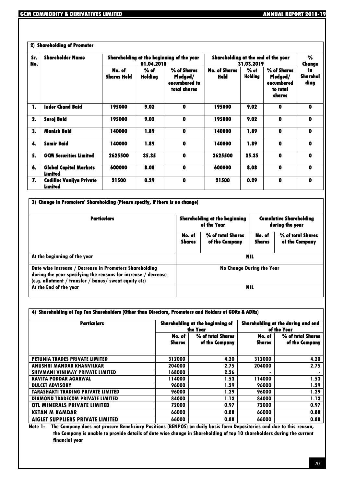#### **2) Shareholding of Promoter**

|     |                                            |                                           |                          |                                                          |                                     | %                                   |                                                             |                        |  |
|-----|--------------------------------------------|-------------------------------------------|--------------------------|----------------------------------------------------------|-------------------------------------|-------------------------------------|-------------------------------------------------------------|------------------------|--|
| Sr. | <b>Shareholder Name</b>                    | Shareholding at the beginning of the year |                          |                                                          |                                     | Shareholding at the end of the year |                                                             |                        |  |
| No. |                                            |                                           | 01.04.2018               |                                                          |                                     | 31.03.2019                          |                                                             |                        |  |
|     |                                            | No. of<br><b>Shares Held</b>              | $%$ of<br><b>Holding</b> | % of Shares<br>Pledged/<br>encumbered to<br>total shares | <b>No. of Shares</b><br><b>Held</b> | $%$ of<br><b>Holding</b>            | % of Shares<br>Pledged/<br>encumbered<br>to total<br>shares | in<br>Sharehol<br>ding |  |
| 1.  | <b>Inder Chand Baid</b>                    | 195000                                    | 9.02                     | O                                                        | 195000                              | 9.02                                | $\mathbf 0$                                                 | 0                      |  |
| 2.  | Saroj Baid                                 | 195000                                    | 9.02                     | O                                                        | 195000                              | 9.02                                | 0                                                           | 0                      |  |
| 3.  | <b>Manish Baid</b>                         | 140000                                    | 1.89                     | O                                                        | 140000                              | 1.89                                | $\bullet$                                                   | 0                      |  |
| 4.  | <b>Samir Baid</b>                          | 140000                                    | 1.89                     | O                                                        | 140000                              | 1.89                                | 0                                                           | 0                      |  |
| 5.  | <b>GCM Securities Limited</b>              | 2625500                                   | 35.35                    | O                                                        | 2625500                             | 35.35                               | $\bullet$                                                   | 0                      |  |
| 6.  | <b>Global Capital Markets</b><br>Limited   | 600000                                    | 8.08                     | O                                                        | 600000                              | 8.08                                | $\bullet$                                                   | 0                      |  |
| 7.  | <b>Cadillac Vanijya Private</b><br>Limited | 21500                                     | 0.29                     | O                                                        | 21500                               | 0.29                                | $\mathbf 0$                                                 | 0                      |  |

#### **3) Change in Promoters' Shareholding (Please specify, if there is no change)**

| <b>Particulars</b>                                                                                                                                                                 |                         | <b>Shareholding at the beginning</b><br>of the Year | <b>Cumulative Shareholding</b><br>during the year |                                     |  |  |
|------------------------------------------------------------------------------------------------------------------------------------------------------------------------------------|-------------------------|-----------------------------------------------------|---------------------------------------------------|-------------------------------------|--|--|
|                                                                                                                                                                                    | No. of<br><b>Shares</b> | % of total Shares<br>of the Company                 | No. of<br><b>Shares</b>                           | % of total Shares<br>of the Company |  |  |
| At the beginning of the year                                                                                                                                                       |                         | NIL                                                 |                                                   |                                     |  |  |
| Date wise Increase / Decrease in Promoters Shareholding<br>during the year specifying the reasons for increase / decrease<br>(e.g. allotment / transfer / bonus/ sweat equity etc) |                         | <b>No Change During the Year</b>                    |                                                   |                                     |  |  |
| At the End of the year                                                                                                                                                             |                         |                                                     | NIL                                               |                                     |  |  |

#### **4) Shareholding of Top Ten Shareholders (Other than Directors, Promoters and Holders of GDRs & ADRs)**

| <b>Particulars</b>                        |                         | <b>Shareholding at the beginning of</b><br>the Year | Shareholding at the during and end<br>of the Year |                                     |
|-------------------------------------------|-------------------------|-----------------------------------------------------|---------------------------------------------------|-------------------------------------|
|                                           | No. of<br><b>Shares</b> | % of total Shares<br>of the Company                 | No. of<br><b>Shares</b>                           | % of total Shares<br>of the Company |
| <b>PETUNIA TRADES PRIVATE LIMITED</b>     | 312000                  | 4.20                                                | 312000                                            | 4.20                                |
| <b>ANUSHRI MANDAR KHANVILKAR</b>          | 204000                  | 2.75                                                | 204000                                            | 2.75                                |
| <b>SHIVMANI VINIMAY PRIVATE LIMITED</b>   | 168000                  | 2.26                                                | -                                                 |                                     |
| <b>KAVITA PODDAR AGARWAL</b>              | 114000                  | 1.53                                                | 114000                                            | 1.53                                |
| <b>DULCET ADVISORY</b>                    | 96000                   | 1.29                                                | 96000                                             | 1.29                                |
| <b>TARASHAKTI TRADING PRIVATE LIMITED</b> | 96000                   | 1.29                                                | 96000                                             | 1.29                                |
| <b>DIAMOND TRADECOM PRIVATE LIMITED</b>   | 84000                   | 1.13                                                | 84000                                             | 1.13                                |
| <b>OTL MINERALS PRIVATE LIMITED</b>       | 72000                   | 0.97                                                | 72000                                             | 0.97                                |
| <b>KETAN M KAMDAR</b>                     | 66000                   | 0.88                                                | 66000                                             | 0.88                                |
| AIGLET SUPPLIERS PRIVATE LIMITED          | 66000                   | 0.88                                                | 66000                                             | 0.88                                |

**Note 1: The Company does not procure Beneficiary Positions (BENPOS) on daily basis form Depositories and due to this reason, the Company is unable to provide details of date wise change in Shareholding of top 10 shareholders during the current financial year**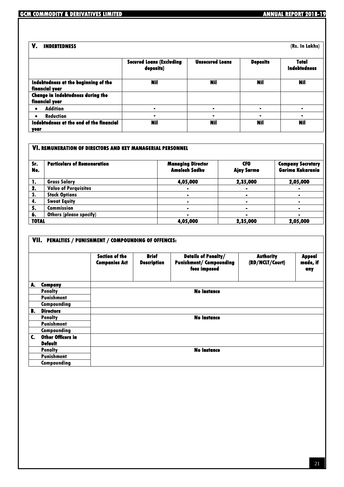### **V. INDEBTEDNESS (Rs. In Lakhs)**

|                                                         | <b>Secured Loans (Excluding</b><br>deposits) | <b>Unsecured Loans</b> | <b>Deposits</b> | <b>Total</b><br><b>Indebtedness</b> |
|---------------------------------------------------------|----------------------------------------------|------------------------|-----------------|-------------------------------------|
| Indebtedness at the beginning of the<br>financial year  | <b>Nil</b>                                   | <b>Nil</b>             | Nil             | <b>Nil</b>                          |
| Change in Indebtedness during the<br>financial year     |                                              |                        |                 |                                     |
| <b>Addition</b><br>$\bullet$                            |                                              |                        |                 | ٠                                   |
| <b>Reduction</b><br>$\bullet$                           | $\blacksquare$                               |                        |                 | $\blacksquare$                      |
| Indebtedness at the end of the financial<br><b>vear</b> | <b>Nil</b>                                   | Nil                    | <b>Nil</b>      | Nil                                 |

| VI. REMUNERATION OF DIRECTORS AND KEY MANAGERIAL PERSONNEL |                                    |                                                  |                          |                                              |  |  |
|------------------------------------------------------------|------------------------------------|--------------------------------------------------|--------------------------|----------------------------------------------|--|--|
| Sr.<br>No.                                                 | <b>Particulars of Remuneration</b> | <b>Managing Director</b><br><b>Amalesh Sadhu</b> | CFO<br><b>Ajay Sarma</b> | <b>Company Secretary</b><br>Garima Kakarania |  |  |
| 1.                                                         | <b>Gross Salary</b>                | 4,05,000                                         | 2,35,000                 | 2,05,000                                     |  |  |
| 2.                                                         | <b>Value of Perquisites</b>        | $\bullet$                                        |                          |                                              |  |  |
| 3.                                                         | <b>Stock Options</b>               | $\blacksquare$                                   |                          |                                              |  |  |
| 4.                                                         | <b>Sweat Equity</b>                | $\blacksquare$                                   |                          |                                              |  |  |
| 5.                                                         | <b>Commission</b>                  | ۰                                                |                          |                                              |  |  |
| 6.                                                         | <b>Others (please specify)</b>     | ۰                                                |                          |                                              |  |  |
| <b>TOTAL</b>                                               |                                    | 4,05,000                                         | 2,35,000                 | 2,05,000                                     |  |  |

| VII.<br>PENALTIES / PUNISHMENT / COMPOUNDING OF OFFENCES: |                          |                                               |                                    |                                                                              |                                     |                                  |
|-----------------------------------------------------------|--------------------------|-----------------------------------------------|------------------------------------|------------------------------------------------------------------------------|-------------------------------------|----------------------------------|
|                                                           |                          | <b>Section of the</b><br><b>Companies Act</b> | <b>Brief</b><br><b>Description</b> | <b>Details of Penalty/</b><br><b>Punishment/ Compounding</b><br>fees imposed | <b>Authority</b><br>(RD/NCLT/Court) | <b>Appeal</b><br>made, if<br>any |
| A.                                                        | <b>Company</b>           |                                               |                                    |                                                                              |                                     |                                  |
|                                                           | <b>Penalty</b>           |                                               |                                    | <b>No Instance</b>                                                           |                                     |                                  |
|                                                           | <b>Punishment</b>        |                                               |                                    |                                                                              |                                     |                                  |
|                                                           | Compounding              |                                               |                                    |                                                                              |                                     |                                  |
| B.                                                        | <b>Directors</b>         |                                               |                                    |                                                                              |                                     |                                  |
|                                                           | <b>Penalty</b>           |                                               |                                    | <b>No Instance</b>                                                           |                                     |                                  |
|                                                           | <b>Punishment</b>        |                                               |                                    |                                                                              |                                     |                                  |
|                                                           | Compounding              |                                               |                                    |                                                                              |                                     |                                  |
| C.                                                        | <b>Other Officers in</b> |                                               |                                    |                                                                              |                                     |                                  |
|                                                           | <b>Default</b>           |                                               |                                    |                                                                              |                                     |                                  |
|                                                           | <b>Penalty</b>           |                                               |                                    | <b>No Instance</b>                                                           |                                     |                                  |
|                                                           | <b>Punishment</b>        |                                               |                                    |                                                                              |                                     |                                  |
|                                                           | Compounding              |                                               |                                    |                                                                              |                                     |                                  |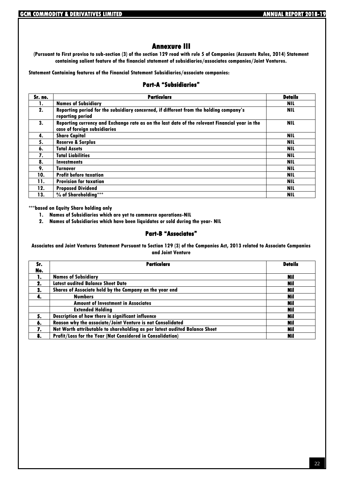#### **Annexure III**

**(Pursuant to First proviso to sub-section (3) of the section 129 read with rule 5 of Companies (Accounts Rules, 2014) Statement containing salient feature of the financial statement of subsidiaries/associates companies/Joint Ventures.**

**Statement Containing features of the Financial Statement Subsidiaries/associate companies:**

### **Part-A "Subsidiaries"**

| Sr. no. | <b>Particulars</b>                                                                                                             | <b>Details</b> |
|---------|--------------------------------------------------------------------------------------------------------------------------------|----------------|
| п.      | <b>Names of Subsidiary</b>                                                                                                     | <b>NIL</b>     |
| 2.      | Reporting period for the subsidiary concerned, if different from the holding company's<br>reporting period                     | <b>NIL</b>     |
| 3.      | Reporting currency and Exchange rate as on the last date of the relevant Financial year in the<br>case of foreign subsidiaries | <b>NIL</b>     |
| 4.      | <b>Share Capital</b>                                                                                                           | <b>NIL</b>     |
| 5.      | <b>Reserve &amp; Surplus</b>                                                                                                   | <b>NIL</b>     |
| 6.      | <b>Total Assets</b>                                                                                                            | <b>NIL</b>     |
| 7.      | <b>Total Liabilities</b>                                                                                                       | <b>NIL</b>     |
| 8.      | <b>Investments</b>                                                                                                             | <b>NIL</b>     |
| 9.      | <b>Turnover</b>                                                                                                                | <b>NIL</b>     |
| 10.     | <b>Profit before taxation</b>                                                                                                  | <b>NIL</b>     |
| 11.     | <b>Provision for taxation</b>                                                                                                  | <b>NIL</b>     |
| 12.     | <b>Proposed Dividend</b>                                                                                                       | <b>NIL</b>     |
| 13.     | % of Shareholding***                                                                                                           | <b>NIL</b>     |

**\*\*\*based on Equity Share holding only**

- **1. Names of Subsidiaries which are yet to commerce operations-NIL**
- **2. Names of Subsidiaries which have been liquidates or sold during the year- NIL**

#### **Part-B "Associates"**

**Associates and Joint Ventures Statement Pursuant to Section 129 (3) of the Companies Act, 2013 related to Associate Companies and Joint Venture**

| Sr. | <b>Particulars</b>                                                         | <b>Details</b> |
|-----|----------------------------------------------------------------------------|----------------|
| No. |                                                                            |                |
| 1.  | <b>Names of Subsidiary</b>                                                 | Nil            |
| 2.  | <b>Latest audited Balance Sheet Date</b>                                   | Nil            |
| 3.  | Shares of Associate held by the Company on the year end                    | Nil            |
| 4.  | <b>Numbers</b>                                                             | Nil            |
|     | <b>Amount of Investment in Associates</b>                                  | <b>Nil</b>     |
|     | <b>Extended Holding</b>                                                    | <b>Nil</b>     |
| 5.  | Description of how there is significant influence                          | <b>Nil</b>     |
| 6.  | Reason why the associate/Joint Venture is not Consolidated                 | <b>Nil</b>     |
| 7.  | Net Worth attributable to shareholding as per latest audited Balance Sheet | <b>Nil</b>     |
| 8.  | Profit/Loss for the Year (Not Considered in Consolidation)                 | <b>Nil</b>     |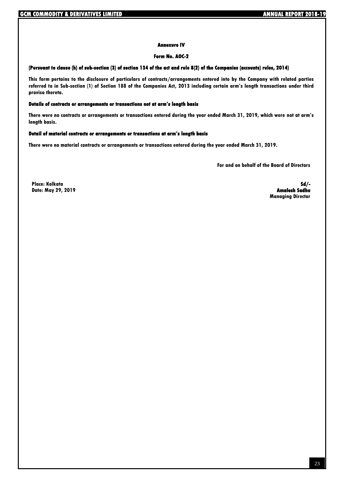#### **Annexure IV**

#### **Form No. AOC-2**

#### **(Pursuant to clause (h) of sub-section (3) of section 134 of the act and rule 8(2) of the Companies (accounts) rules, 2014)**

This form pertains to the disclosure of particulars of contracts/arrangements entered into by the Company with related parties referred to in Sub-section (1) of Section 188 of the Companies Act, 2013 including certain arm's length transactions under third **proviso thereto.**

#### **Details of contracts or arrangements or transactions not at arm's length basis**

**There were no contracts or arrangements or transactions entered during the year ended March 31, 2019, which were not at arm's length basis.**

#### **Detail of material contracts or arrangements or transactions at arm's length basis**

**There were no material contracts or arrangements or transactions entered during the year ended March 31, 2019.**

**For and on behalf of the Board of Directors**

**Place: Kolkata Sd/- Date: May 29, 2019 Amalesh Sadhu** 

**Managing Director**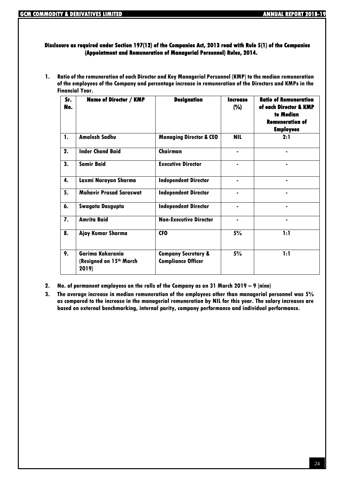#### **Disclosure as required under Section 197(12) of the Companies Act, 2013 read with Rule 5(1) of the Companies (Appointment and Remuneration of Managerial Personnel) Rules, 2014.**

**1. Ratio of the remuneration of each Director and Key Managerial Personnel (KMP) to the median remuneration of the employees of the Company and percentage increase in remuneration of the Directors and KMPs in the Financial Year.**

| Sr.<br>No. | <b>Name of Director / KMP</b>                        | <b>Designation</b>                                          | <i><u><b>Increase</b></u></i><br>$(\% )$ | <b>Ratio of Remuneration</b><br>of each Director & KMP<br>to Median<br><b>Remuneration of</b><br><b>Employees</b> |
|------------|------------------------------------------------------|-------------------------------------------------------------|------------------------------------------|-------------------------------------------------------------------------------------------------------------------|
| 1.         | <b>Amalesh Sadhu</b>                                 | <b>Managing Director &amp; CEO</b>                          | <b>NIL</b>                               | 2:1                                                                                                               |
| 2.         | <b>Inder Chand Baid</b>                              | Chairman                                                    |                                          |                                                                                                                   |
| 3.         | <b>Samir Baid</b>                                    | <b>Executive Director</b>                                   |                                          |                                                                                                                   |
| 4.         | Laxmi Narayan Sharma                                 | <b>Independent Director</b>                                 |                                          |                                                                                                                   |
| 5.         | <b>Mahavir Prasad Saraswat</b>                       | <b>Independent Director</b>                                 |                                          |                                                                                                                   |
| 6.         | Swagata Dasgupta                                     | <b>Independent Director</b>                                 |                                          | $\blacksquare$                                                                                                    |
| 7.         | <b>Amrita Baid</b>                                   | <b>Non-Executive Director</b>                               |                                          | $\blacksquare$                                                                                                    |
| 8.         | Ajay Kumar Sharma                                    | CF <sub>0</sub>                                             | 5%                                       | 1:1                                                                                                               |
| 9.         | Garima Kakarania<br>(Resigned on 15th March<br>2019) | <b>Company Secretary &amp;</b><br><b>Compliance Officer</b> | 5%                                       | 1:1                                                                                                               |

- **2. No. of permanent employees on the rolls of the Company as on 31 March 2019 – 9 (nine)**
- **3. The average increase in median remuneration of the employees other than managerial personnel was 5% as compared to the increase in the managerial remuneration by NIL for this year. The salary increases are based on external benchmarking, internal parity, company performance and individual performance.**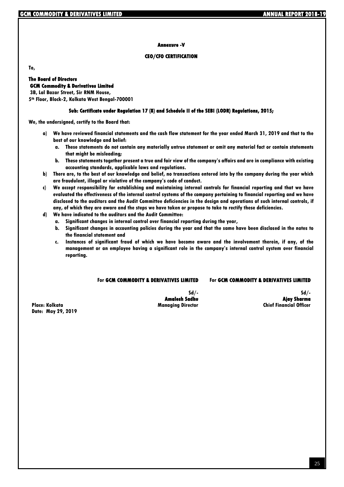#### **Annexure -V**

#### **CEO/CFO CERTIFICATION**

**To,**

#### **The Board of Directors GCM Commodity & Derivatives Limited**

**3B, Lal Bazar Street, Sir RNM House, 5 th Floor, Block-2, Kolkata West Bengal-700001**

#### **Sub: Certificate under Regulation 17 (8) and Schedule II of the SEBI (LODR) Regulations, 2015;**

**We, the undersigned, certify to the Board that:** 

- **a) We have reviewed financial statements and the cash flow statement for the year ended March 31, 2019 and that to the best of our knowledge and belief:** 
	- **a. These statements do not contain any materially untrue statement or omit any material fact or contain statements that might be misleading;**
	- **b. These statements together present a true and fair view of the company's affairs and are in compliance with existing accounting standards, applicable laws and regulations.**
- **b) There are, to the best of our knowledge and belief, no transactions entered into by the company during the year which are fraudulent, illegal or violative of the company's code of conduct.**
- **c) We accept responsibility for establishing and maintaining internal controls for financial reporting and that we have evaluated the effectiveness of the internal control systems of the company pertaining to financial reporting and we have disclosed to the auditors and the Audit Committee deficiencies in the design and operations of such internal controls, if any, of which they are aware and the steps we have taken or propose to take to rectify these deficiencies.**
- **d) We have indicated to the auditors and the Audit Committee:** 
	- **a. Significant changes in internal control over financial reporting during the year,**
	- **b. Significant changes in accounting policies during the year and that the same have been disclosed in the notes to the financial statement and**
	- **c. Instances of significant fraud of which we have become aware and the involvement therein, if any, of the management or an employee having a significant role in the company's internal control system over financial reporting.**

#### **For GCM COMMODITY & DERIVATIVES LIMITED For GCM COMMODITY & DERIVATIVES LIMITED**

**Place: Kolkata Managing Director Chief Financial Officer Date: May 29, 2019**

**Sd/- Sd/- Amalesh Sadhu Ajay Sharma**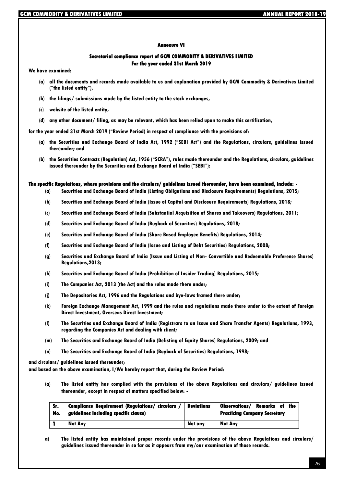#### **Annexure VI**

#### **Secretarial compliance report of GCM COMMODITY & DERIVATIVES LIMITED For the year ended 31st March 2019**

**We have examined:**

- **(a) all the documents and records made available to us and explanation provided by GCM Commodity & Derivatives Limited ("the listed entity"),**
- **(b) the filings/ submissions made by the listed entity to the stock exchanges,**
- **(c) website of the listed entity,**
- **(d) any other document/ filing, as may be relevant, which has been relied upon to make this certification,**

**for the year ended 31st March 2019 ("Review Period) in respect of compliance with the provisions of:**

- **(a) the Securities and Exchange Board of India Act, 1992 ("SEBI Act") and the Regulations, circulars, guidelines issued thereunder; and**
- **(b) the Securities Contracts (Regulation) Act, 1956 ("SCRA"), rules made thereunder and the Regulations, circulars, guidelines issued thereunder by the Securities and Exchange Board of India ("SEBI");**

#### **The specific Regulations, whose provisions and the circulars/ guidelines issued thereunder, have been examined, include: -**

- **(a) Securities and Exchange Board of India (Listing Obligations and Disclosure Requirements) Regulations, 2015;**
- **(b) Securities and Exchange Board of India (Issue of Capital and Disclosure Requirements) Regulations, 2018;**
- **(c) Securities and Exchange Board of India (Substantial Acquisition of Shares and Takeovers) Regulations, 2011;**
- **(d) Securities and Exchange Board of India (Buyback of Securities) Regulations, 2018;**
- **(e) Securities and Exchange Board of India (Share Based Employee Benefits) Regulations, 2014;**
- **(f) Securities and Exchange Board of India (Issue and Listing of Debt Securities) Regulations, 2008;**
- **(g) Securities and Exchange Board of India (Issue and Listing of Non- Convertible and Redeemable Preference Shares) Regulations,2013;**
- **(h) Securities and Exchange Board of India (Prohibition of Insider Trading) Regulations, 2015;**
- **(i) The Companies Act, 2013 (the Act) and the rules made there under;**
- **(j) The Depositories Act, 1996 and the Regulations and bye-laws framed there under;**
- **(k) Foreign Exchange Management Act, 1999 and the rules and regulations made there under to the extent of Foreign Direct Investment, Overseas Direct Investment;**
- **(l) The Securities and Exchange Board of India (Registrars to an Issue and Share Transfer Agents) Regulations, 1993, regarding the Companies Act and dealing with client;**
- **(m) The Securities and Exchange Board of India (Delisting of Equity Shares) Regulations, 2009; and**
- **(n) The Securities and Exchange Board of India (Buyback of Securities) Regulations, 1998;**

**and circulars/ guidelines issued thereunder;**

**and based on the above examination, I/We hereby report that, during the Review Period:**

**(a) The listed entity has complied with the provisions of the above Regulations and circulars/ guidelines issued thereunder, except in respect of matters specified below: -**

| Sr.<br>No. | Compliance Requirement (Regulations/ circulars<br>guidelines including specific clause) | <b>Deviations</b> | <b>Observations/</b><br>Remarks<br>of the<br><b>Practicing Company Secretary</b> |
|------------|-----------------------------------------------------------------------------------------|-------------------|----------------------------------------------------------------------------------|
|            | <b>Not Any</b>                                                                          | Not any           | <b>Not Any</b>                                                                   |

**a) The listed entity has maintained proper records under the provisions of the above Regulations and circulars/ guidelines issued thereunder in so far as it appears from my/our examination of those records.**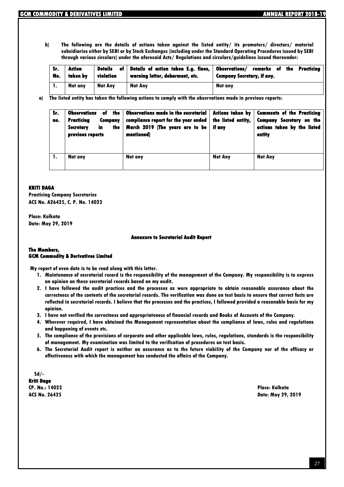**b) The following are the details of actions taken against the listed entity/ its promoters/ directors/ material subsidiaries either by SEBI or by Stock Exchanges (including under the Standard Operating Procedures issued by SEBI through various circulars) under the aforesaid Acts/ Regulations and circulars/guidelines issued thereunder:**

| Sr.<br>No. | <b>Action</b><br>taken bv | <b>Details</b><br>of l<br>violation | Details of action taken E.g. fines, $\vert$ Observations/<br>warning letter, debarment, etc. | the<br>of the contract of the contract of the contract of the contract of the contract of the contract of the contract<br>remarks<br><b>Practicing</b><br><b>Company Secretary, if any.</b> |
|------------|---------------------------|-------------------------------------|----------------------------------------------------------------------------------------------|---------------------------------------------------------------------------------------------------------------------------------------------------------------------------------------------|
|            | Not any                   | <b>Not Anv</b>                      | <b>Not Anv</b>                                                                               | Not any                                                                                                                                                                                     |

**a) The listed entity has taken the following actions to comply with the observations made in previous reports:**

| Sr.<br>no. | <b>Observations</b><br>the<br>of<br>Practicing<br>Company<br>in<br>the<br><b>Secretary</b><br>previous reports | Observations made in the secretarial  <br>compliance report for the year ended $\parallel$ the listed entity, $\parallel$<br>March 2019 (The years are to be<br>mentioned) | Actions taken by<br>if anv | <b>Comments of the Practicing</b><br>Company Secretary on the<br>actions taken by the listed<br>entity |
|------------|----------------------------------------------------------------------------------------------------------------|----------------------------------------------------------------------------------------------------------------------------------------------------------------------------|----------------------------|--------------------------------------------------------------------------------------------------------|
| 1.         | Not any                                                                                                        | Not any                                                                                                                                                                    | <b>Not Any</b>             | <b>Not Any</b>                                                                                         |

#### **KRITI DAGA**

**Practicing Company Secretaries ACS No. A26425, C. P. No. 14023**

**Place: Kolkata Date: May 29, 2019**

#### **Annexure to Secretarial Audit Report**

#### **The Members, GCM Commodity & Derivatives Limited**

**My report of even date is to be read along with this letter.**

- **1. Maintenance of secretarial record is the responsibility of the management of the Company. My responsibility is to express an opinion on these secretarial records based on my audit.**
- **2. I have followed the audit practices and the processes as were appropriate to obtain reasonable assurance about the correctness of the contents of the secretarial records. The verification was done on test basis to ensure that correct facts are reflected in secretarial records. I believe that the processes and the practices, I followed provided a reasonable basis for my opinion.**
- **3. I have not verified the correctness and appropriateness of financial records and Books of Accounts of the Company.**
- **4. Wherever required, I have obtained the Management representation about the compliance of laws, rules and regulations and happening of events etc.**
- **5. The compliance of the provisions of corporate and other applicable laws, rules, regulations, standards is the responsibility of management. My examination was limited to the verification of procedures on test basis.**
- **6. The Secretarial Audit report is neither an assurance as to the future viability of the Company nor of the efficacy or effectiveness with which the management has conducted the affairs of the Company.**

 **Sd/- Kriti Daga CP. No.: 14023 Place: Kolkata**

**ACS No. 26425 Date: May 29, 2019**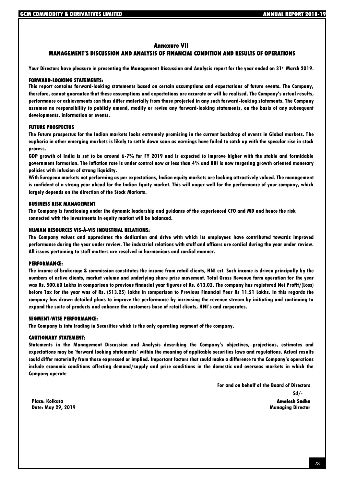#### **Annexure VII**

#### **MANAGEMENT'S DISCUSSION AND ANALYSIS OF FINANCIAL CONDITION AND RESULTS OF OPERATIONS**

**Your Directors have pleasure in presenting the Management Discussion and Analysis report for the year ended on 31st March 2019.**

#### **FORWARD-LOOKING STATEMENTS:**

**This report contains forward-looking statements based on certain assumptions and expectations of future events. The Company, therefore, cannot guarantee that these assumptions and expectations are accurate or will be realised. The Company's actual results, performance or achievements can thus differ materially from those projected in any such forward-looking statements. The Company assumes no responsibility to publicly amend, modify or revise any forward-looking statements, on the basis of any subsequent developments, information or events.**

#### **FUTURE PROSPECTUS**

**The Future prospectus for the Indian markets looks extremely promising in the current backdrop of events in Global markets. The euphoria in other emerging markets is likely to settle down soon as earnings have failed to catch up with the specular rise in stock process.**

**GDP growth of India is set to be around 6-7% for FY 2019 and is expected to improve higher with the stable and formidable government formation. The inflation rate is under control now at less than 4% and RBI is now targeting growth oriented monetary policies with infusion of strong liquidity.**

**With European markets not performing as per expectations, Indian equity markets are looking attractively valued. The management is confident of a strong year ahead for the Indian Equity market. This will augur well for the performance of your company, which largely depends on the direction of the Stock Markets.**

#### **BUSINESS RISK MANAGEMENT**

**The Company is functioning under the dynamic leadership and guidance of the experienced CFO and MD and hence the risk connected with the investments in equity market will be balanced.**

#### **HUMAN RESOURCES VIS-À-VIS INDUSTRIAL RELATIONS:**

**The Company values and appreciates the dedication and drive with which its employees have contributed towards improved performance during the year under review. The industrial relations with staff and officers are cordial during the year under review. All issues pertaining to staff matters are resolved in harmonious and cordial manner.**

#### **PERFORMANCE:**

**The income of brokerage & commission constitutes the income from retail clients, HNI ect. Such income is driven principally by the numbers of active clients, market volume and underlying share price movement. Total Gross Revenue form operation for the year was Rs. 500.60 Lakhs in comparison to previous financial year figures of Rs. 613.02. The company has registered Net Profit/(Loss) before Tax for the year was of Rs. (513.25) Lakhs in comparison to Previous Financial Year Rs 11.51 Lakhs. In this regards the company has drawn detailed plans to improve the performance by increasing the revenue stream by initiating and continuing to expand the suite of products and enhance the customers base of retail clients, HNI's and corporates.**

#### **SEGMENT-WISE PERFORMANCE:**

**The Company is into trading in Securities which is the only operating segment of the company.**

#### **CAUTIONARY STATEMENT:**

**Statements in the Management Discussion and Analysis describing the Company's objectives, projections, estimates and expectations may be 'forward looking statements' within the meaning of applicable securities laws and regulations. Actual results could differ materially from those expressed or implied. Important factors that could make a difference to the Company's operations include economic conditions affecting demand/supply and price conditions in the domestic and overseas markets in which the Company operate**

> **For and on behalf of the Board of Directors Sd/-**

**Date: May 29, 2019 Managing Director**

**Place: Kolkata Amalesh Sadhu**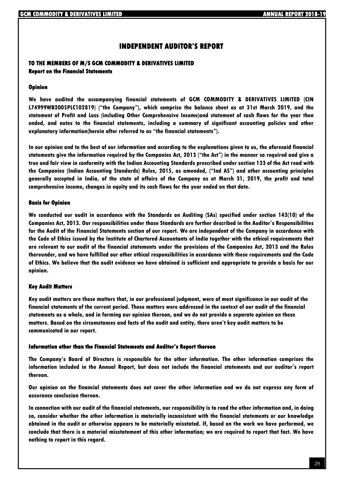#### **INDEPENDENT AUDITOR'S REPORT**

#### **TO THE MEMBERS OF M/S GCM COMMODITY & DERIVATIVES LIMITED Report on the Financial Statements**

#### **Opinion**

**We have audited the accompanying financial statements of GCM COMMODITY & DERIVATIVES LIMITED (CIN L74999WB2005PLC102819) ("the Company"), which comprise the balance sheet as at 31st March 2019, and the statement of Profit and Loss (including Other Comprehensive Income)and statement of cash flows for the year then ended, and notes to the financial statements, including a summary of significant accounting policies and other explanatory information(herein after referred to as "the financial statements").**

**In our opinion and to the best of our information and according to the explanations given to us, the aforesaid financial statements give the information required by the Companies Act, 2013 ("the Act") in the manner so required and give a true and fair view in conformity with the Indian Accounting Standards prescribed under section 133 of the Act read with the Companies (Indian Accounting Standards) Rules, 2015, as amended, ("Ind AS") and other accounting principles generally accepted in India, of the state of affairs of the Company as at March 31, 2019, the profit and total comprehensive income, changes in equity and its cash flows for the year ended on that date.** 

#### **Basis for Opinion**

**We conducted our audit in accordance with the Standards on Auditing (SAs) specified under section 143(10) of the Companies Act, 2013. Our responsibilities under those Standards are further described in the Auditor's Responsibilities for the Audit of the Financial Statements section of our report. We are independent of the Company in accordance with the Code of Ethics issued by the Institute of Chartered Accountants of India together with the ethical requirements that are relevant to our audit of the financial statements under the provisions of the Companies Act, 2013 and the Rules thereunder, and we have fulfilled our other ethical responsibilities in accordance with these requirements and the Code of Ethics. We believe that the audit evidence we have obtained is sufficient and appropriate to provide a basis for our opinion.**

#### **Key Audit Matters**

**Key audit matters are those matters that, in our professional judgment, were of most significance in our audit of the financial statements of the current period. These matters were addressed in the context of our audit of the financial statements as a whole, and in forming our opinion thereon, and we do not provide a separate opinion on these matters. Based on the circumstances and facts of the audit and entity, there aren't key audit matters to be communicated in our report.**

#### **Information other than the Financial Statements and Auditor's Report thereon**

**The Company's Board of Directors is responsible for the other information. The other information comprises the information included in the Annual Report, but does not include the financial statements and our auditor's report thereon.**

**Our opinion on the financial statements does not cover the other information and we do not express any form of assurance conclusion thereon.**

**In connection with our audit of the financial statements, our responsibility is to read the other information and, in doing so, consider whether the other information is materially inconsistent with the financial statements or our knowledge obtained in the audit or otherwise appears to be materially misstated. If, based on the work we have performed, we conclude that there is a material misstatement of this other information; we are required to report that fact. We have nothing to report in this regard.**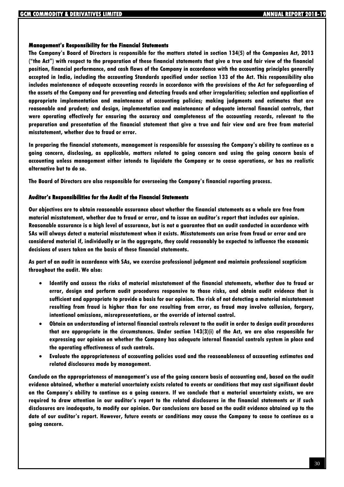#### **Management's Responsibility for the Financial Statements**

**The Company's Board of Directors is responsible for the matters stated in section 134(5) of the Companies Act, 2013 ("the Act") with respect to the preparation of these financial statements that give a true and fair view of the financial position, financial performance, and cash flows of the Company in accordance with the accounting principles generally accepted in India, including the accounting Standards specified under section 133 of the Act. This responsibility also includes maintenance of adequate accounting records in accordance with the provisions of the Act for safeguarding of the assets of the Company and for preventing and detecting frauds and other irregularities; selection and application of appropriate implementation and maintenance of accounting policies; making judgments and estimates that are reasonable and prudent; and design, implementation and maintenance of adequate internal financial controls, that were operating effectively for ensuring the accuracy and completeness of the accounting records, relevant to the preparation and presentation of the financial statement that give a true and fair view and are free from material misstatement, whether due to fraud or error.**

**In preparing the financial statements, management is responsible for assessing the Company's ability to continue as a going concern, disclosing, as applicable, matters related to going concern and using the going concern basis of accounting unless management either intends to liquidate the Company or to cease operations, or has no realistic alternative but to do so.**

**The Board of Directors are also responsible for overseeing the Company's financial reporting process.**

#### **Auditor's Responsibilities for the Audit of the Financial Statements**

**Our objectives are to obtain reasonable assurance about whether the financial statements as a whole are free from material misstatement, whether due to fraud or error, and to issue an auditor's report that includes our opinion. Reasonable assurance is a high level of assurance, but is not a guarantee that an audit conducted in accordance with SAs will always detect a material misstatement when it exists. Misstatements can arise from fraud or error and are considered material if, individually or in the aggregate, they could reasonably be expected to influence the economic decisions of users taken on the basis of these financial statements.**

**As part of an audit in accordance with SAs, we exercise professional judgment and maintain professional scepticism throughout the audit. We also:**

- **Identify and assess the risks of material misstatement of the financial statements, whether due to fraud or error, design and perform audit procedures responsive to those risks, and obtain audit evidence that is sufficient and appropriate to provide a basis for our opinion. The risk of not detecting a material misstatement resulting from fraud is higher than for one resulting from error, as fraud may involve collusion, forgery, intentional omissions, misrepresentations, or the override of internal control.**
- **Obtain an understanding of internal financial controls relevant to the audit in order to design audit procedures that are appropriate in the circumstances. Under section 143(3)(i) of the Act, we are also responsible for expressing our opinion on whether the Company has adequate internal financial controls system in place and the operating effectiveness of such controls.**
- **Evaluate the appropriateness of accounting policies used and the reasonableness of accounting estimates and related disclosures made by management.**

**Conclude on the appropriateness of management's use of the going concern basis of accounting and, based on the audit evidence obtained, whether a material uncertainty exists related to events or conditions that may cast significant doubt on the Company's ability to continue as a going concern. If we conclude that a material uncertainty exists, we are required to draw attention in our auditor's report to the related disclosures in the financial statements or if such disclosures are inadequate, to modify our opinion. Our conclusions are based on the audit evidence obtained up to the date of our auditor's report. However, future events or conditions may cause the Company to cease to continue as a going concern.**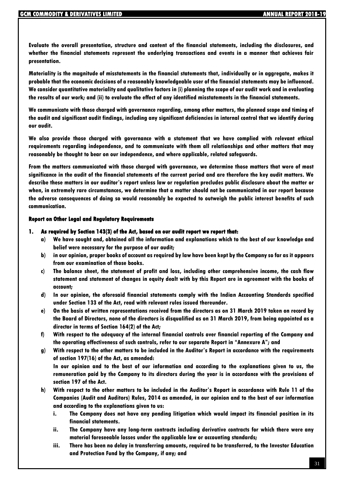**Evaluate the overall presentation, structure and content of the financial statements, including the disclosures, and whether the financial statements represent the underlying transactions and events in a manner that achieves fair presentation.**

**Materiality is the magnitude of misstatements in the financial statements that, individually or in aggregate, makes it probable that the economic decisions of a reasonably knowledgeable user of the financial statements may be influenced. We consider quantitative materiality and qualitative factors in (i) planning the scope of our audit work and in evaluating the results of our work; and (ii) to evaluate the effect of any identified misstatements in the financial statements.**

**We communicate with those charged with governance regarding, among other matters, the planned scope and timing of the audit and significant audit findings, including any significant deficiencies in internal control that we identify during our audit.**

**We also provide those charged with governance with a statement that we have complied with relevant ethical requirements regarding independence, and to communicate with them all relationships and other matters that may reasonably be thought to bear on our independence, and where applicable, related safeguards.**

**From the matters communicated with those charged with governance, we determine those matters that were of most significance in the audit of the financial statements of the current period and are therefore the key audit matters. We describe these matters in our auditor's report unless law or regulation precludes public disclosure about the matter or when, in extremely rare circumstances, we determine that a matter should not be communicated in our report because the adverse consequences of doing so would reasonably be expected to outweigh the public interest benefits of such communication.**

#### **Report on Other Legal and Regulatory Requirements**

#### **1. As required by Section 143(3) of the Act, based on our audit report we report that:**

- **a) We have sought and, obtained all the information and explanations which to the best of our knowledge and belief were necessary for the purpose of our audit;**
- **b) in our opinion, proper books of account as required by law have been kept by the Company so far as it appears from our examination of those books.**
- **c) The balance sheet, the statement of profit and loss, including other comprehensive income, the cash flow statement and statement of changes in equity dealt with by this Report are in agreement with the books of account;**
- **d) In our opinion, the aforesaid financial statements comply with the Indian Accounting Standards specified under Section 133 of the Act, read with relevant rules issued thereunder.**
- **e) On the basis of written representations received from the directors as on 31 March 2019 taken on record by the Board of Directors, none of the directors is disqualified as on 31 March 2019, from being appointed as a director in terms of Section 164(2) of the Act;**
- **f) With respect to the adequacy of the internal financial controls over financial reporting of the Company and the operating effectiveness of such controls, refer to our separate Report in "Annexure A"; and**
- **g) With respect to the other matters to be included in the Auditor's Report in accordance with the requirements of section 197(16) of the Act, as amended:**

**In our opinion and to the best of our information and according to the explanations given to us, the remuneration paid by the Company to its directors during the year is in accordance with the provisions of section 197 of the Act.**

- **h) With respect to the other matters to be included in the Auditor's Report in accordance with Rule 11 of the Companies (Audit and Auditors) Rules, 2014 as amended, in our opinion and to the best of our information and according to the explanations given to us:**
	- **i. The Company does not have any pending litigation which would impact its financial position in its financial statements.**
	- **ii. The Company have any long-term contracts including derivative contracts for which there were any material foreseeable losses under the applicable law or accounting standards;**
	- **iii. There has been no delay in transferring amounts, required to be transferred, to the Investor Education and Protection Fund by the Company, if any; and**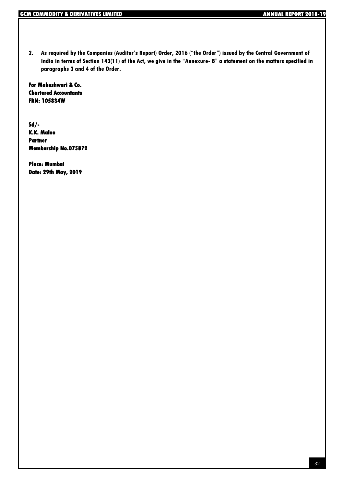**2. As required by the Companies (Auditor's Report) Order, 2016 ("the Order") issued by the Central Government of India in terms of Section 143(11) of the Act, we give in the "Annexure- B" a statement on the matters specified in paragraphs 3 and 4 of the Order.**

**For Maheshwari & Co. Chartered Accountants FRN: 105834W** 

**Sd/- K.K. Maloo Partner Membership No.075872** 

**Place: Mumbai Date: 29th May, 2019**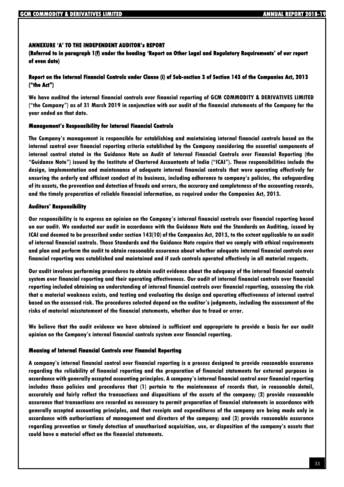#### **ANNEXURE 'A' TO THE INDEPENDENT AUDITOR's REPORT**

#### **(Referred to in paragraph 1(f) under the heading 'Report on Other Legal and Regulatory Requirements' of our report of even date)**

#### **Report on the Internal Financial Controls under Clause (i) of Sub-section 3 of Section 143 of the Companies Act, 2013 ("the Act")**

**We have audited the internal financial controls over financial reporting of GCM COMMODITY & DERIVATIVES LIMITED ("the Company") as of 31 March 2019 in conjunction with our audit of the financial statements of the Company for the year ended on that date.**

#### **Management's Responsibility for Internal Financial Controls**

**The Company's management is responsible for establishing and maintaining internal financial controls based on the internal control over financial reporting criteria established by the Company considering the essential components of internal control stated in the Guidance Note on Audit of Internal Financial Controls over Financial Reporting (the "Guidance Note") issued by the Institute of Chartered Accountants of India ("ICAI"). These responsibilities include the design, implementation and maintenance of adequate internal financial controls that were operating effectively for ensuring the orderly and efficient conduct of its business, including adherence to company's policies, the safeguarding of its assets, the prevention and detection of frauds and errors, the accuracy and completeness of the accounting records, and the timely preparation of reliable financial information, as required under the Companies Act, 2013.**

#### **Auditors' Responsibility**

**Our responsibility is to express an opinion on the Company's internal financial controls over financial reporting based on our audit. We conducted our audit in accordance with the Guidance Note and the Standards on Auditing, issued by ICAI and deemed to be prescribed under section 143(10) of the Companies Act, 2013, to the extent applicable to an audit of internal financial controls. Those Standards and the Guidance Note require that we comply with ethical requirements and plan and perform the audit to obtain reasonable assurance about whether adequate internal financial controls over financial reporting was established and maintained and if such controls operated effectively in all material respects.**

**Our audit involves performing procedures to obtain audit evidence about the adequacy of the internal financial controls system over financial reporting and their operating effectiveness. Our audit of internal financial controls over financial reporting included obtaining an understanding of internal financial controls over financial reporting, assessing the risk that a material weakness exists, and testing and evaluating the design and operating effectiveness of internal control based on the assessed risk. The procedures selected depend on the auditor's judgments, including the assessment of the risks of material misstatement of the financial statements, whether due to fraud or error.**

**We believe that the audit evidence we have obtained is sufficient and appropriate to provide a basis for our audit opinion on the Company's internal financial controls system over financial reporting.**

#### **Meaning of Internal Financial Controls over Financial Reporting**

**A company's internal financial control over financial reporting is a process designed to provide reasonable assurance regarding the reliability of financial reporting and the preparation of financial statements for external purposes in accordance with generally accepted accounting principles. A company's internal financial control over financial reporting includes those policies and procedures that (1) pertain to the maintenance of records that, in reasonable detail, accurately and fairly reflect the transactions and dispositions of the assets of the company; (2) provide reasonable assurance that transactions are recorded as necessary to permit preparation of financial statements in accordance with generally accepted accounting principles, and that receipts and expenditures of the company are being made only in accordance with authorisations of management and directors of the company; and (3) provide reasonable assurance regarding prevention or timely detection of unauthorised acquisition, use, or disposition of the company's assets that could have a material effect on the financial statements.**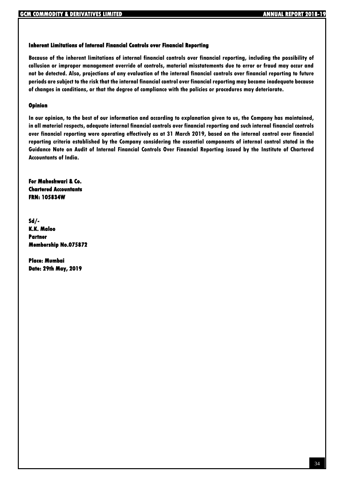#### **Inherent Limitations of Internal Financial Controls over Financial Reporting**

**Because of the inherent limitations of internal financial controls over financial reporting, including the possibility of collusion or improper management override of controls, material misstatements due to error or fraud may occur and not be detected. Also, projections of any evaluation of the internal financial controls over financial reporting to future periods are subject to the risk that the internal financial control over financial reporting may become inadequate because of changes in conditions, or that the degree of compliance with the policies or procedures may deteriorate.**

#### **Opinion**

**In our opinion, to the best of our information and according to explanation given to us, the Company has maintained, in all material respects, adequate internal financial controls over financial reporting and such internal financial controls over financial reporting were operating effectively as at 31 March 2019, based on the internal control over financial reporting criteria established by the Company considering the essential components of internal control stated in the Guidance Note on Audit of Internal Financial Controls Over Financial Reporting issued by the Institute of Chartered Accountants of India.**

**For Maheshwari & Co. Chartered Accountants FRN: 105834W** 

**Sd/- K.K. Maloo Partner Membership No.075872** 

**Place: Mumbai Date: 29th May, 2019**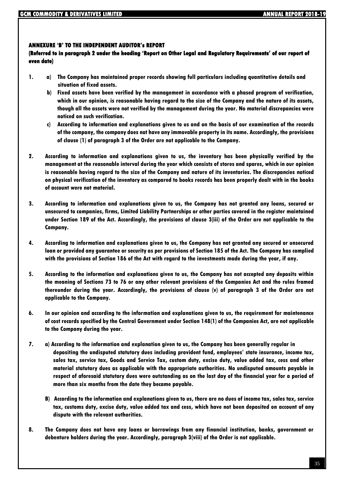#### **ANNEXURE 'B' TO THE INDEPENDENT AUDITOR's REPORT**

#### **(Referred to in paragraph 2 under the heading 'Report on Other Legal and Regulatory Requirements' of our report of even date)**

- **1. a) The Company has maintained proper records showing full particulars including quantitative details and situation of fixed assets.**
	- **b) Fixed assets have been verified by the management in accordance with a phased program of verification, which in our opinion, is reasonable having regard to the size of the Company and the nature of its assets, though all the assets were not verified by the management during the year. No material discrepancies were noticed on such verification.**
	- **c) According to information and explanations given to us and on the basis of our examination of the records of the company, the company does not have any immovable property in its name. Accordingly, the provisions of clause (1) of paragraph 3 of the Order are not applicable to the Company.**
- **2. According to information and explanations given to us, the inventory has been physically verified by the management at the reasonable interval during the year which consists of stores and spares, which in our opinion is reasonable having regard to the size of the Company and nature of its inventories. The discrepancies noticed on physical verification of the inventory as compared to books records has been properly dealt with in the books of account were not material.**
- **3. According to information and explanations given to us, the Company has not granted any loans, secured or unsecured to companies, firms, Limited Liability Partnerships or other parties covered in the register maintained under Section 189 of the Act. Accordingly, the provisions of clause 3(iii) of the Order are not applicable to the Company.**
- **4. According to information and explanations given to us, the Company has not granted any secured or unsecured loan or provided any guarantee or security as per provisions of Section 185 of the Act. The Company has complied with the provisions of Section 186 of the Act with regard to the investments made during the year, if any.**
- **5. According to the information and explanations given to us, the Company has not accepted any deposits within the meaning of Sections 73 to 76 or any other relevant provisions of the Companies Act and the rules framed thereunder during the year. Accordingly, the provisions of clause (v) of paragraph 3 of the Order are not applicable to the Company.**
- **6. In our opinion and according to the information and explanations given to us, the requirement for maintenance of cost records specified by the Central Government under Section 148(1) of the Companies Act, are not applicable to the Company during the year.**
- **7. a) According to the information and explanation given to us, the Company has been generally regular in depositing the undisputed statutory dues including provident fund, employees' state insurance, income tax, sales tax, service tax, Goods and Service Tax, custom duty, excise duty, value added tax, cess and other material statutory dues as applicable with the appropriate authorities. No undisputed amounts payable in respect of aforesaid statutory dues were outstanding as on the last day of the financial year for a period of more than six months from the date they became payable.**
	- **B) According to the information and explanations given to us, there are no dues of income tax, sales tax, service tax, customs duty, excise duty, value added tax and cess, which have not been deposited on account of any dispute with the relevant authorities.**
- **8. The Company does not have any loans or borrowings from any financial institution, banks, government or debenture holders during the year. Accordingly, paragraph 3(viii) of the Order is not applicable.**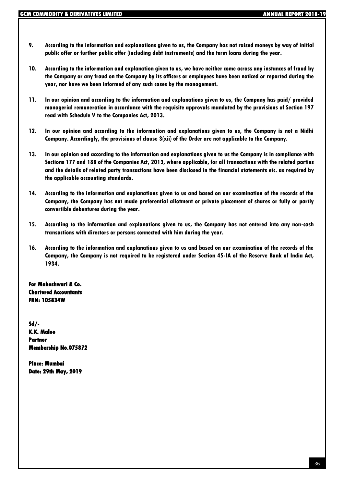- **9. According to the information and explanations given to us, the Company has not raised moneys by way of initial public offer or further public offer (including debt instruments) and the term loans during the year.**
- **10. According to the information and explanation given to us, we have neither come across any instances of fraud by the Company or any fraud on the Company by its officers or employees have been noticed or reported during the year, nor have we been informed of any such cases by the management.**
- **11. In our opinion and according to the information and explanations given to us, the Company has paid/ provided managerial remuneration in accordance with the requisite approvals mandated by the provisions of Section 197 read with Schedule V to the Companies Act, 2013.**
- **12. In our opinion and according to the information and explanations given to us, the Company is not a Nidhi Company. Accordingly, the provisions of clause 3(xii) of the Order are not applicable to the Company.**
- **13. In our opinion and according to the information and explanations given to us the Company is in compliance with Sections 177 and 188 of the Companies Act, 2013, where applicable, for all transactions with the related parties and the details of related party transactions have been disclosed in the financial statements etc. as required by the applicable accounting standards.**
- **14. According to the information and explanations given to us and based on our examination of the records of the Company, the Company has not made preferential allotment or private placement of shares or fully or partly convertible debentures during the year.**
- **15. According to the information and explanations given to us, the Company has not entered into any non-cash transactions with directors or persons connected with him during the year.**
- **16. According to the information and explanations given to us and based on our examination of the records of the Company, the Company is not required to be registered under Section 45-IA of the Reserve Bank of India Act, 1934.**

**For Maheshwari & Co. Chartered Accountants FRN: 105834W** 

**Sd/- K.K. Maloo Partner Membership No.075872** 

**Place: Mumbai Date: 29th May, 2019**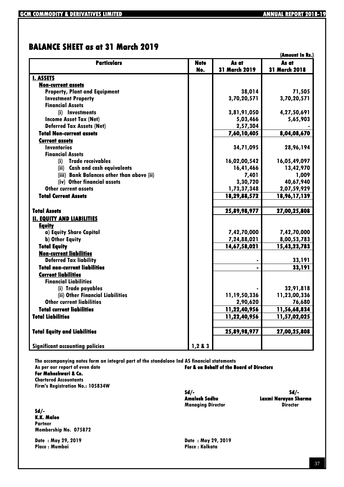# **BALANCE SHEET as at 31 March 2019**

|                                           |             |                      | (Amount In Rs.) |
|-------------------------------------------|-------------|----------------------|-----------------|
| <b>Particulars</b>                        | <b>Note</b> | As at                | As at           |
|                                           | No.         | <b>31 March 2019</b> | 31 March 2018   |
| <b>I. ASSETS</b>                          |             |                      |                 |
| <b>Non-current assets</b>                 |             |                      |                 |
| <b>Property, Plant and Equipment</b>      |             | 38,014               | 71,505          |
| <b>Investment Property</b>                |             | 3,70,20,571          | 3,70,20,571     |
| <b>Financial Assets</b>                   |             |                      |                 |
| (i) Investments                           |             | 3,81,91,050          | 4,27,50,691     |
| <b>Income Asset Tax (Net)</b>             |             | 5,03,466             | 5,65,903        |
| <b>Deferred Tax Assets (Net)</b>          |             | 2,57,304             |                 |
| <b>Total Non-current assets</b>           |             | 7,60,10,405          | 8,04,08,670     |
| <b>Current assets</b>                     |             |                      |                 |
| <b>Inventories</b>                        |             | 34,71,095            | 28,96,194       |
| <b>Financial Assets</b>                   |             |                      |                 |
| (i) Trade receivables                     |             | 16,02,00,542         | 16,05,49,097    |
| (ii) Cash and cash equivalents            |             | 16,41,466            | 13,42,970       |
| (iii) Bank Balances other than above (ii) |             | 7,401                | 1,009           |
| (iv) Other financial assets               |             | 3,30,720             | 40,67,940       |
| <b>Other current assets</b>               |             | 1,73,37,348          | 2,07,59,929     |
| <b>Total Current Assets</b>               |             | 18,29,88,572         | 18,96,17,139    |
|                                           |             |                      |                 |
| <b>Total Assets</b>                       |             | 25,89,98,977         | 27,00,25,808    |
| <b>II. EQUITY AND LIABILITIES</b>         |             |                      |                 |
| <b>Equity</b>                             |             |                      |                 |
| a) Equity Share Capital                   |             | 7,42,70,000          | 7,42,70,000     |
| b) Other Equity                           |             | 7,24,88,021          | 8,00,53,783     |
| <b>Total Equity</b>                       |             | 14,67,58,021         | 15,43,23,783    |
| <b>Non-current liabilities</b>            |             |                      |                 |
| <b>Deferred Tax liability</b>             |             |                      | 33,191          |
| <b>Total non-current liabilities</b>      |             | $\blacksquare$       | 33,191          |
| <b>Current liabilities</b>                |             |                      |                 |
| <b>Financial Liabilities</b>              |             |                      |                 |
| (i) Trade payables                        |             |                      | 32,91,818       |
| (ii) Other Financial Liabilities          |             | 11,19,50,336         | 11,23,00,336    |
| <b>Other current liabilities</b>          |             | 2,90,620             | 76,680          |
| <b>Total current liabilities</b>          |             | 11,22,40,956         | 11,56,68,834    |
| <b>Total Liabilities</b>                  |             | 11,22,40,956         | 11,57,02,025    |
|                                           |             |                      |                 |
| <b>Total Equity and Liabilities</b>       |             | 25,89,98,977         | 27,00,25,808    |
| <b>Significant accounting policies</b>    | 1,283       |                      |                 |

**The accompanying notes form an integral part of the standalone Ind AS financial statements**

**As per our report of even date For & on Behalf of the Board of Directors For Maheshwari & Co.** 

**Chartered Accountants Firm's Registration No.: 105834W** 

**Sd/- K.K. Maloo Partner Membership No. 075872** 

**Date : May 29, 2019 Date : May 29, 2019 Place : Mumbai Place : Kolkata**

**Sd/- Sd/-** 

**Amalesh Sadhu Laxmi Narayan Sharma Managing Director Director**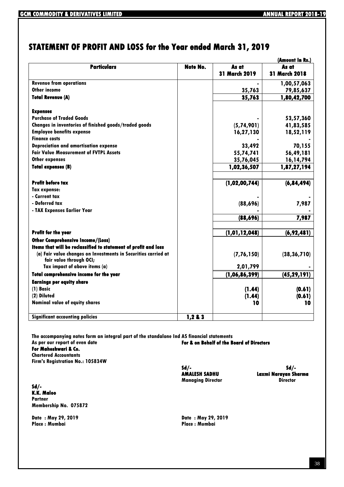# **STATEMENT OF PROFIT AND LOSS for the Year ended March 31, 2019**

|                                                                                           |                 |                      | (Amount In Rs.)      |
|-------------------------------------------------------------------------------------------|-----------------|----------------------|----------------------|
| <b>Particulars</b>                                                                        | <b>Note No.</b> | As at                | As at                |
|                                                                                           |                 | <b>31 March 2019</b> | <b>31 March 2018</b> |
| <b>Revenue from operations</b>                                                            |                 |                      | 1,00,57,063          |
| <b>Other income</b>                                                                       |                 | 35,763               | 79,85,637            |
| <b>Total Revenue (A)</b>                                                                  |                 | 35,763               | 1,80,42,700          |
| <b>Expenses</b>                                                                           |                 |                      |                      |
| <b>Purchase of Traded Goods</b>                                                           |                 |                      | 53,57,360            |
| Changes in inventories of finished goods/traded goods                                     |                 | (5, 74, 901)         | 41,83,585            |
| <b>Employee benefits expense</b>                                                          |                 | 16,27,130            | 18,52,119            |
| <b>Finance costs</b>                                                                      |                 |                      |                      |
| <b>Depreciation and amortisation expense</b>                                              |                 | 33,492               | 70,155               |
| <b>Fair Value Measurement of FVTPL Assets</b>                                             |                 | 55,74,741            | 56,49,181            |
| <b>Other expenses</b>                                                                     |                 | 35,76,045            | 16,14,794            |
| <b>Total expenses (B)</b>                                                                 |                 | 1,02,36,507          | 1,87,27,194          |
| <b>Profit before tax</b>                                                                  |                 | (1,02,00,744)        | (6, 84, 494)         |
| Tax expense:                                                                              |                 |                      |                      |
| - Current tax                                                                             |                 |                      |                      |
| - Deferred tax                                                                            |                 | (88, 696)            | 7,987                |
| - TAX Expenses Earlier Year                                                               |                 |                      |                      |
|                                                                                           |                 | (88, 696)            | 7,987                |
| <b>Profit for the year</b>                                                                |                 | (1, 01, 12, 048)     | (6, 92, 481)         |
| <b>Other Comprehensive Income/(Loss)</b>                                                  |                 |                      |                      |
| Items that will be reclassified to statement of profit and loss                           |                 |                      |                      |
| (a) Fair value changes on Investments in Securities carried at<br>fair value through OCI; |                 | (7, 76, 150)         | (38, 36, 710)        |
| Tax impact of above items $(a)$                                                           |                 | 2,01,799             |                      |
| <b>Total comprehensive income for the year</b>                                            |                 | (1,06,86,399)        | (45, 29, 191)        |
| <b>Earnings per equity share</b>                                                          |                 |                      |                      |
| (1) Basic                                                                                 |                 | (1.44)               | (0.61)               |
| (2) Diluted                                                                               |                 | (1.44)               | (0.61)               |
| <b>Nominal value of equity shares</b>                                                     |                 | 10                   | 10                   |
| <b>Significant accounting policies</b>                                                    | 1,223           |                      |                      |

The accompanying notes form an integral part of the standalone Ind AS financial statements<br>As per our report of even date<br>**For & on Behalf of the B For & on Behalf of the Board of Directors For Maheshwari & Co.** 

**Chartered Accountants Firm's Registration No.: 105834W** 

**Sd/- K.K. Maloo Partner Membership No. 075872** 

**Date : May 29, 2019 Date : May 29, 2019 Place : Mumbai Place : Mumbai**

**Sd/- Sd/- Managing Director Director**

**Laxmi Narayan Sharma**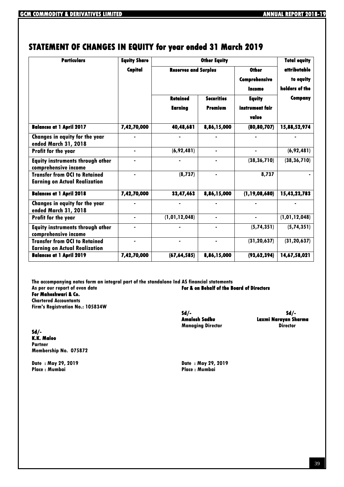## **STATEMENT OF CHANGES IN EQUITY for year ended 31 March 2019**

| <b>Particulars</b>                                                           | <b>Equity Share</b><br><b>Other Equity</b> |                                   |                                              |                                                   |                                  |  |
|------------------------------------------------------------------------------|--------------------------------------------|-----------------------------------|----------------------------------------------|---------------------------------------------------|----------------------------------|--|
|                                                                              | Capital                                    |                                   | <b>Reserves and Surplus</b><br>Comprehensive |                                                   | attributable<br>to equity        |  |
|                                                                              |                                            | <b>Retained</b><br><b>Earning</b> | <b>Securities</b><br><b>Premium</b>          | <b>Income</b><br><b>Equity</b><br>instrument fair | holders of the<br><b>Company</b> |  |
|                                                                              |                                            |                                   |                                              | value                                             |                                  |  |
| <b>Balances at 1 April 2017</b>                                              | 7,42,70,000                                | 40,48,681                         | 8,86,15,000                                  | (80, 80, 707)                                     | 15,88,52,974                     |  |
| Changes in equity for the year<br>ended March 31, 2018                       |                                            |                                   |                                              |                                                   |                                  |  |
| <b>Profit for the year</b>                                                   |                                            | (6,92,481)                        |                                              | ÷                                                 | (6,92,481)                       |  |
| <b>Equity instruments through other</b><br>comprehensive income              |                                            |                                   | ۰                                            | (38, 36, 710)                                     | (38, 36, 710)                    |  |
| <b>Transfer from OCI to Retained</b><br><b>Earning on Actual Realization</b> |                                            | (8, 737)                          |                                              | 8,737                                             |                                  |  |
| <b>Balances at 1 April 2018</b>                                              | 7,42,70,000                                | 33,47,463                         | 8,86,15,000                                  | (1, 19, 08, 680)                                  | 15,43,23,783                     |  |
| Changes in equity for the year<br>ended March 31, 2018                       |                                            |                                   |                                              |                                                   |                                  |  |
| Profit for the year                                                          |                                            | (1, 01, 12, 048)                  |                                              |                                                   | (1, 01, 12, 048)                 |  |
| <b>Equity instruments through other</b><br>comprehensive income              |                                            |                                   |                                              | (5, 74, 351)                                      | (5, 74, 351)                     |  |
| <b>Transfer from OCI to Retained</b><br><b>Earning on Actual Realization</b> |                                            |                                   |                                              | (31, 20, 637)                                     | (31, 20, 637)                    |  |
| <b>Balances at 1 April 2019</b>                                              | 7,42,70,000                                | (67, 64, 585)                     | 8,86,15,000                                  | (93, 62, 394)                                     | 14,67,58,021                     |  |

**The accompanying notes form an integral part of the standalone Ind AS financial statements For & on Behalf of the Board of Directors For Maheshwari & Co. Chartered Accountants Firm's Registration No.: 105834W** 

**Sd/- K.K. Maloo Partner Membership No. 075872** 

**Place : Mumbai Place : Mumbai**

**Sd/- Sd/-** 

**Amalesh Sadhu Laxmi Narayan Sharma Managing Director Director**

**Date : May 29, 2019 Date : May 29, 2019**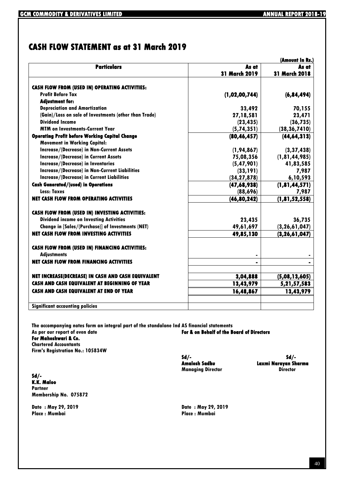# **CASH FLOW STATEMENT as at 31 March 2019**

| (Amount In Rs.)                                                                              |                        |                        |  |
|----------------------------------------------------------------------------------------------|------------------------|------------------------|--|
| <b>Particulars</b>                                                                           | As at<br>31 March 2019 | As at<br>31 March 2018 |  |
| CASH FLOW FROM (USED IN) OPERATING ACTIVITIES:                                               |                        |                        |  |
| <b>Profit Before Tax</b>                                                                     | (1,02,00,744)          | (6, 84, 494)           |  |
| <b>Adjustment for:</b>                                                                       |                        |                        |  |
| <b>Depreciation and Amortization</b>                                                         | 33,492                 | 70,155                 |  |
| (Gain)/Loss on sale of Investments (other than Trade)                                        | 27,18,581              | 23,471                 |  |
| <b>Dividend Income</b>                                                                       | (23, 435)              | (36, 735)              |  |
| <b>MTM on Investments-Current Year</b>                                                       | (5, 74, 351)           | (38, 36, 7410)         |  |
| <b>Operating Profit before Working Capital Change</b><br><b>Movement in Working Capital:</b> | (80, 46, 457)          | (44, 64, 313)          |  |
| Increase/(Decrease) in Non-Current Assets                                                    | (1, 94, 867)           | (3, 37, 438)           |  |
| <b>Increase/(Decrease) in Current Assets</b>                                                 | 75,08,356              | (1, 81, 44, 985)       |  |
| Increase/(Decrease) in Inventories                                                           | (5, 47, 901)           | 41,83,585              |  |
| Increase/(Decrease) in Non-Current Liabilities                                               | (33, 191)              | 7,987                  |  |
| Increase/(Decrease) in Current Liabilities                                                   | (34, 27, 878)          | 6,10,593               |  |
| <b>Cash Generated/(used) in Operations</b>                                                   | (47,68,938)            | (1, 81, 44, 571)       |  |
| Less: Taxes                                                                                  | (88, 696)              | 7,987                  |  |
| <b>NET CASH FLOW FROM OPERATING ACTIVITIES</b>                                               | (46, 80, 242)          | (1, 81, 52, 558)       |  |
| CASH FLOW FROM (USED IN) INVESTING ACTIVITIES:                                               |                        |                        |  |
| <b>Dividend income on Investing Activities</b>                                               | 23,435                 | 36,735                 |  |
| Change in [Sales/(Purchase)] of Investments (NET)                                            | 49,61,697              | (3, 26, 61, 047)       |  |
| <b>NET CASH FLOW FROM INVESTING ACTIVITIES</b>                                               | 49,85,130              | (3, 26, 61, 047)       |  |
| <b>CASH FLOW FROM (USED IN) FINANCING ACTIVITIES:</b><br><b>Adjustments</b>                  |                        |                        |  |
| <b>NET CASH FLOW FROM FINANCING ACTIVITIES</b>                                               |                        |                        |  |
| NET INCREASE(DECREASE) IN CASH AND CASH EQUIVALENT                                           | 3,04,888               | (5,08,13,605)          |  |
| <b>CASH AND CASH EQUIVALENT AT BEGINNING OF YEAR</b>                                         | 13,43,979              | 5,21,57,583            |  |
| <b>CASH AND CASH EQUIVALENT AT END OF YEAR</b>                                               | 16,48,867              | 13,43,979              |  |
| <b>Significant accounting policies</b>                                                       |                        |                        |  |

**The accompanying notes form an integral part of the standalone Ind AS financial statements For & on Behalf of the Board of Directors For Maheshwari & Co.** 

**Chartered Accountants Firm's Registration No.: 105834W** 

**Sd/- K.K. Maloo Partner Membership No. 075872** 

**Place : Mumbai Place : Mumbai**

**Managing Director** 

**Sd/- Sd/- Amalesh Sadhu Laxmi Narayan Sharma**

**Date : May 29, 2019 Date : May 29, 2019**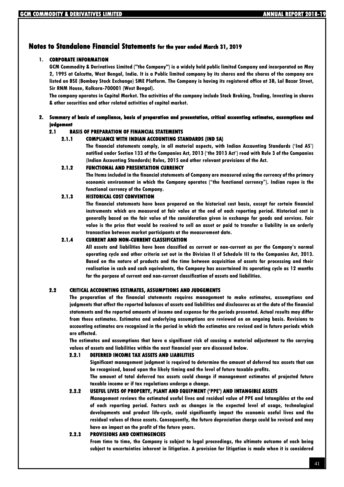#### **Notes to Standalone Financial Statements for the year ended March 31, 2019**

#### **1. CORPORATE INFORMATION**

**GCM Commodity & Derivatives Limited ("the Company") is a widely held public limited Company and incorporated on May 2, 1995 at Calcutta, West Bengal, India. It is a Public limited company by its shares and the shares of the company are listed on BSE (Bombay Stock Exchange) SME Platform. The Company is having its registered office at 3B, Lal Bazar Street, Sir RNM House, Kolkara-700001 (West Bengal).**

**The company operates in Capital Market. The activities of the company include Stock Broking, Trading, Investing in shares & other securities and other related activities of capital market.**

#### **2. Summary of basis of compliance, basis of preparation and presentation, critical accounting estimates, assumptions and judgement**

#### **2.1 BASIS OF PREPARATION OF FINANCIAL STATEMENTS**

#### **2.1.1 COMPLIANCE WITH INDIAN ACCOUNTING STANDARDS (IND SA)**

**The financial statements comply, in all material aspects, with Indian Accounting Standards ('Ind AS') notified under Section 133 of the Companies Act, 2013 ('the 2013 Act') read with Rule 3 of the Companies (Indian Accounting Standards) Rules, 2015 and other relevant provisions of the Act.**

#### **2.1.2 FUNCTIONAL AND PRESENTATION CURRENCY**

**The Items included in the financial statements of Company are measured using the currency of the primary economic environment in which the Company operates ("the functional currency"). Indian rupee is the functional currency of the Company.**

#### **2.1.3 HISTORICAL COST CONVENTION**

**The financial statements have been prepared on the historical cost basis, except for certain financial instruments which are measured at fair value at the end of each reporting period. Historical cost is generally based on the fair value of the consideration given in exchange for goods and services. Fair value is the price that would be received to sell an asset or paid to transfer a liability in an orderly transaction between market participants at the measurement date.**

#### **2.1.4 CURRENT AND NON-CURRENT CLASSIFICATION**

**All assets and liabilities have been classified as current or non-current as per the Company's normal operating cycle and other criteria set out in the Division II of Schedule III to the Companies Act, 2013. Based on the nature of products and the time between acquisition of assets for processing and their realisation in cash and cash equivalents, the Company has ascertained its operating cycle as 12 months for the purpose of current and non-current classification of assets and liabilities.**

#### **2.2 CRITICAL ACCOUNTING ESTIMATES, ASSUMPTIONS AND JUDGEMENTS**

**The preparation of the financial statements requires management to make estimates, assumptions and judgments that affect the reported balances of assets and liabilities and disclosures as at the date of the financial statements and the reported amounts of income and expense for the periods presented. Actual results may differ from these estimates. Estimates and underlying assumptions are reviewed on an ongoing basis. Revisions to accounting estimates are recognised in the period in which the estimates are revised and in future periods which are affected.**

**The estimates and assumptions that have a significant risk of causing a material adjustment to the carrying values of assets and liabilities within the next financial year are discussed below.**

#### **2.2.1 DEFERRED INCOME TAX ASSETS AND LIABILITIES**

**Significant management judgment is required to determine the amount of deferred tax assets that can be recognised, based upon the likely timing and the level of future taxable profits.**

**The amount of total deferred tax assets could change if management estimates of projected future taxable income or if tax regulations undergo a change.**

#### **2.2.2 USEFUL LIVES OF PROPERTY, PLANT AND EQUIPMENT ('PPE') AND INTANGIBLE ASSETS**

**Management reviews the estimated useful lives and residual value of PPE and Intangibles at the end of each reporting period. Factors such as changes in the expected level of usage, technological developments and product life-cycle, could significantly impact the economic useful lives and the residual values of these assets. Consequently, the future depreciation charge could be revised and may have an impact on the profit of the future years.**

#### **2.2.3 PROVISIONS AND CONTINGENCIES**

**From time to time, the Company is subject to legal proceedings, the ultimate outcome of each being subject to uncertainties inherent in litigation. A provision for litigation is made when it is considered**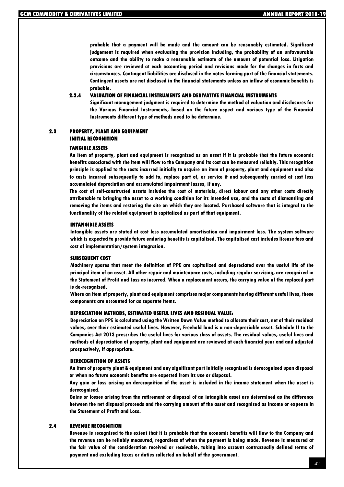**probable that a payment will be made and the amount can be reasonably estimated. Significant judgement is required when evaluating the provision including, the probability of an unfavourable outcome and the ability to make a reasonable estimate of the amount of potential loss. Litigation provisions are reviewed at each accounting period and revisions made for the changes in facts and circumstances. Contingent liabilities are disclosed in the notes forming part of the financial statements. Contingent assets are not disclosed in the financial statements unless an inflow of economic benefits is probable.**

#### **2.2.4 VALUATION OF FINANCIAL INSTRUMENTS AND DERIVATIVE FINANCIAL INSTRUMENTS**

**Significant management judgment is required to determine the method of valuation and disclosures for the Various Financial Instruments, based on the future aspect and various type of the Financial Instruments different type of methods need to be determine.**

#### **2.3 PROPERTY, PLANT AND EQUIPMENT INITIAL RECOGNITION**

#### **TANGIBLE ASSETS**

**An item of property, plant and equipment is recognized as an asset if it is probable that the future economic benefits associated with the item will flow to the Company and its cost can be measured reliably. This recognition principle is applied to the costs incurred initially to acquire an item of property, plant and equipment and also to costs incurred subsequently to add to, replace part of, or service it and subsequently carried at cost less accumulated depreciation and accumulated impairment losses, if any.**

**The cost of self-constructed assets includes the cost of materials, direct labour and any other costs directly attributable to bringing the asset to a working condition for its intended use, and the costs of dismantling and removing the items and restoring the site on which they are located. Purchased software that is integral to the functionality of the related equipment is capitalized as part of that equipment.**

#### **INTANGIBLE ASSETS**

**Intangible assets are stated at cost less accumulated amortisation and impairment loss. The system software which is expected to provide future enduring benefits is capitalised. The capitalised cost includes license fees and cost of implementation/system integration.**

#### **SUBSEQUENT COST**

**Machinery spares that meet the definition of PPE are capitalized and depreciated over the useful life of the principal item of an asset. All other repair and maintenance costs, including regular servicing, are recognized in the Statement of Profit and Loss as incurred. When a replacement occurs, the carrying value of the replaced part is de-recognised.**

**Where an item of property, plant and equipment comprises major components having different useful lives, these components are accounted for as separate items.** 

#### **DEPRECIATION METHODS, ESTIMATED USEFUL LIVES AND RESIDUAL VALUE:**

**Depreciation on PPE is calculated using the Written Down Value method to allocate their cost, net of their residual values, over their estimated useful lives. However, Freehold land is a non-depreciable asset. Schedule II to the Companies Act 2013 prescribes the useful lives for various class of assets. The residual values, useful lives and methods of depreciation of property, plant and equipment are reviewed at each financial year end and adjusted prospectively, if appropriate.**

#### **DERECOGNITION OF ASSETS**

**An item of property plant & equipment and any significant part initially recognised is derecognised upon disposal or when no future economic benefits are expected from its use or disposal.** 

**Any gain or loss arising on derecognition of the asset is included in the income statement when the asset is derecognised.**

**Gains or losses arising from the retirement or disposal of an intangible asset are determined as the difference between the net disposal proceeds and the carrying amount of the asset and recognised as income or expense in the Statement of Profit and Loss.**

#### **2.4 REVENUE RECOGNITION**

**Revenue is recognised to the extent that it is probable that the economic benefits will flow to the Company and the revenue can be reliably measured, regardless of when the payment is being made. Revenue is measured at the fair value of the consideration received or receivable, taking into account contractually defined terms of payment and excluding taxes or duties collected on behalf of the government.**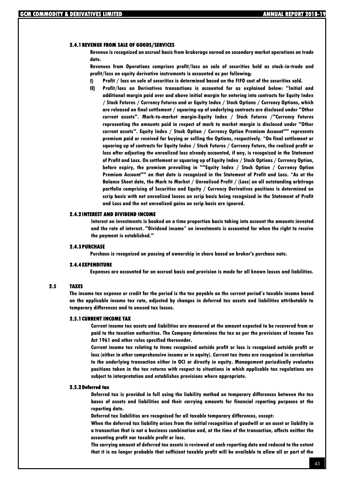#### **2.4.1REVENUE FROM SALE OF GOODS/SERVICES**

**Revenue is recognized on accrual basis from brokerage earned on secondary market operations on trade date.**

**Revenues from Operations comprises profit/loss on sale of securities held as stock-in-trade and profit/loss on equity derivative instruments is accounted as per following;**

- **I) Profit / loss on sale of securities is determined based on the FIFO cost of the securities sold.**
- **II) Profit/loss on Derivatives transactions is accounted for as explained below: ''Initial and additional margin paid over and above initial margin for entering into contracts for Equity Index / Stock Futures / Currency Futures and or Equity Index / Stock Options / Currency Options, which are released on final settlement / squaring-up of underlying contracts are disclosed under "Other current assets". Mark-to-market margin-Equity Index / Stock Futures /"Currency Futures representing the amounts paid in respect of mark to market margin is disclosed under "Other current assets". Equity Index / Stock Option / Currency Option Premium Account"" represents premium paid or received for buying or selling the Options, respectively. "On final settlement or squaring up of contracts for Equity Index / Stock Futures / Currency Future, the realized profit or loss after adjusting the unrealized loss already accounted, if any, is recognized in the Statement of Profit and Loss. On settlement or squaring up of Equity Index / Stock Options / Currency Option, before expiry, the premium prevailing in ""Equity Index / Stock Option / Currency Option Premium Account"" on that date is recognized in the Statement of Profit and Loss. "As at the Balance Sheet date, the Mark to Market / Unrealised Profit / (Loss) on all outstanding arbitrage portfolio comprising of Securities and Equity / Currency Derivatives positions is determined on scrip basis with net unrealized losses on scrip basis being recognized in the Statement of Profit and Loss and the net unrealized gains on scrip basis are ignored.**

#### **2.4.2INTEREST AND DIVIDEND INCOME**

**Interest on investments is booked on a time proportion basis taking into account the amounts invested and the rate of interest. "Dividend income" on investments is accounted for when the right to receive the payment is established."**

#### **2.4.3PURCHASE**

**Purchase is recognized on passing of ownership in share based on broker's purchase note.**

#### **2.4.4EXPENDITURE**

**Expenses are accounted for on accrual basis and provision is made for all known losses and liabilities.**

#### **2.5 TAXES**

**The income tax expense or credit for the period is the tax payable on the current period's taxable income based on the applicable income tax rate, adjusted by changes in deferred tax assets and liabilities attributable to temporary differences and to unused tax losses.**

#### **2.5.1CURRENT INCOME TAX**

**Current income tax assets and liabilities are measured at the amount expected to be recovered from or paid to the taxation authorities. The Company determines the tax as per the provisions of Income Tax Act 1961 and other rules specified thereunder.**

**Current income tax relating to items recognised outside profit or loss is recognised outside profit or loss (either in other comprehensive income or in equity). Current tax items are recognised in correlation to the underlying transaction either in OCI or directly in equity. Management periodically evaluates positions taken in the tax returns with respect to situations in which applicable tax regulations are subject to interpretation and establishes provisions where appropriate.**

#### **2.5.2Deferred tax**

**Deferred tax is provided in full using the liability method on temporary differences between the tax bases of assets and liabilities and their carrying amounts for financial reporting purposes at the reporting date.** 

**Deferred tax liabilities are recognised for all taxable temporary differences, except:**

**When the deferred tax liability arises from the initial recognition of goodwill or an asset or liability in a transaction that is not a business combination and, at the time of the transaction, affects neither the accounting profit nor taxable profit or loss.** 

**The carrying amount of deferred tax assets is reviewed at each reporting date and reduced to the extent that it is no longer probable that sufficient taxable profit will be available to allow all or part of the**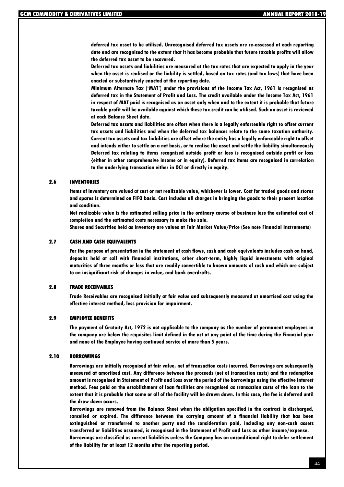**deferred tax asset to be utilised. Unrecognised deferred tax assets are re-assessed at each reporting date and are recognised to the extent that it has become probable that future taxable profits will allow the deferred tax asset to be recovered.**

**Deferred tax assets and liabilities are measured at the tax rates that are expected to apply in the year when the asset is realised or the liability is settled, based on tax rates (and tax laws) that have been enacted or substantively enacted at the reporting date.**

**Minimum Alternate Tax ('MAT') under the provisions of the Income Tax Act, 1961 is recognised as deferred tax in the Statement of Profit and Loss. The credit available under the Income Tax Act, 1961 in respect of MAT paid is recognised as an asset only when and to the extent it is probable that future taxable profit will be available against which these tax credit can be utilised. Such an asset is reviewed at each Balance Sheet date.**

**Deferred tax assets and liabilities are offset when there is a legally enforceable right to offset current tax assets and liabilities and when the deferred tax balances relate to the same taxation authority. Current tax assets and tax liabilities are offset where the entity has a legally enforceable right to offset and intends either to settle on a net basis, or to realise the asset and settle the liability simultaneously Deferred tax relating to items recognised outside profit or loss is recognised outside profit or loss {either in other comprehensive income or in equity). Deferred tax items are recognised in correlation to the underlying transaction either in OCI or directly in equity.**

#### **2.6 INVENTORIES**

**Items of inventory are valued at cost or net realizable value, whichever is lower. Cost for traded goods and stores and spares is determined on FIFO basis. Cost includes all charges in bringing the goods to their present location and condition.**

**Net realizable value is the estimated selling price in the ordinary course of business less the estimated cost of completion and the estimated costs necessary to make the sale.**

**Shares and Securities held as inventory are values at Fair Market Value/Price (See note Financial Instruments)**

#### **2.7 CASH AND CASH EQUIVALENTS**

**For the purpose of presentation in the statement of cash flows, cash and cash equivalents includes cash on hand, deposits held at call with financial institutions, other short-term, highly liquid investments with original maturities of three months or less that are readily convertible to known amounts of cash and which are subject to an insignificant risk of changes in value, and bank overdrafts.**

#### **2.8 TRADE RECEIVABLES**

**Trade Receivables are recognised initially at fair value and subsequently measured at amortised cost using the effective interest method, less provision for impairment.**

#### **2.9 EMPLOYEE BENEFITS**

**The payment of Gratuity Act, 1972 is not applicable to the company as the number of permanent employees in the company are below the requisites limit defined in the act at any point of the time during the Financial year and none of the Employee having continued service of more than 5 years.**

#### **2.10 BORROWINGS**

**Borrowings are initially recognised at fair value, net of transaction costs incurred. Borrowings are subsequently measured at amortised cost. Any difference between the proceeds (net of transaction costs) and the redemption amount is recognised in Statement of Profit and Loss over the period of the borrowings using the effective interest method. Fees paid on the establishment of loan facilities are recognised as transaction costs of the loan to the extent that it is probable that some or all of the facility will be drawn down. In this case, the fee is deferred until the draw down occurs.** 

**Borrowings are removed from the Balance Sheet when the obligation specified in the contract is discharged, cancelled or expired. The difference between the carrying amount of a financial liability that has been extinguished or transferred to another party and the consideration paid, including any non-cash assets transferred or liabilities assumed, is recognised in the Statement of Profit and Loss as other income/expense.**

**Borrowings are classified as current liabilities unless the Company has an unconditional right to defer settlement of the liability for at least 12 months after the reporting period.**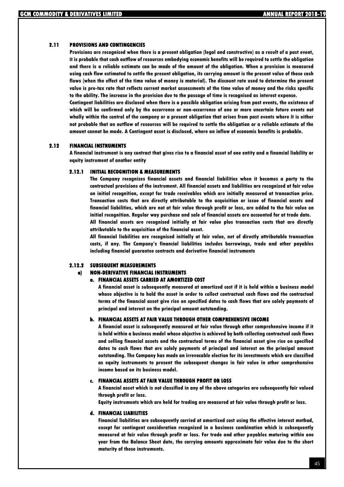#### **2.11 PROVISIONS AND CONTINGENCIES**

**Provisions are recognised when there is a present obligation (legal and constructive) as a result of a past event, it is probable that cash outflow of resources embodying economic benefits will be required to settle the obligation and there is a reliable estimate can be made of the amount of the obligation. When a provision is measured using cash flow estimated to settle the present obligation, its carrying amount is the present value of those cash flows (when the effect of the time value of money is material). The discount rate used to determine the present value is pre-tax rate that reflects current market assessments of the time value of money and the risks specific to the ability. The increase in the provision due to the passage of time is recognised as interest expense.** 

**Contingent liabilities are disclosed when there is a possible obligation arising from past events, the existence of which will be confirmed only by the occurrence or non-occurrence of one or more uncertain future events not wholly within the control of the company or a present obligation that arises from past events where it is either not probable that an outflow of resources will be required to settle the obligation or a reliable estimate of the amount cannot be made. A Contingent asset is disclosed, where an inflow of economic benefits is probable.**

#### **2.12 FINANCIAL INSTRUMENTS**

**A financial instrument is any contract that gives rise to a financial asset of one entity and a financial liability or equity instrument of another entity**

#### **2.12.1 INITIAL RECOGNITION & MEASUREMENTS**

**The Company recognizes financial assets and financial liabilities when it becomes a party to the contractual provisions of the instrument. All financial assets and liabilities are recognized at fair value on initial recognition, except for trade receivables which are initially measured at transaction price. Transaction costs that are directly attributable to the acquisition or issue of financial assets and financial liabilities, which are not at fair value through profit or loss, are added to the fair value on initial recognition. Regular way purchase and sale of financial assets are accounted for at trade date. All financial assets are recognised initially at fair value plus transaction costs that are directly attributable to the acquisition of the financial asset.**

**All financial liabilities are recognised initially at fair value, net of directly attributable transaction costs, if any. The Company's financial liabilities includes borrowings, trade and other payables including financial guarantee contracts and derivative financial instruments**

#### **2.12.2 SUBSEQUENT MEASUREMENTS**

#### **a) NON-DERIVATIVE FINANCIAL INSTRUMENTS**

#### **a. FINANCIAL ASSETS CARRIED AT AMORTIZED COST**

**A financial asset is subsequently measured at amortized cost if it is held within a business model whose objective is to hold the asset in order to collect contractual cash flows and the contractual terms of the financial asset give rise on specified dates to cash flows that are solely payments of principal and interest on the principal amount outstanding.**

#### **b. FINANCIAL ASSETS AT FAIR VALUE THROUGH OTHER COMPREHENSIVE INCOME**

**A financial asset is subsequently measured at fair value through other comprehensive income if it is held within a business model whose objective is achieved by both collecting contractual cash flows and selling financial assets and the contractual terms of the financial asset give rise on specified dates to cash flows that are solely payments of principal and interest on the principal amount outstanding. The Company has made an irrevocable election for its investments which are classified as equity instruments to present the subsequent changes in fair value in other comprehensive income based on its business model.**

#### **c. FINANCIAL ASSETS AT FAIR VALUE THROUGH PROFIT OR LOSS**

**A financial asset which is not classified in any of the above categories are subsequently fair valued through profit or loss.**

**Equity instruments which are held for trading are measured at fair value through profit or loss.**

#### **d. FINANCIAL LIABILITIES**

**Financial liabilities are subsequently carried at amortized cost using the effective interest method, except for contingent consideration recognized in a business combination which is subsequently measured at fair value through profit or loss. For trade and other payables maturing within one year from the Balance Sheet date, the carrying amounts approximate fair value due to the short maturity of these instruments.**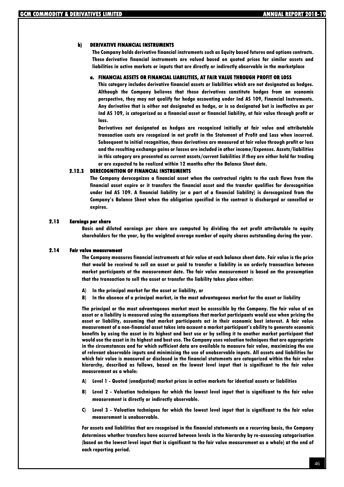#### **b) DERIVATIVE FINANCIAL INSTRUMENTS**

**The Company holds derivative financial instruments such as Equity based futures and options contracts. These derivative financial instruments are valued based on quoted prices for similar assets and liabilities in active markets or inputs that are directly or indirectly observable in the marketplace**

#### **a. FINANCIAL ASSETS OR FINANCIAL LIABILITIES, AT FAIR VALUE THROUGH PROFIT OR LOSS**

**This category includes derivative financial assets or liabilities which are not designated as hedges. Although the Company believes that these derivatives constitute hedges from an economic perspective, they may not qualify for hedge accounting under Ind AS 109, Financial Instruments. Any derivative that is either not designated as hedge, or is so designated but is ineffective as per Ind AS 109, is categorized as a financial asset or financial liability, at fair value through profit or loss.**

**Derivatives not designated as hedges are recognized initially at fair value and attributable transaction costs are recognized in net profit in the Statement of Profit and Loss when incurred. Subsequent to initial recognition, these derivatives are measured at fair value through profit or loss and the resulting exchange gains or losses are included in other income/Expenses. Assets/liabilities in this category are presented as current assets/current liabilities if they are either held for trading or are expected to be realized within 12 months after the Balance Sheet date.**

#### **2.12.3 DERECOGNITION OF FINANCIAL INSTRUMENTS**

**The Company derecognizes a financial asset when the contractual rights to the cash flows from the financial asset expire or it transfers the financial asset and the transfer qualifies for derecognition under Ind AS 109. A financial liability (or a part of a financial liability) is derecognized from the Company's Balance Sheet when the obligation specified in the contract is discharged or cancelled or expires.**

#### **2.13 Earnings per share**

**Basic and diluted earnings per share are computed by dividing the net profit attributable to equity shareholders for the year, by the weighted average number of equity shares outstanding during the year.**

#### **2.14 Fair value measurement**

**The Company measures financial instruments at fair value at each balance sheet date. Fair value is the price that would be received to sell an asset or paid to transfer a liability in an orderly transaction between market participants at the measurement date. The fair value measurement is based on the presumption that the transaction to sell the asset or transfer the liability takes place either:**

- **A) In the principal market for the asset or liability, or**
- **B) In the absence of a principal market, in the most advantageous market for the asset or liability**

**The principal or the most advantageous market must be accessible by the Company. The fair value of an asset or a liability is measured using the assumptions that market participants would use when pricing the asset or liability, assuming that market participants act in their economic best interest. A fair value measurement of a non-financial asset takes into account a market participant's ability to generate economic benefits by using the asset in its highest and best use or by selling it to another market participant that would use the asset in its highest and best use. The Company uses valuation techniques that are appropriate in the circumstances and for which sufficient data are available to measure fair value, maximizing the use of relevant observable inputs and minimizing the use of unobservable inputs. All assets and liabilities for which fair value is measured or disclosed in the financial statements are categorized within the fair value hierarchy, described as follows, based on the lowest level input that is significant to the fair value measurement as a whole:**

- **A) Level 1 - Quoted (unadjusted) market prices in active markets for identical assets or liabilities**
- **B) Level 2 - Valuation techniques for which the lowest level input that is significant to the fair value measurement is directly or indirectly observable.**
- **C) Level 3 - Valuation techniques for which the lowest level input that is significant to the fair value measurement is unobservable.**

**For assets and liabilities that are recognised in the financial statements on a recurring basis, the Company determines whether transfers have occurred between levels in the hierarchy by re-assessing categorisation (based on the lowest level input that is significant to the fair value measurement as a whole) at the end of each reporting period.**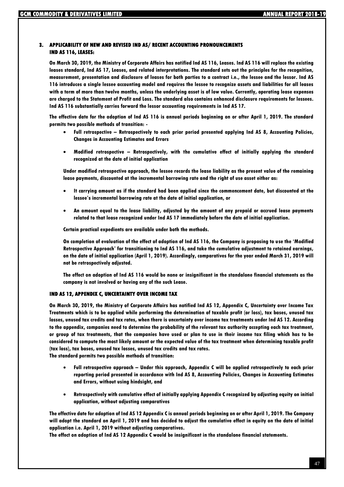#### **3. APPLICABILITY OF NEW AND REVISED IND AS/ RECENT ACCOUNTING PRONOUNCEMENTS IND AS 116, LEASES:**

**On March 30, 2019, the Ministry of Corporate Affairs has notified Ind AS 116, Leases. Ind AS 116 will replace the existing leases standard, Ind AS 17, Leases, and related interpretations. The standard sets out the principles for the recognition, measurement, presentation and disclosure of leases for both parties to a contract i.e., the lessee and the lessor. Ind AS 116 introduces a single lessee accounting model and requires the lessee to recognize assets and liabilities for all leases with a term of more than twelve months, unless the underlying asset is of low value. Currently, operating lease expenses are charged to the Statement of Profit and Loss. The standard also contains enhanced disclosure requirements for lessees. Ind AS 116 substantially carries forward the lessor accounting requirements in Ind AS 17.**

**The effective date for the adoption of Ind AS 116 is annual periods beginning on or after April 1, 2019. The standard permits two possible methods of transition: -**

- **Full retrospective – Retrospectively to each prior period presented applying Ind AS 8, Accounting Policies, Changes in Accounting Estimates and Errors**
- **Modified retrospective – Retrospectively, with the cumulative effect of initially applying the standard recognized at the date of initial application**

**Under modified retrospective approach, the lessee records the lease liability as the present value of the remaining lease payments, discounted at the incremental borrowing rate and the right of use asset either as:** 

- **It carrying amount as if the standard had been applied since the commencement date, but discounted at the lessee's incremental borrowing rate at the date of initial application, or**
- **An amount equal to the lease liability, adjusted by the amount of any prepaid or accrued lease payments related to that lease recognized under Ind AS 17 immediately before the date of initial application.**

**Certain practical expedients are available under both the methods.**

**On completion of evaluation of the effect of adoption of Ind AS 116, the Company is proposing to use the 'Modified Retrospective Approach' for transitioning to Ind AS 116, and take the cumulative adjustment to retained earnings, on the date of initial application (April 1, 2019). Accordingly, comparatives for the year ended March 31, 2019 will not be retrospectively adjusted.** 

**The effect on adoption of Ind AS 116 would be none or insignificant in the standalone financial statements as the company is not involved or having any of the such Lease.**

#### **IND AS 12, APPENDIX C, UNCERTAINTY OVER INCOME TAX**

**On March 30, 2019, the Ministry of Corporate Affairs has notified Ind AS 12, Appendix C, Uncertainty over Income Tax Treatments which is to be applied while performing the determination of taxable profit (or loss), tax bases, unused tax losses, unused tax credits and tax rates, when there is uncertainty over income tax treatments under Ind AS 12. According to the appendix, companies need to determine the probability of the relevant tax authority accepting each tax treatment, or group of tax treatments, that the companies have used or plan to use in their income tax filing which has to be considered to compute the most likely amount or the expected value of the tax treatment when determining taxable profit (tax loss), tax bases, unused tax losses, unused tax credits and tax rates.**

**The standard permits two possible methods of transition:**

- **Full retrospective approach – Under this approach, Appendix C will be applied retrospectively to each prior reporting period presented in accordance with Ind AS 8, Accounting Policies, Changes in Accounting Estimates and Errors, without using hindsight, and**
- **Retrospectively with cumulative effect of initially applying Appendix C recognized by adjusting equity on initial application, without adjusting comparatives**

**The effective date for adoption of Ind AS 12 Appendix C is annual periods beginning on or after April 1, 2019. The Company will adopt the standard on April 1, 2019 and has decided to adjust the cumulative effect in equity on the date of initial application i.e. April 1, 2019 without adjusting comparatives.**

**The effect on adoption of Ind AS 12 Appendix C would be insignificant in the standalone financial statements.**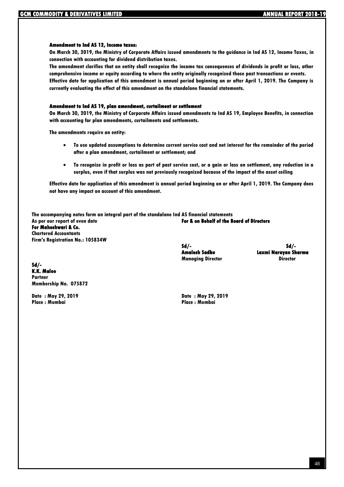#### **Amendment to Ind AS 12, Income taxes:**

**On March 30, 2019, the Ministry of Corporate Affairs issued amendments to the guidance in Ind AS 12, Income Taxes, in connection with accounting for dividend distribution taxes.**

**The amendment clarifies that an entity shall recognize the income tax consequences of dividends in profit or loss, other comprehensive income or equity according to where the entity originally recognized those past transactions or events. Effective date for application of this amendment is annual period beginning on or after April 1, 2019. The Company is** 

**Amendment to Ind AS 19, plan amendment, curtailment or settlement** 

**currently evaluating the effect of this amendment on the standalone financial statements.**

**On March 30, 2019, the Ministry of Corporate Affairs issued amendments to Ind AS 19, Employee Benefits, in connection with accounting for plan amendments, curtailments and settlements.**

**The amendments require an entity:** 

- **To use updated assumptions to determine current service cost and net interest for the remainder of the period after a plan amendment, curtailment or settlement; and**
- **To recognize in profit or loss as part of past service cost, or a gain or loss on settlement, any reduction in a surplus, even if that surplus was not previously recognized because of the impact of the asset ceiling**

**Effective date for application of this amendment is annual period beginning on or after April 1, 2019. The Company does not have any impact on account of this amendment.**

**The accompanying notes form an integral part of the standalone Ind AS financial statements As per our report of even date For & on Behalf of the Board of Directors For Maheshwari & Co. Chartered Accountants Firm's Registration No.: 105834W** 

**Managing Director Director**

**Sd/- Sd/- Amalesh Sadhu Laxmi Narayan Sharma**

**Sd/- K.K. Maloo Partner Membership No. 075872** 

**Date : May 29, 2019 Date : May 29, 2019 Place : Mumbai Place : Mumbai**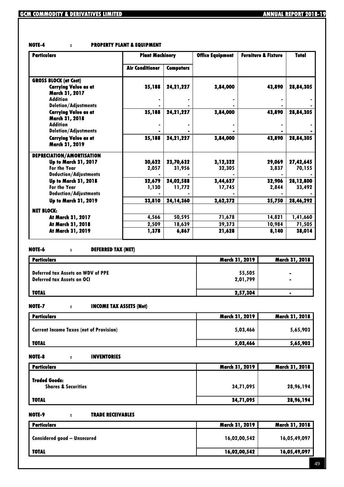#### **NOTE-4 : PROPERTY PLANT & EQUIPMENT**

| <b>Particulars</b>                                               | <b>Plant Machinery</b> |                  | <b>Office Equipment</b> | <b>Furniture &amp; Fixture</b> | <b>Total</b> |
|------------------------------------------------------------------|------------------------|------------------|-------------------------|--------------------------------|--------------|
|                                                                  | <b>Air Conditioner</b> | <b>Computers</b> |                         |                                |              |
| <b>GROSS BLOCK (at Cost)</b>                                     |                        |                  |                         |                                |              |
| <b>Carrying Value as at</b><br>March 31, 2017<br><b>Addition</b> | 35,188                 | 24,21,227        | 3,84,000                | 43,890                         | 28,84,305    |
| <b>Deletion/Adjustments</b>                                      |                        |                  |                         |                                |              |
| <b>Carrying Value as at</b><br><b>March 31, 2018</b>             | 35,188                 | 24,21,227        | 3,84,000                | 43,890                         | 28,84,305    |
| <b>Addition</b>                                                  |                        |                  |                         |                                |              |
| <b>Deletion/Adjustments</b>                                      |                        |                  |                         |                                |              |
| <b>Carrying Value as at</b><br>March 31, 2019                    | 35,188                 | 24,21,227        | 3,84,000                | 43,890                         | 28,84,305    |
| DEPRECIATION/AMORTISATION                                        |                        |                  |                         |                                |              |
| <b>Up to March 31, 2017</b>                                      | 30,622                 | 23,70,632        | 3, 12, 322              | 29,069                         | 27,42,645    |
| <b>For the Year</b>                                              | 2,057                  | 31,956           | 32,305                  | 3,837                          | 70,155       |
| <b>Deduction/Adjustments</b>                                     |                        |                  |                         |                                |              |
| <b>Up to March 31, 2018</b>                                      | 32,679                 | 24,02,588        | 3,44,627                | 32,906                         | 28,12,800    |
| <b>For the Year</b>                                              | 1,130                  | 11,772           | 17,745                  | 2,844                          | 33,492       |
| <b>Deduction/Adjustments</b>                                     |                        |                  |                         |                                |              |
| <b>Up to March 31, 2019</b>                                      | 33,810                 | 24,14,360        | 3,62,372                | 35,750                         | 28,46,292    |
| <b>NET BLOCK:</b>                                                |                        |                  |                         |                                |              |
| <b>At March 31, 2017</b>                                         | 4,566                  | 50,595           | 71,678                  | 14,821                         | 1,41,660     |
| At March 31, 2018                                                | 2,509                  | 18,639           | 39,373                  | 10,984                         | 71,505       |
| At March 31, 2019                                                | 1,378                  | 6,867            | 21,628                  | 8,140                          | 38,014       |

#### **NOTE-6 : DEFERRED TAX (NET)**

| <b>Particulars</b>                | <b>March 31, 2019</b> | <b>March 31, 2018</b> |
|-----------------------------------|-----------------------|-----------------------|
|                                   |                       |                       |
| Deferred tax Assets on WDV of PPE | 55,505                | $\blacksquare$        |
| <b>Deferred tax Assets on OCI</b> | 2,01,799              | $\blacksquare$        |
|                                   |                       |                       |
| <b>TOTAL</b>                      | 2,57,304              |                       |

#### **NOTE-7 : INCOME TAX ASSETS (Net)**

| <b>Particulars</b>                             | <b>March 31, 2019</b> | <b>March 31, 2018</b> |
|------------------------------------------------|-----------------------|-----------------------|
| <b>Current Income Taxes (net of Provision)</b> | 5,03,466              | 5,65,903              |
| <b>TOTAL</b>                                   | 5,03,466              | 5,65,903              |

#### **NOTE-8 : INVENTORIES**

| <b>Particulars</b>                                     | <b>March 31, 2019</b> | <b>March 31, 2018</b> |
|--------------------------------------------------------|-----------------------|-----------------------|
| <b>Traded Goods:</b><br><b>Shares &amp; Securities</b> | 34,71,095             | 28,96,194             |
| TOTAL                                                  | 34,71,095             | 28,96,194             |

#### **NOTE-9 : TRADE RECEIVABLES**

| <b>Particulars</b>          | <b>March 31, 2019</b> | <b>March 31, 2018</b> |
|-----------------------------|-----------------------|-----------------------|
| Considered good - Unsecured | 16,02,00,542          | 16,05,49,097          |
| <b>TOTAL</b>                | 16,02,00,542          | 16,05,49,097          |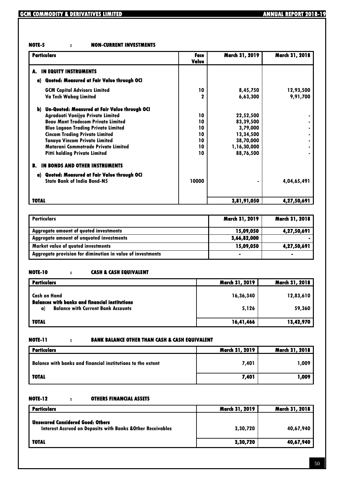#### **NOTE-5 : NON-CURRENT INVESTMENTS**

| <b>Particulars</b>                                                                                                                                                                                                                                                                                                                          | Face<br><b>Value</b>                   | March 31, 2019                                                                           | <b>March 31, 2018</b> |
|---------------------------------------------------------------------------------------------------------------------------------------------------------------------------------------------------------------------------------------------------------------------------------------------------------------------------------------------|----------------------------------------|------------------------------------------------------------------------------------------|-----------------------|
| <b>IN EQUITY INSTRUMENTS</b>                                                                                                                                                                                                                                                                                                                |                                        |                                                                                          |                       |
| Quoted: Measured at Fair Value through OCI<br>a)                                                                                                                                                                                                                                                                                            |                                        |                                                                                          |                       |
| <b>GCM Capital Advisors Limited</b><br>Va Tech Wabag Limited                                                                                                                                                                                                                                                                                | 10<br>2                                | 8,45,750<br>6,63,300                                                                     | 12,93,500<br>9,91,700 |
| Un-Quoted: Measured at Fair Value through OCI<br>Ы<br>Agradooti Vanijya Private Limited<br><b>Beau Mont Tradecom Private Limited</b><br><b>Blue Lagoon Trading Private Limited</b><br><b>Cincom Trading Private Limited</b><br>Tanaya Vincom Private Limited<br>Matarani Commotrade Private Limited<br><b>Pitti holding Private Limited</b> | 10<br>10<br>10<br>10<br>10<br>10<br>10 | 22,52,500<br>83,39,500<br>3,79,000<br>13,34,500<br>38,70,000<br>1,16,30,000<br>88,76,500 | ۰<br>۰                |
| <b>IN BONDS AND OTHER INSTRUMENTS</b><br>B.<br>Quoted: Measured at Fair Value through OCI<br>a)<br><b>State Bank of India Bond-N5</b>                                                                                                                                                                                                       | 10000                                  |                                                                                          | 4,04,65,491           |
| <b>TOTAL</b>                                                                                                                                                                                                                                                                                                                                |                                        | 3,81,91,050                                                                              | 4,27,50,691           |

| <b>Particulars</b>                                         | <b>March 31, 2019</b> | <b>March 31, 2018</b> |
|------------------------------------------------------------|-----------------------|-----------------------|
| <b>Aggregate amount of quoted investments</b>              | 15,09,050             | 4,27,50,691           |
| <b>Aggregate amount of unquoted investments</b>            | 3,66,82,000           |                       |
| <b>Market value of quoted investments</b>                  | 15,09,050             | 4,27,50,691           |
| Aggregate provision for diminution in value of investments |                       |                       |

#### **NOTE-10 : CASH & CASH EQUIVALENT**

| <b>Particulars</b>                                                                                                              | <b>March 31, 2019</b> | <b>March 31, 2018</b> |
|---------------------------------------------------------------------------------------------------------------------------------|-----------------------|-----------------------|
| <b>Cash on Hand</b><br><b>Balances with banks and financial institutions</b><br><b>Balance with Current Bank Accounts</b><br>a) | 16,36,340<br>5,126    | 12,83,610<br>59,360   |
| <b>TOTAL</b>                                                                                                                    | 16,41,466             | 13,42,970             |

#### **NOTE-11 : BANK BALANCE OTHER THAN CASH & CASH EQUIVALENT**

| Particulars                                                 | <b>March 31, 2019</b> | <b>March 31, 2018</b> |
|-------------------------------------------------------------|-----------------------|-----------------------|
| Balance with banks and financial institutions to the extent | 7,401                 | 1,009                 |
| <b>TOTAL</b>                                                | 7,401                 | 1,009                 |

#### **NOTE-12 : OTHERS FINANCIAL ASSETS**

| <b>Particulars</b>                                                                                                 | <b>March 31, 2019</b> | <b>March 31, 2018</b> |
|--------------------------------------------------------------------------------------------------------------------|-----------------------|-----------------------|
| <b>Unsecured Considered Good: Others</b><br><b>Interest Accrued on Deposits with Banks &amp; Other Receivables</b> | 3,30,720              | 40,67,940             |
| I TOTAL                                                                                                            | 3,30,720              | 40,67,940             |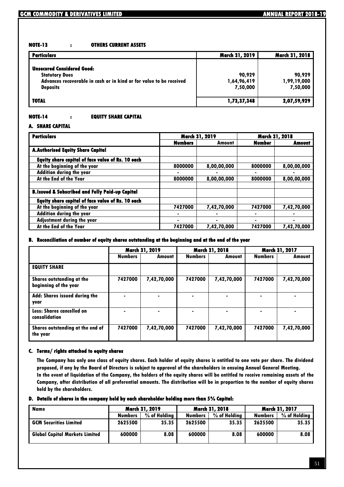#### **NOTE-13 : OTHERS CURRENT ASSETS**

| <b>Particulars</b>                                                  | <b>March 31, 2019</b> | <b>March 31, 2018</b> |
|---------------------------------------------------------------------|-----------------------|-----------------------|
|                                                                     |                       |                       |
| <b>Unsecured Considered Good:</b><br><b>Statutory Dues</b>          | 90,929                | 90,929                |
| Advances recoverable in cash or in kind or for value to be received | 1,64,96,419           | 1,99,19,000           |
| <b>Deposits</b>                                                     | 7,50,000              | 7,50,000              |
|                                                                     |                       |                       |
| <b>TOTAL</b>                                                        | 1,73,37,348           | 2,07,59,929           |

#### **NOTE-14 : EQUITY SHARE CAPITAL**

#### **A. SHARE CAPITAL**

| <b>Particulars</b>                                         | <b>March 31, 2019</b> |             | March 31, 2018 |             |
|------------------------------------------------------------|-----------------------|-------------|----------------|-------------|
|                                                            | <b>Numbers</b>        | Amount      | Number         | Amount      |
| <b>A.Authorised Equity Share Capital</b>                   |                       |             |                |             |
| <b>Equity share capital of face value of Rs. 10 each</b>   |                       |             |                |             |
| At the beginning of the year                               | 8000000               | 8,00,00,000 | 8000000        | 8,00,00,000 |
| <b>Addition during the year</b>                            |                       |             |                |             |
| At the End of the Year                                     | 8000000               | 8,00,00,000 | 8000000        | 8,00,00,000 |
| <b>B.Issued &amp; Subscribed and Fully Paid-up Capital</b> |                       |             |                |             |
| Equity share capital of face value of Rs. 10 each          |                       |             |                |             |
| At the beginning of the year                               | 7427000               | 7,42,70,000 | 7427000        | 7,42,70,000 |
| <b>Addition during the year</b>                            | ۰                     |             |                |             |
| <b>Adjustment during the year</b>                          | -                     |             |                |             |
| At the End of the Year                                     | 7427000               | 7,42,70,000 | 7427000        | 7,42,70,000 |

#### **B. Reconciliation of number of equity shares outstanding at the beginning and at the end of the year**

|                                                           | <b>March 31, 2019</b> |             | <b>March 31, 2018</b> |             | <b>March 31, 2017</b> |             |
|-----------------------------------------------------------|-----------------------|-------------|-----------------------|-------------|-----------------------|-------------|
|                                                           | <b>Numbers</b>        | Amount      | <b>Numbers</b>        | Amount      | <b>Numbers</b>        | Amount      |
| <b>EQUITY SHARE</b>                                       |                       |             |                       |             |                       |             |
| <b>Shares outstanding at the</b><br>beginning of the year | 7427000               | 7,42,70,000 | 7427000               | 7,42,70,000 | 7427000               | 7,42,70,000 |
| Add: Shares issued during the<br>year                     |                       | -           |                       |             |                       |             |
| Less: Shares cancelled on<br>consolidation                |                       |             |                       |             |                       |             |
| Shares outstanding at the end of<br>the year              | 7427000               | 7,42,70,000 | 7427000               | 7,42,70,000 | 7427000               | 7,42,70,000 |

#### **C. Terms/ rights attached to equity shares**

**The Company has only one class of equity shares. Each holder of equity shares is entitled to one vote per share. The dividend proposed, if any by the Board of Directors is subject to approval of the shareholders in ensuing Annual General Meeting. In the event of liquidation of the Company, the holders of the equity shares will be entitled to receive remaining assets of the Company, after distribution of all preferential amounts. The distribution will be in proportion to the number of equity shares held by the shareholders.**

#### **D. Details of shares in the company held by each shareholder holding more than 5% Capital:**

| <b>Name</b>                           |                | <b>March 31, 2019</b> |                | <b>March 31, 2018</b>       |                | <b>March 31, 2017</b> |
|---------------------------------------|----------------|-----------------------|----------------|-----------------------------|----------------|-----------------------|
|                                       | <b>Numbers</b> | $\%$ of Holdina       | <b>Numbers</b> | $\%$ of Holdina $\parallel$ | <b>Numbers</b> | $%$ of Holdina        |
| <b>GCM Securities Limited</b>         | 2625500        | 35.35                 | 2625500        | 35.35                       | 2625500        | 35.35                 |
| <b>Global Capital Markets Limited</b> | 600000         | 8.08                  | 600000         | 8.08                        | 600000         | 8.08                  |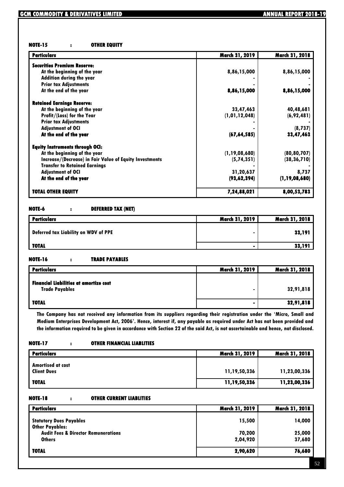#### **NOTE-15 : OTHER EQUITY**

| <b>Particulars</b>                                      | <b>March 31, 2019</b> | <b>March 31, 2018</b> |
|---------------------------------------------------------|-----------------------|-----------------------|
| <b>Securities Premium Reserve:</b>                      |                       |                       |
| At the beginning of the year                            | 8,86,15,000           | 8,86,15,000           |
| <b>Addition during the year</b>                         |                       |                       |
| <b>Prior tax Adjustments</b>                            |                       |                       |
| At the end of the year                                  | 8,86,15,000           | 8,86,15,000           |
| <b>Retained Earnings Reserve:</b>                       |                       |                       |
| At the beginning of the year                            | 33,47,463             | 40,48,681             |
| Profit/(Loss) for the Year                              | (1, 01, 12, 048)      | (6,92,481)            |
| <b>Prior tax Adjustments</b>                            |                       |                       |
| <b>Adjustment of OCI</b>                                |                       | (8,737)               |
| At the end of the year                                  | (67, 64, 585)         | 33,47,463             |
| <b>Equity Instruments through OCI:</b>                  |                       |                       |
| At the beginning of the year                            | (1, 19, 08, 680)      | (80, 80, 707)         |
| Increase/(Decrease) in Fair Value of Equity Investments | (5, 74, 351)          | (38, 36, 710)         |
| <b>Transfer to Retained Earnings</b>                    |                       |                       |
| <b>Adjustment of OCI</b>                                | 31,20,637             | 8,737                 |
| At the end of the year                                  | (93,62,394)           | (1, 19, 08, 680)      |
| <b>TOTAL OTHER EQUITY</b>                               | 7,24,88,021           | 8,00,53,783           |

#### **NOTE-6 : DEFERRED TAX (NET)**

| <b>Particulars</b>                   | March 31, 2019 | <b>March 31, 2018</b> |
|--------------------------------------|----------------|-----------------------|
| Deferred tax Liability on WDV of PPE |                | 33,191                |
| <b>TOTAL</b>                         |                | 33,191                |

#### **NOTE-16 : TRADE PAYABLES**

| <b>Particulars</b>                                                     | <b>March 31, 2019</b> | <b>March 31, 2018</b> |
|------------------------------------------------------------------------|-----------------------|-----------------------|
| <b>Financial Liabilities at amortize cost</b><br><b>Trade Payables</b> |                       | 32,91,818             |
| <b>TOTAL</b>                                                           |                       | 32,91,818             |

**The Company has not received any information from its suppliers regarding their registration under the 'Micro, Small and Medium Enterprises Development Act, 2006'. Hence, interest if, any payable as required under Act has not been provided and the information required to be given in accordance with Section 22 of the said Act, is not ascertainable and hence, not disclosed.**

#### **NOTE-17 : OTHER FINANCIAL LIABLITIES**

| Particulars                               | March 31, 2019 | <b>March 31, 2018</b> |
|-------------------------------------------|----------------|-----------------------|
| <b>Amortised at cost</b><br>l Client Dues | 11,19,50,336   | 11,23,00,336          |
| i total                                   | 11,19,50,336   | 11,23,00,336          |

#### **NOTE-18 : OTHER CURRENT LIABLITIES**

| <b>Particulars</b>                                              | <b>March 31, 2019</b> | <b>March 31, 2018</b> |
|-----------------------------------------------------------------|-----------------------|-----------------------|
| <b>Statutory Dues Payables</b><br><b>Other Payables:</b>        | 15,500                | 14,000                |
| <b>Audit Fees &amp; Director Remunerations</b><br><b>Others</b> | 70,200<br>2,04,920    | 25,000<br>37,680      |
|                                                                 |                       |                       |
| I TOTAL                                                         | 2,90,620              | 76,680                |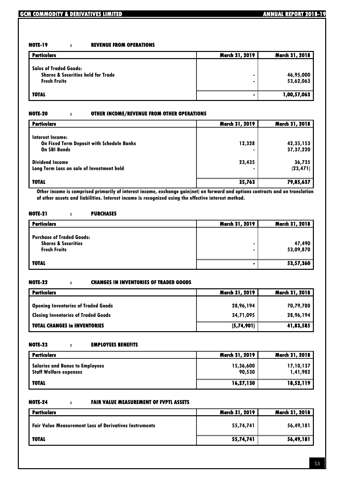#### **NOTE-19 : REVENUE FROM OPERATIONS**

| <b>Particulars</b>                                                                                    | <b>March 31, 2019</b> | <b>March 31, 2018</b>  |
|-------------------------------------------------------------------------------------------------------|-----------------------|------------------------|
| <b>Sales of Traded Goods:</b><br><b>Shares &amp; Securities held for Trade</b><br><b>Fresh Fruits</b> |                       | 46,95,000<br>53,62,063 |
| <b>TOTAL</b>                                                                                          |                       | 1,00,57,063            |

#### **NOTE-20 : OTHER INCOME/REVENUE FROM OTHER OPERATIONS**

| <b>Particulars</b>                               | <b>March 31, 2019</b> | <b>March 31, 2018</b> |
|--------------------------------------------------|-----------------------|-----------------------|
|                                                  |                       |                       |
| <b>Interest Income:</b>                          |                       |                       |
| <b>On Fixed Term Deposit with Schedule Banks</b> | 12,328                | 42,35,153             |
| <b>On SBI Bonds</b>                              |                       | 37, 37, 220           |
| <b>Dividend Income</b>                           | 23,435                | 36,735                |
| Long Term Loss on sale of Investment held        |                       | (23, 471)             |
| <b>TOTAL</b>                                     | 35,763                | 79,85,637             |

**Other income is comprised primarily of interest income, exchange gain(net) on forward and options contracts and on translation of other assets and liabilities. Interest income is recognized using the effective interest method.** 

#### **NOTE-21 : PURCHASES**

| Particulars                                                                               | <b>March 31, 2019</b> | <b>March 31, 2018</b> |
|-------------------------------------------------------------------------------------------|-----------------------|-----------------------|
| <b>Purchase of Traded Goods:</b><br><b>Shares &amp; Securities</b><br><b>Fresh Fruits</b> | -                     | 47,490<br>53,09,870   |
| <b>TOTAL</b>                                                                              |                       | 53,57,360             |

#### **NOTE-22 : CHANGES IN INVENTORIES OF TRADED GOODS**

| Particulars                                | March 31, 2019 | <b>March 31, 2018</b> |
|--------------------------------------------|----------------|-----------------------|
|                                            |                |                       |
| <b>Opening Inventories of Traded Goods</b> | 28,96,194      | 70,79,780             |
| <b>Closing Inventories of Traded Goods</b> | 34,71,095      | 28,96,194             |
| <b>TOTAL CHANGES in INVENTORIES</b>        | (5, 74, 901)   | 41,83,585             |

#### **NOTE-23 : EMPLOYEES BENEFITS**

| Particulars                                                             | March 31, 2019      | <b>March 31, 2018</b> |
|-------------------------------------------------------------------------|---------------------|-----------------------|
| <b>Salaries and Bonus to Employees</b><br><b>Staff Welfare expenses</b> | 15,36,600<br>90,530 | 17,10,137<br>1,41,982 |
| I TOTAL                                                                 | 16,27,130           | 18,52,119             |

#### **NOTE-24 : FAIR VALUE MEASUREMENT OF FVPTL ASSETS**

| Particulars                                              | March 31, 2019 | <b>March 31, 2018</b> |
|----------------------------------------------------------|----------------|-----------------------|
| l Fair Value Measurement Loss of Derivatives Instruments | 55,74,741      | 56,49,181             |
| I TOTAL                                                  | 55,74,741      | 56,49,181             |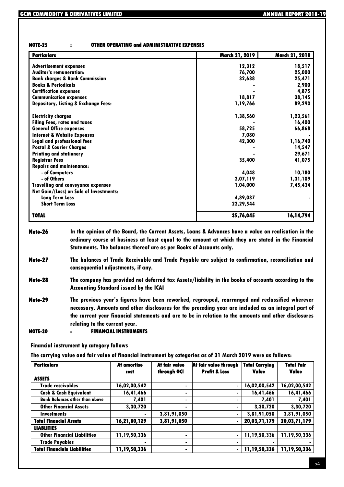**GCM COMMODITY & DERIVATIVES LIMITED ANNUAL REPORT 2018-19** 

#### **NOTE-25 : OTHER OPERATING and ADMINISTRATIVE EXPENSES**

| <b>Particulars</b>                        | March 31, 2019 | <b>March 31, 2018</b> |
|-------------------------------------------|----------------|-----------------------|
|                                           |                |                       |
| <b>Advertisement expenses</b>             | 12,312         | 18,517                |
| <b>Auditor's remuneration:</b>            | 76,700         | 25,000                |
| <b>Bank charges &amp; Bank Commission</b> | 32,638         | 25,471                |
| <b>Books &amp; Periodicals</b>            |                | 2,900                 |
| <b>Certification expenses</b>             |                | 4,875                 |
| <b>Communication expenses</b>             | 18,817         | 38,145                |
| Depository, Listing & Exchange Fees:      | 1,19,766       | 89,293                |
| <b>Electricity charges</b>                | 1,38,560       | 1,23,561              |
| <b>Filing Fees, rates and taxes</b>       |                | 16,400                |
| <b>General Office expenses</b>            | 58,725         | 66,868                |
| <b>Internet &amp; Website Expenses</b>    | 7,080          |                       |
| Legal and professional fees               | 42,300         | 1,16,740              |
| <b>Postal &amp; Courier Charges</b>       |                | 14,547                |
| <b>Printing and stationery</b>            |                | 29,671                |
| <b>Registrar Fees</b>                     | 35,400         | 41,075                |
| <b>Repairs and maintenance:</b>           |                |                       |
| - of Computers                            | 4,048          | 10,180                |
| - of Others                               | 2,07,119       | 1,31,109              |
| <b>Travelling and conveyance expenses</b> | 1,04,000       | 7,45,434              |
| Net Gain/(Loss) on Sale of Investments:   |                |                       |
|                                           |                |                       |
| <b>Long Term Loss</b>                     | 4,89,037       |                       |
| <b>Short Term Loss</b>                    | 22,29,544      |                       |
| <b>TOTAL</b>                              | 35,76,045      | 16,14,794             |

- **Note-26 In the opinion of the Board, the Current Assets, Loans & Advances have a value on realisation in the ordinary course of business at least equal to the amount at which they are stated in the Financial Statements. The balances thereof are as per Books of Accounts only.**
- **Note-27 The balances of Trade Receivable and Trade Payable are subject to confirmation, reconciliation and consequential adjustments, if any.**
- **Note-28 The company has provided net deferred tax Assets/liability in the books of accounts according to the Accounting Standard issued by the ICAI**
- **Note-29 The previous year's figures have been reworked, regrouped, rearranged and reclassified wherever necessary. Amounts and other disclosures for the preceding year are included as an integral part of the current year financial statements and are to be in relation to the amounts and other disclosures relating to the current year.**

#### **NOTE-30 : FINANCIAL INSTRUMENTS**

**Financial instrument by category follows**

**The carrying value and fair value of financial instrument by categories as of 31 March 2019 were as follows:**

| <b>Particulars</b>                    | At amortise<br>cost | At fair value<br>through OCI | At fair value through<br><b>Profit &amp; Loss</b> | <b>Total Carrying</b><br><b>Value</b> | <b>Total Fair</b><br>Value |
|---------------------------------------|---------------------|------------------------------|---------------------------------------------------|---------------------------------------|----------------------------|
| <b>ASSETS</b>                         |                     |                              |                                                   |                                       |                            |
| <b>Trade receivables</b>              | 16,02,00,542        | ۰.                           | $\blacksquare$                                    | 16,02,00,542                          | 16,02,00,542               |
| <b>Cash &amp; Cash Equivalent</b>     | 16,41,466           | ۰                            | ٠                                                 | 16,41,466                             | 16,41,466                  |
| <b>Bank Balances other than above</b> | 7,401               | ۰.                           | ٠                                                 | 7,401                                 | 7,401                      |
| <b>Other Financial Assets</b>         | 3,30,720            | ۰.                           | ۰                                                 | 3,30,720                              | 3,30,720                   |
| <b>Investments</b>                    | ۰                   | 3,81,91,050                  | ٠                                                 | 3,81,91,050                           | 3,81,91,050                |
| <b>Total Financial Assets</b>         | 16,21,80,129        | 3,81,91,050                  | ٠                                                 | 20,03,71,179                          | 20,03,71,179               |
| <b>LIABLITIES</b>                     |                     |                              |                                                   |                                       |                            |
| <b>Other Financial Liabilities</b>    | 11,19,50,336        | -                            | ٠                                                 | 11,19,50,336                          | 11,19,50,336               |
| <b>Trade Payables</b>                 | ۰                   | ٠                            | ٠                                                 |                                       |                            |
| <b>Total Financials Liabilities</b>   | 11,19,50,336        |                              | $\blacksquare$                                    | 11,19,50,336                          | 11,19,50,336               |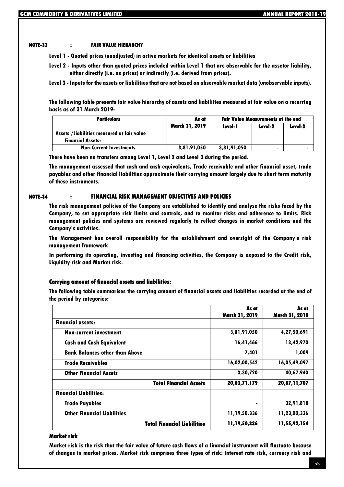#### **NOTE-33 : FAIR VALUE HIERARCHY**

**Level 1 - Quoted prices (unadjusted) in active markets for identical assets or liabilities**

**Level 2 - Inputs other than quoted prices included within Level 1 that are observable for the assetor liability, either directly (i.e. as prices) or indirectly (i.e. derived from prices).**

**Level 3 - Inputs for the assets or liabilities that are not based on observable market data (unobservable inputs).**

**The following table presents fair value hierarchy of assets and liabilities measured at fair value on a recurring basis as of 31 March 2019:**

| <b>Particulars</b>                         | As at                 | <b>Fair Value Measurements at the end</b> |         |         |
|--------------------------------------------|-----------------------|-------------------------------------------|---------|---------|
|                                            | <b>March 31, 2019</b> | Level-1                                   | Level-2 | Level-3 |
| Assets /Liabilities measured at fair value |                       |                                           |         |         |
| <b>Financial Assets:</b>                   |                       |                                           |         |         |
| <b>Non-Current Investments</b>             | 3,81,91,050           | 3,81,91,050                               | ۰       |         |

**There have been no transfers among Level 1, Level 2 and Level 3 during the period.**

**The management assessed that cash and cash equivalents, Trade receivable and other financial asset, trade payables and other financial liabilities approximate their carrying amount largely due to short term maturity of these instruments.**

#### **NOTE-34 : FINANCIAL RISK MANAGEMENT OBJECTIVES AND POLICIES**

**The risk management policies of the Company are established to identify and analyse the risks faced by the Company, to set appropriate risk limits and controls, and to monitor risks and adherence to limits. Risk management policies and systems are reviewed regularly to reflect changes in market conditions and the Company's activities.**

**The Management has overall responsibility for the establishment and oversight of the Company's risk management framework**

**In performing its operating, investing and financing activities, the Company is exposed to the Credit risk, Liquidity risk and Market risk.**

#### **Carrying amount of financial assets and liabilities:**

**The following table summarises the carrying amount of financial assets and liabilities recorded at the end of the period by categories:**

|                                       | As at          | As at          |
|---------------------------------------|----------------|----------------|
|                                       | March 31, 2019 | March 31, 2018 |
| <b>Financial assets:</b>              |                |                |
| <b>Non-current investment</b>         | 3,81,91,050    | 4,27,50,691    |
| <b>Cash and Cash Equivalent</b>       | 16,41,466      | 13,42,970      |
| <b>Bank Balances other than Above</b> | 7,401          | 1,009          |
| <b>Trade Receivables</b>              | 16,02,00,542   | 16,05,49,097   |
| <b>Other Financial Assets</b>         | 3,30,720       | 40,67,940      |
| <b>Total Financial Assets</b>         | 20,03,71,179   | 20,87,11,707   |
| <b>Financial Liabilities:</b>         |                |                |
| <b>Trade Payables</b>                 | ۰              | 32,91,818      |
| <b>Other Financial Liabilities</b>    | 11,19,50,336   | 11,23,00,336   |
| <b>Total Financial Liabilities</b>    | 11,19,50,336   | 11,55,92,154   |

#### **Market risk**

**Market risk is the risk that the fair value of future cash flows of a financial instrument will fluctuate because of changes in market prices. Market risk comprises three types of risk: interest rate risk, currency risk and**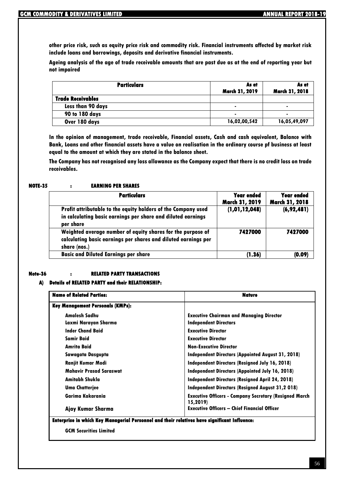**other price risk, such as equity price risk and commodity risk. Financial instruments affected by market risk include loans and borrowings, deposits and derivative financial instruments.**

**Ageing analysis of the age of trade receivable amounts that are past due as at the end of reporting year but not impaired**

| <b>Particulars</b>       | As at                 |                       |
|--------------------------|-----------------------|-----------------------|
|                          | <b>March 31, 2019</b> | <b>March 31, 2018</b> |
| <b>Trade Receivables</b> |                       |                       |
| Less than 90 days        |                       |                       |
| <b>90 to 180 days</b>    |                       |                       |
| Over 180 days            | 16,02,00,542          | 16,05,49,097          |

**In the opinion of management, trade receivable, Financial assets, Cash and cash equivalent, Balance with Bank, Loans and other financial assets have a value on realisation in the ordinary course pf business at least equal to the amount at which they are stated in the balance sheet.**

**The Company has not recognised any loss allowance as the Company expect that there is no credit loss on trade receivables.**

#### **NOTE-35 : EARNING PER SHARES**

| <b>Particulars</b>                                                                                                                            | <b>Year ended</b><br>March 31, 2019 | <b>Year ended</b><br>March 31, 2018 |
|-----------------------------------------------------------------------------------------------------------------------------------------------|-------------------------------------|-------------------------------------|
| Profit attributable to the equity holders of the Company used<br>in calculating basic earnings per share and diluted earnings<br>per share    | (1, 01, 12, 048)                    | (6, 92, 481)                        |
| Weighted average number of equity shares for the purpose of<br>calculating basic earnings per shares and diluted earnings per<br>share (nos.) | 7427000                             | 7427000                             |
| <b>Basic and Diluted Earnings per share</b>                                                                                                   | (1.36)                              | (0.09)                              |

#### **Note-36 : RELATED PARTY TRANSACTIONS**

#### **A) Details of RELATED PARTY and their RELATIONSHIP:**

| <b>Name of Related Parties:</b>         | <b>Nature</b>                                                             |
|-----------------------------------------|---------------------------------------------------------------------------|
| <b>Key Management Personals (KMPs):</b> |                                                                           |
| Amalesh Sadhu                           | <b>Executive Chairman and Managing Director</b>                           |
| Laxmi Narayan Sharma                    | <b>Independent Directors</b>                                              |
| <b>Inder Chand Baid</b>                 | <b>Executive Director</b>                                                 |
| <b>Samir Baid</b>                       | <b>Executive Director</b>                                                 |
| Amrita Baid                             | <b>Non-Executive Director</b>                                             |
| Sawagata Dasgupta                       | <b>Independent Directors (Appointed August 31, 2018)</b>                  |
| Ranjit Kumar Modi                       | Independent Directors (Resigned July 16, 2018)                            |
| <b>Mahavir Prasad Saraswat</b>          | Independent Directors (Appointed July 16, 2018)                           |
| Amitabh Shukla                          | Independent Directors (Resigned April 24, 2018)                           |
| <b>Uma Chatterjee</b>                   | Independent Directors (Resigned August 31,2 018)                          |
| Garima Kakarania                        | <b>Executive Officers - Company Secretary (Resigned March</b><br>15,2019) |
| Ajay Kumar Sharma                       | <b>Executive Officers – Chief Financial Officer</b>                       |

#### **Enterprise in which Key Managerial Personnel and their relatives have significant Influence:**

**GCM Securities Limited**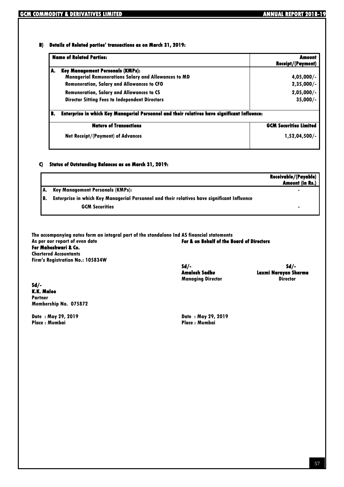#### **B) Details of Related parties' transactions as on March 31, 2019:**

|    | <b>Name of Related Parties:</b>                                                              | <b>Amount</b><br>Receipt/(Payment) |
|----|----------------------------------------------------------------------------------------------|------------------------------------|
| A. | <b>Key Management Personals (KMPs):</b>                                                      |                                    |
|    | Managerial Remunerations Salary and Allowances to MD                                         | $4,05,000/-$                       |
|    | <b>Remuneration, Salary and Allowances to CFO</b>                                            | $2,35,000/-$                       |
|    | <b>Remuneration, Salary and Allowances to CS</b>                                             | $2,05,000/-$                       |
|    | <b>Director Sitting Fees to Independent Directors</b>                                        | $35,000/-$                         |
| B. | Enterprise in which Key Managerial Personnel and their relatives have significant Influence: |                                    |
|    | <b>Nature of Transactions</b>                                                                | <b>GCM Securities Limited</b>      |

**Net Receipt/(Payment) of Advances 1,52,04,500/-**

#### **C) Status of Outstanding Balances as on March 31, 2019:**

|     |                                                                                             | Receivable/(Payable)<br><b>Amount (in Rs.)</b> |
|-----|---------------------------------------------------------------------------------------------|------------------------------------------------|
|     | A. Key Management Personals (KMPs):                                                         |                                                |
| IB. | Enterprise in which Key Managerial Personnel and their relatives have significant Influence |                                                |
|     | <b>GCM Securities</b>                                                                       |                                                |

The accompanying notes form an integral part of the standalone Ind AS financial statements<br>As per our report of even date<br>**For & on Behalf of the B For & on Behalf of the Board of Directors For Maheshwari & Co. Chartered Accountants Firm's Registration No.: 105834W** 

**Sd/- K.K. Maloo Partner Membership No. 075872** 

**Date : May 29, 2019 Date : May 29, 2019**

**Sd/- Sd/- Managing Director Director**

**Amalesh Sadhu Laxmi Narayan Sharma**

**Place : Mumbai Place : Mumbai**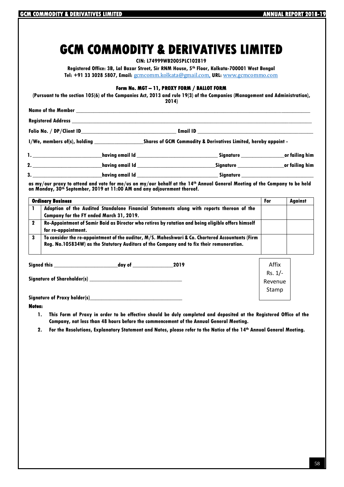**GCM COMMODITY & DERIVATIVES LIMITED ANNUAL REPORT 2018-19** 

Affix Rs. 1/- Revenue Stamp

# **GCM COMMODITY & DERIVATIVES LIMITED**

**CIN: L74999WB2005PLC102819**

**Registered Office: 3B, Lal Bazar Street, Sir RNM House, 5th Floor, Kolkata-700001 West Bengal Tel: +91 33 3028 5807, Email:** gcmcomm.kolkata@gmail.com, **URL:** [www.gcmcommo.com](http://www.gcmcommo.com/)

#### **Form No. MGT – 11, PROXY FORM / BALLOT FORM**

**(Pursuant to the section 105(6) of the Companies Act, 2013 and rule 19(3) of the Companies (Management and Administration), 2014)**

Name of the Member

**Registered Address \_\_\_\_\_\_\_\_\_\_\_\_\_\_\_\_\_\_\_\_\_\_\_\_\_\_\_\_\_\_\_\_\_\_\_\_\_\_\_\_\_\_\_\_\_\_\_\_\_\_\_\_\_\_\_\_\_\_\_\_\_\_\_\_\_\_\_\_\_\_\_\_\_\_\_\_\_\_\_\_\_\_\_**

**Folio No. / DP/Client ID\_\_\_\_\_\_\_\_\_\_\_\_\_\_\_\_\_\_\_\_\_\_\_\_\_\_\_\_\_\_\_\_\_ Email ID \_\_\_\_\_\_\_\_\_\_\_\_\_\_\_\_\_\_\_\_\_\_\_\_\_\_\_\_\_\_\_\_\_\_\_\_\_\_\_\_**

**I/We, members of(s), holding \_\_\_\_\_\_\_\_\_\_\_\_\_\_\_\_\_Shares of GCM Commodity & Derivatives Limited, hereby appoint -**

|    | _having email Id _ | or failing him<br>Signature        |  |
|----|--------------------|------------------------------------|--|
|    | having email Id    | or failing him<br><b>Signature</b> |  |
| 3. | having email Id    | <b>Signature</b>                   |  |

**as my/our proxy to attend and vote for me/us on my/our behalf at the 14th Annual General Meeting of the Company to be held on Monday, 30th September, 2019 at 11:00 AM and any adjournment thereof.**

| <b>Ordinary Business</b> |                                                                                                                                                                                              | For | <b>Agginst</b> |
|--------------------------|----------------------------------------------------------------------------------------------------------------------------------------------------------------------------------------------|-----|----------------|
|                          | Adoption of the Audited Standalone Financial Statements along with reports thereon of the<br>Company for the FY ended March 31, 2019.                                                        |     |                |
|                          | Re-Appointment of Samir Baid as Director who retires by rotation and being eligible offers himself<br>for re-appointment.                                                                    |     |                |
|                          | To consider the re-appointment of the auditor, M/S. Maheshwari & Co. Chartered Accountants (Firm<br>Reg. No.105834W) as the Statutory Auditors of the Company and to fix their remuneration. |     |                |

Signed this **Signed this Signed this Signed this Signed the set of**  $\frac{2019}{2019}$ 

**Signature of Shareholder(s) \_\_\_\_\_\_\_\_\_\_\_\_\_\_\_\_\_\_\_\_\_\_\_\_\_\_\_\_\_\_\_\_**

**Signature of Proxy holder(s)\_\_\_\_\_\_\_\_\_\_\_\_\_\_\_\_\_\_\_\_\_\_\_\_\_\_\_\_\_\_\_\_**

**Notes:**

- **1. This Form of Proxy in order to be effective should be duly completed and deposited at the Registered Office of the Company, not less than 48 hours before the commencement of the Annual General Meeting.**
- **2. For the Resolutions, Explanatory Statement and Notes, please refer to the Notice of the 14th Annual General Meeting.**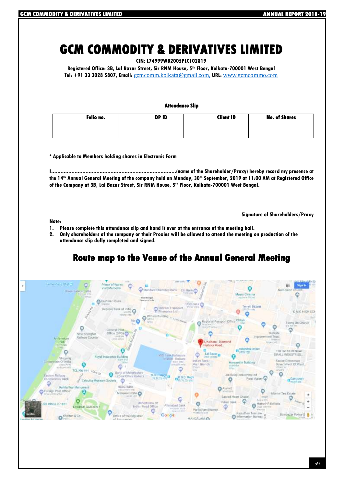# **GCM COMMODITY & DERIVATIVES LIMITED**

**CIN: L74999WB2005PLC102819**

**Registered Office: 3B, Lal Bazar Street, Sir RNM House, 5th Floor, Kolkata-700001 West Bengal Tel: +91 33 3028 5807, Email:** gcmcomm.kolkata@gmail.com, **URL:** [www.gcmcommo.com](http://www.gcmcommo.com/)

#### **Attendance Slip**

| Folio no. | DP ID | <b>Client ID</b> | <b>No. of Shares</b> |
|-----------|-------|------------------|----------------------|
|           |       |                  |                      |
|           |       |                  |                      |

**\* Applicable to Members holding shares in Electronic Form**

**I................................................................................(name of the Shareholder/Proxy) hereby record my presence at the 14 th Annual General Meeting of the company held on Monday, 30th September, 2019 at 11:00 AM at Registered Office of the Company at 3B, Lal Bazar Street, Sir RNM House, 5th Floor, Kolkata-700001 West Bengal.**

**Note:**

**Signature of Shareholders/Proxy**

- **1. Please complete this attendance slip and hand it over at the entrance of the meeting hall.**
- **2. Only shareholders of the company or their Proxies will be allowed to attend the meeting on production of the attendance slip dully completed and signed.**

# **Route map to the Venue of the Annual General Meeting**

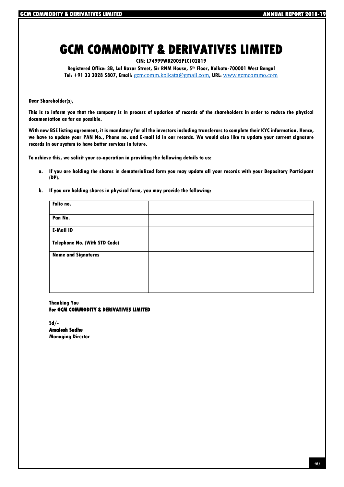# **GCM COMMODITY & DERIVATIVES LIMITED**

**CIN: L74999WB2005PLC102819**

**Registered Office: 3B, Lal Bazar Street, Sir RNM House, 5th Floor, Kolkata-700001 West Bengal Tel: +91 33 3028 5807, Email:** gcmcomm.kolkata@gmail.com, **URL:** [www.gcmcommo.com](http://www.gcmcommo.com/)

**Dear Shareholder(s),**

**This is to inform you that the company is in process of updation of records of the shareholders in order to reduce the physical documentation as far as possible.** 

**With new BSE listing agreement, it is mandatory for all the investors including transferors to complete their KYC information. Hence, we have to update your PAN No., Phone no. and E-mail id in our records. We would also like to update your current signature records in our system to have better services in future.**

**To achieve this, we solicit your co-operation in providing the following details to us:**

- **a. If you are holding the shares in dematerialized form you may update all your records with your Depository Participant (DP).**
- **b. If you are holding shares in physical form, you may provide the following:**

| Folio no.                     |  |
|-------------------------------|--|
| Pan No.                       |  |
| <b>E-Mail ID</b>              |  |
| Telephone No. (With STD Code) |  |
| <b>Name and Signatures</b>    |  |
|                               |  |
|                               |  |
|                               |  |

**Thanking You For GCM COMMODITY & DERIVATIVES LIMITED** 

**Sd/- Amalesh Sadhu Managing Director**